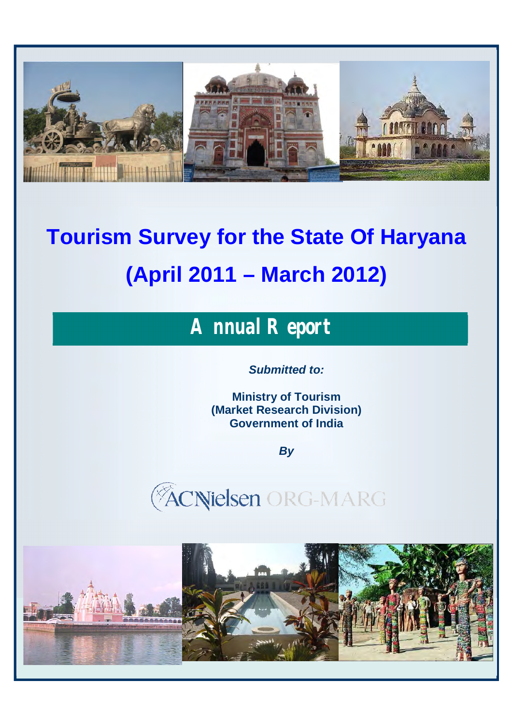

# **Tourism Survey for the State Of Haryana (April 2011 – March 2012)**

## *Annual Report*

*Submitted to:*

**Ministry of Tourism (Market Research Division) Government of India**

*By*





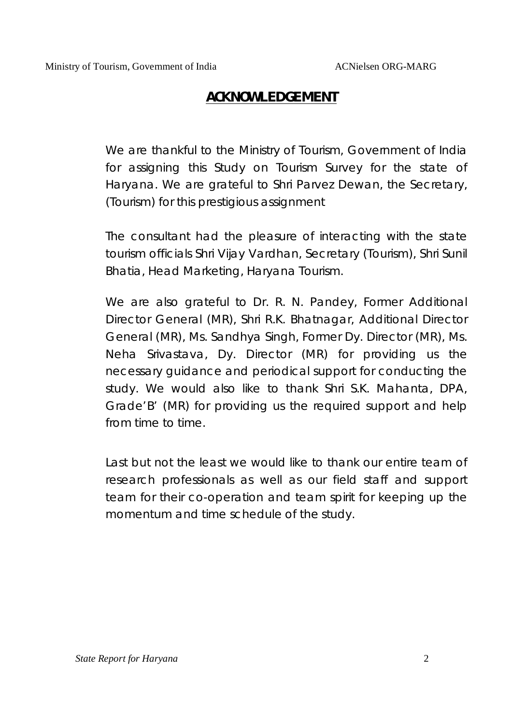### *ACKNOWLEDGEMENT*

We are thankful to the Ministry of Tourism, Government of India for assigning this Study on Tourism Survey for the state of Haryana. We are grateful to Shri Parvez Dewan, the Secretary, (Tourism) for this prestigious assignment

The consultant had the pleasure of interacting with the state tourism officials Shri Vijay Vardhan, Secretary (Tourism), Shri Sunil Bhatia, Head Marketing, Haryana Tourism.

We are also grateful to Dr. R. N. Pandey, Former Additional Director General (MR), Shri R.K. Bhatnagar, Additional Director General (MR), Ms. Sandhya Singh, Former Dy. Director (MR), Ms. Neha Srivastava, Dy. Director (MR) for providing us the necessary guidance and periodical support for conducting the study. We would also like to thank Shri S.K. Mahanta, DPA, Grade'B' (MR) for providing us the required support and help from time to time.

Last but not the least we would like to thank our entire team of research professionals as well as our field staff and support team for their co-operation and team spirit for keeping up the momentum and time schedule of the study.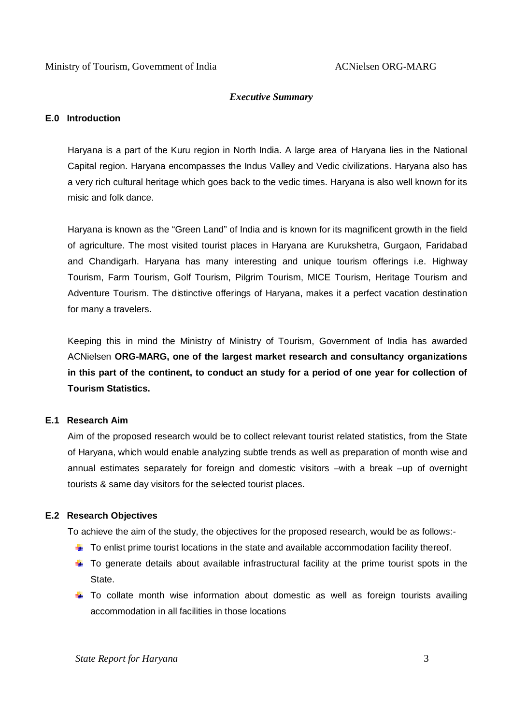#### *Executive Summary*

#### **E.0 Introduction**

Haryana is a part of the Kuru region in North India. A large area of Haryana lies in the National Capital region. Haryana encompasses the Indus Valley and Vedic civilizations. Haryana also has a very rich cultural heritage which goes back to the vedic times. Haryana is also well known for its misic and folk dance.

Haryana is known as the "Green Land" of India and is known for its magnificent growth in the field of agriculture. The most visited tourist places in Haryana are Kurukshetra, Gurgaon, Faridabad and Chandigarh. Haryana has many interesting and unique tourism offerings i.e. Highway Tourism, Farm Tourism, Golf Tourism, Pilgrim Tourism, MICE Tourism, Heritage Tourism and Adventure Tourism. The distinctive offerings of Haryana, makes it a perfect vacation destination for many a travelers.

Keeping this in mind the Ministry of Ministry of Tourism, Government of India has awarded ACNielsen **ORG-MARG, one of the largest market research and consultancy organizations in this part of the continent, to conduct an study for a period of one year for collection of Tourism Statistics.**

#### **E.1 Research Aim**

Aim of the proposed research would be to collect relevant tourist related statistics, from the State of Haryana, which would enable analyzing subtle trends as well as preparation of month wise and annual estimates separately for foreign and domestic visitors –with a break –up of overnight tourists & same day visitors for the selected tourist places.

#### **E.2 Research Objectives**

To achieve the aim of the study, the objectives for the proposed research, would be as follows:-

- $\blacksquare$  To enlist prime tourist locations in the state and available accommodation facility thereof.
- $\uparrow$  To generate details about available infrastructural facility at the prime tourist spots in the State.
- $\overline{\phantom{a}}$  To collate month wise information about domestic as well as foreign tourists availing accommodation in all facilities in those locations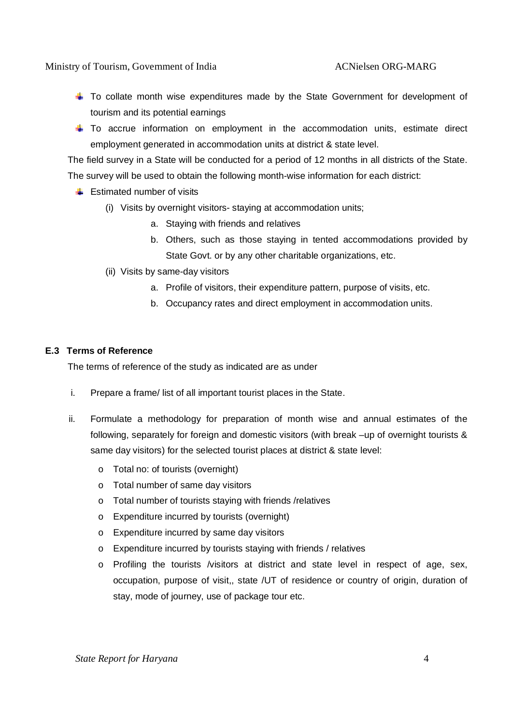Ministry of Tourism, Government of India ACNielsen ORG-MARG

- **E** To collate month wise expenditures made by the State Government for development of tourism and its potential earnings
- $\uparrow$  To accrue information on employment in the accommodation units, estimate direct employment generated in accommodation units at district & state level.

The field survey in a State will be conducted for a period of 12 months in all districts of the State. The survey will be used to obtain the following month-wise information for each district:

- $\frac{1}{2}$  Estimated number of visits
	- (i) Visits by overnight visitors- staying at accommodation units;
		- a. Staying with friends and relatives
		- b. Others, such as those staying in tented accommodations provided by State Govt. or by any other charitable organizations, etc.
	- (ii) Visits by same-day visitors
		- a. Profile of visitors, their expenditure pattern, purpose of visits, etc.
		- b. Occupancy rates and direct employment in accommodation units.

#### **E.3 Terms of Reference**

The terms of reference of the study as indicated are as under

- i. Prepare a frame/ list of all important tourist places in the State.
- ii. Formulate a methodology for preparation of month wise and annual estimates of the following, separately for foreign and domestic visitors (with break –up of overnight tourists & same day visitors) for the selected tourist places at district & state level:
	- o Total no: of tourists (overnight)
	- o Total number of same day visitors
	- o Total number of tourists staying with friends /relatives
	- o Expenditure incurred by tourists (overnight)
	- o Expenditure incurred by same day visitors
	- o Expenditure incurred by tourists staying with friends / relatives
	- o Profiling the tourists /visitors at district and state level in respect of age, sex, occupation, purpose of visit,, state /UT of residence or country of origin, duration of stay, mode of journey, use of package tour etc.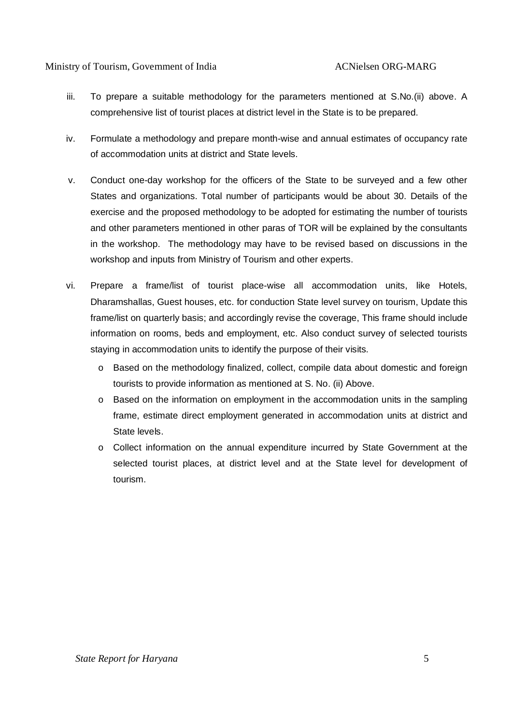#### Ministry of Tourism, Government of India ACNielsen ORG-MARG

- iii. To prepare a suitable methodology for the parameters mentioned at S.No.(ii) above. A comprehensive list of tourist places at district level in the State is to be prepared.
- iv. Formulate a methodology and prepare month-wise and annual estimates of occupancy rate of accommodation units at district and State levels.
- v. Conduct one-day workshop for the officers of the State to be surveyed and a few other States and organizations. Total number of participants would be about 30. Details of the exercise and the proposed methodology to be adopted for estimating the number of tourists and other parameters mentioned in other paras of TOR will be explained by the consultants in the workshop. The methodology may have to be revised based on discussions in the workshop and inputs from Ministry of Tourism and other experts.
- vi. Prepare a frame/list of tourist place-wise all accommodation units, like Hotels, Dharamshallas, Guest houses, etc. for conduction State level survey on tourism, Update this frame/list on quarterly basis; and accordingly revise the coverage, This frame should include information on rooms, beds and employment, etc. Also conduct survey of selected tourists staying in accommodation units to identify the purpose of their visits.
	- o Based on the methodology finalized, collect, compile data about domestic and foreign tourists to provide information as mentioned at S. No. (ii) Above.
	- o Based on the information on employment in the accommodation units in the sampling frame, estimate direct employment generated in accommodation units at district and State levels.
	- o Collect information on the annual expenditure incurred by State Government at the selected tourist places, at district level and at the State level for development of tourism.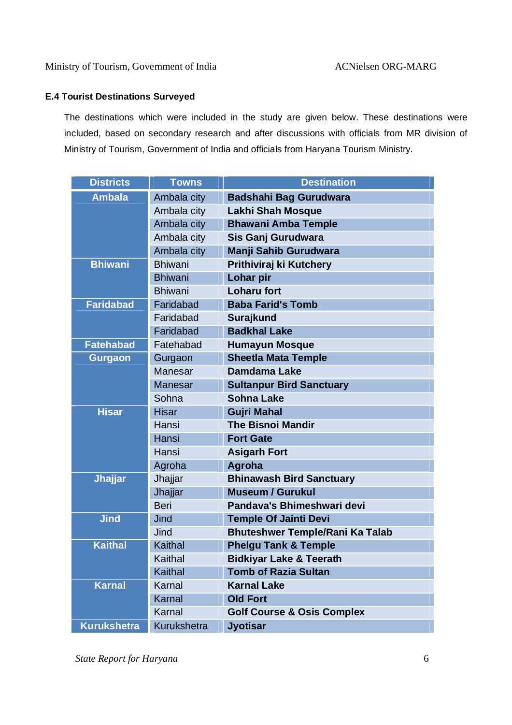#### **E.4 Tourist Destinations Surveyed**

The destinations which were included in the study are given below. These destinations were included, based on secondary research and after discussions with officials from MR division of Ministry of Tourism, Government of India and officials from Haryana Tourism Ministry.

| <b>Districts</b>   | <b>Towns</b>   | <b>Destination</b>                     |
|--------------------|----------------|----------------------------------------|
| <b>Ambala</b>      | Ambala city    | <b>Badshahi Bag Gurudwara</b>          |
|                    | Ambala city    | Lakhi Shah Mosque                      |
|                    | Ambala city    | <b>Bhawani Amba Temple</b>             |
|                    | Ambala city    | Sis Ganj Gurudwara                     |
|                    | Ambala city    | Manji Sahib Gurudwara                  |
| <b>Bhiwani</b>     | <b>Bhiwani</b> | Prithiviraj ki Kutchery                |
|                    | <b>Bhiwani</b> | Lohar pir                              |
|                    | <b>Bhiwani</b> | <b>Loharu fort</b>                     |
| <b>Faridabad</b>   | Faridabad      | <b>Baba Farid's Tomb</b>               |
|                    | Faridabad      | <b>Surajkund</b>                       |
|                    | Faridabad      | <b>Badkhal Lake</b>                    |
| <b>Fatehabad</b>   | Fatehabad      | <b>Humayun Mosque</b>                  |
| <b>Gurgaon</b>     | Gurgaon        | <b>Sheetla Mata Temple</b>             |
|                    | Manesar        | <b>Damdama Lake</b>                    |
|                    | <b>Manesar</b> | <b>Sultanpur Bird Sanctuary</b>        |
|                    | Sohna          | <b>Sohna Lake</b>                      |
| <b>Hisar</b>       | <b>Hisar</b>   | <b>Gujri Mahal</b>                     |
|                    | Hansi          | <b>The Bisnoi Mandir</b>               |
|                    | Hansi          | <b>Fort Gate</b>                       |
|                    | Hansi          | <b>Asigarh Fort</b>                    |
|                    | Agroha         | Agroha                                 |
| <b>Jhajjar</b>     | Jhajjar        | <b>Bhinawash Bird Sanctuary</b>        |
|                    | Jhajjar        | <b>Museum / Gurukul</b>                |
|                    | <b>Beri</b>    | Pandava's Bhimeshwari devi             |
| <b>Jind</b>        | Jind           | <b>Temple Of Jainti Devi</b>           |
|                    | Jind           | <b>Bhuteshwer Temple/Rani Ka Talab</b> |
| <b>Kaithal</b>     | Kaithal        | <b>Phelgu Tank &amp; Temple</b>        |
|                    | Kaithal        | <b>Bidkiyar Lake &amp; Teerath</b>     |
|                    | Kaithal        | <b>Tomb of Razia Sultan</b>            |
| <b>Karnal</b>      | Karnal         | <b>Karnal Lake</b>                     |
|                    | <b>Karnal</b>  | <b>Old Fort</b>                        |
|                    | Karnal         | <b>Golf Course &amp; Osis Complex</b>  |
| <b>Kurukshetra</b> | Kurukshetra    | <b>Jyotisar</b>                        |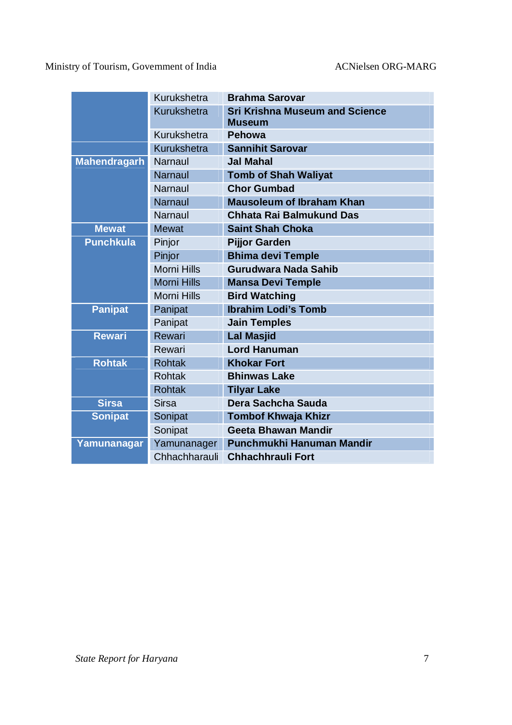Ministry of Tourism, Government of India ACNielsen ORG-MARG

|                     | Kurukshetra        | <b>Brahma Sarovar</b>                                  |
|---------------------|--------------------|--------------------------------------------------------|
|                     | <b>Kurukshetra</b> | <b>Sri Krishna Museum and Science</b><br><b>Museum</b> |
|                     | Kurukshetra        | Pehowa                                                 |
|                     | Kurukshetra        | <b>Sannihit Sarovar</b>                                |
| <b>Mahendragarh</b> | <b>Narnaul</b>     | <b>Jal Mahal</b>                                       |
|                     | <b>Narnaul</b>     | <b>Tomb of Shah Waliyat</b>                            |
|                     | <b>Narnaul</b>     | <b>Chor Gumbad</b>                                     |
|                     | <b>Narnaul</b>     | <b>Mausoleum of Ibraham Khan</b>                       |
|                     | <b>Narnaul</b>     | Chhata Rai Balmukund Das                               |
| <b>Mewat</b>        | <b>Mewat</b>       | <b>Saint Shah Choka</b>                                |
| <b>Punchkula</b>    | Pinjor             | <b>Pijjor Garden</b>                                   |
|                     | Pinjor             | <b>Bhima devi Temple</b>                               |
|                     | <b>Morni Hills</b> | <b>Gurudwara Nada Sahib</b>                            |
|                     | <b>Morni Hills</b> | <b>Mansa Devi Temple</b>                               |
|                     | <b>Morni Hills</b> | <b>Bird Watching</b>                                   |
| <b>Panipat</b>      | Panipat            | <b>Ibrahim Lodi's Tomb</b>                             |
|                     | Panipat            | <b>Jain Temples</b>                                    |
| <b>Rewari</b>       | Rewari             | <b>Lal Masjid</b>                                      |
|                     | Rewari             | <b>Lord Hanuman</b>                                    |
| <b>Rohtak</b>       | <b>Rohtak</b>      | <b>Khokar Fort</b>                                     |
|                     | <b>Rohtak</b>      | <b>Bhinwas Lake</b>                                    |
|                     | <b>Rohtak</b>      | <b>Tilyar Lake</b>                                     |
| <b>Sirsa</b>        | <b>Sirsa</b>       | Dera Sachcha Sauda                                     |
| <b>Sonipat</b>      | Sonipat            | <b>Tombof Khwaja Khizr</b>                             |
|                     | Sonipat            | Geeta Bhawan Mandir                                    |
| Yamunanagar         | Yamunanager        | Punchmukhi Hanuman Mandir                              |
|                     | Chhachharauli      | <b>Chhachhrauli Fort</b>                               |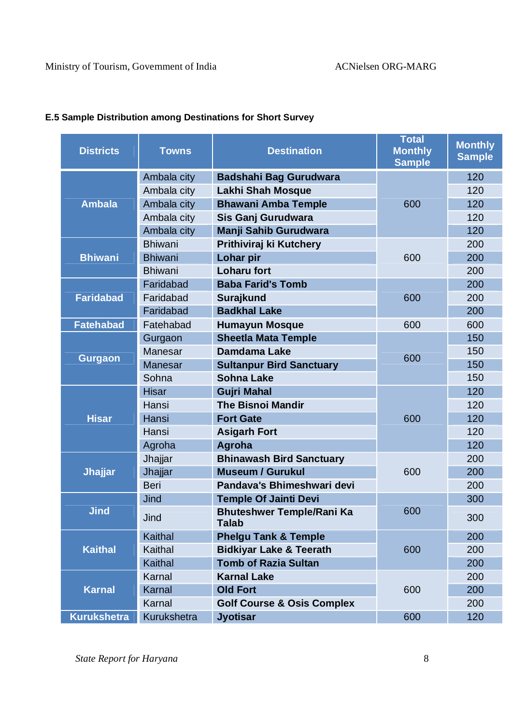| <b>Districts</b>   | <b>Towns</b>   | <b>Destination</b>                               | <b>Total</b><br><b>Monthly</b><br><b>Sample</b> | <b>Monthly</b><br><b>Sample</b> |
|--------------------|----------------|--------------------------------------------------|-------------------------------------------------|---------------------------------|
|                    | Ambala city    | <b>Badshahi Bag Gurudwara</b>                    |                                                 | 120                             |
|                    | Ambala city    | <b>Lakhi Shah Mosque</b>                         |                                                 | 120                             |
| <b>Ambala</b>      | Ambala city    | <b>Bhawani Amba Temple</b>                       | 600                                             | 120                             |
|                    | Ambala city    | Sis Ganj Gurudwara                               |                                                 | 120                             |
|                    | Ambala city    | Manji Sahib Gurudwara                            |                                                 | 120                             |
|                    | <b>Bhiwani</b> | Prithiviraj ki Kutchery                          |                                                 | 200                             |
| <b>Bhiwani</b>     | <b>Bhiwani</b> | Lohar pir                                        | 600                                             | 200                             |
|                    | <b>Bhiwani</b> | <b>Loharu fort</b>                               |                                                 | 200                             |
|                    | Faridabad      | <b>Baba Farid's Tomb</b>                         |                                                 | 200                             |
| <b>Faridabad</b>   | Faridabad      | <b>Surajkund</b>                                 | 600                                             | 200                             |
|                    | Faridabad      | <b>Badkhal Lake</b>                              |                                                 | 200                             |
| <b>Fatehabad</b>   | Fatehabad      | <b>Humayun Mosque</b>                            | 600                                             | 600                             |
|                    | Gurgaon        | <b>Sheetla Mata Temple</b>                       |                                                 | 150                             |
|                    | <b>Manesar</b> | Damdama Lake                                     | 600                                             | 150                             |
| <b>Gurgaon</b>     | <b>Manesar</b> | <b>Sultanpur Bird Sanctuary</b>                  |                                                 | 150                             |
|                    | Sohna          | <b>Sohna Lake</b>                                |                                                 | 150                             |
|                    | <b>Hisar</b>   | <b>Gujri Mahal</b>                               |                                                 | 120                             |
|                    | Hansi          | <b>The Bisnoi Mandir</b>                         | 600                                             | 120                             |
| <b>Hisar</b>       | Hansi          | <b>Fort Gate</b>                                 |                                                 | 120                             |
|                    | Hansi          | <b>Asigarh Fort</b>                              |                                                 | 120                             |
|                    | Agroha         | <b>Agroha</b>                                    |                                                 | 120                             |
|                    | Jhajjar        | <b>Bhinawash Bird Sanctuary</b>                  |                                                 | 200                             |
| <b>Jhajjar</b>     | Jhajjar        | <b>Museum / Gurukul</b>                          | 600                                             | 200                             |
|                    | Beri           | Pandava's Bhimeshwari devi                       |                                                 | 200                             |
|                    | Jind           | <b>Temple Of Jainti Devi</b>                     |                                                 | 300                             |
| <b>Jind</b>        | Jind           | <b>Bhuteshwer Temple/Rani Ka</b><br><b>Talab</b> | 600                                             | 300                             |
|                    | Kaithal        | <b>Phelgu Tank &amp; Temple</b>                  |                                                 | 200                             |
| <b>Kaithal</b>     | Kaithal        | <b>Bidkiyar Lake &amp; Teerath</b>               | 600                                             | 200                             |
|                    | Kaithal        | <b>Tomb of Razia Sultan</b>                      |                                                 | 200                             |
|                    | Karnal         | <b>Karnal Lake</b>                               |                                                 | 200                             |
| <b>Karnal</b>      | Karnal         | <b>Old Fort</b>                                  | 600                                             | 200                             |
|                    | Karnal         | <b>Golf Course &amp; Osis Complex</b>            |                                                 | 200                             |
| <b>Kurukshetra</b> | Kurukshetra    | <b>Jyotisar</b>                                  | 600                                             | 120                             |

#### **E.5 Sample Distribution among Destinations for Short Survey**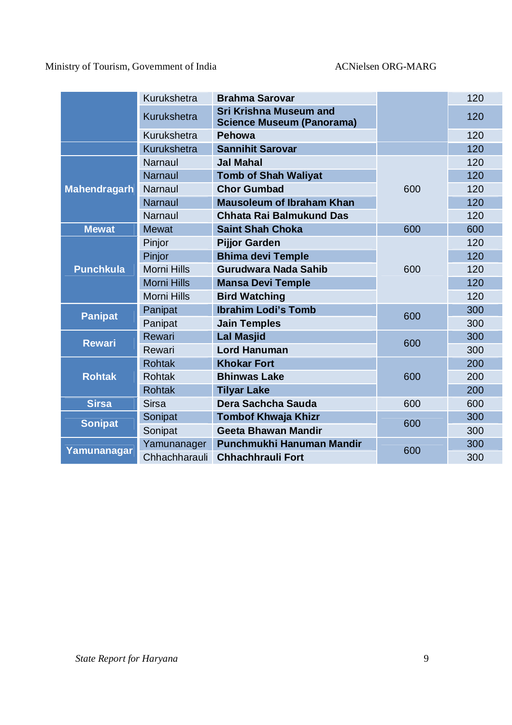Ministry of Tourism, Government of India ACNielsen ORG-MARG

|                     | Kurukshetra        | <b>Brahma Sarovar</b>                                             |     | 120 |
|---------------------|--------------------|-------------------------------------------------------------------|-----|-----|
|                     | Kurukshetra        | <b>Sri Krishna Museum and</b><br><b>Science Museum (Panorama)</b> |     | 120 |
|                     | Kurukshetra        | <b>Pehowa</b>                                                     |     | 120 |
|                     | Kurukshetra        | <b>Sannihit Sarovar</b>                                           |     | 120 |
|                     | Narnaul            | <b>Jal Mahal</b>                                                  |     | 120 |
|                     | <b>Narnaul</b>     | <b>Tomb of Shah Waliyat</b>                                       |     | 120 |
| <b>Mahendragarh</b> | Narnaul            | <b>Chor Gumbad</b>                                                | 600 | 120 |
|                     | <b>Narnaul</b>     | <b>Mausoleum of Ibraham Khan</b>                                  |     | 120 |
|                     | Narnaul            | Chhata Rai Balmukund Das                                          |     |     |
| <b>Mewat</b>        | <b>Mewat</b>       | <b>Saint Shah Choka</b>                                           | 600 | 600 |
|                     | Pinjor             | <b>Pijjor Garden</b>                                              |     | 120 |
| <b>Punchkula</b>    | Pinjor             | <b>Bhima devi Temple</b>                                          |     | 120 |
|                     | <b>Morni Hills</b> | Gurudwara Nada Sahib                                              | 600 | 120 |
|                     | <b>Morni Hills</b> | <b>Mansa Devi Temple</b>                                          |     | 120 |
|                     | <b>Morni Hills</b> | <b>Bird Watching</b>                                              |     |     |
| <b>Panipat</b>      | Panipat            | <b>Ibrahim Lodi's Tomb</b>                                        | 600 | 300 |
|                     | Panipat            | <b>Jain Temples</b>                                               |     | 300 |
| <b>Rewari</b>       | Rewari             | <b>Lal Masjid</b>                                                 | 600 | 300 |
|                     | Rewari             | <b>Lord Hanuman</b>                                               |     | 300 |
|                     | <b>Rohtak</b>      | <b>Khokar Fort</b>                                                |     | 200 |
| <b>Rohtak</b>       | <b>Rohtak</b>      | <b>Bhinwas Lake</b>                                               | 600 | 200 |
|                     | <b>Rohtak</b>      | <b>Tilyar Lake</b>                                                |     | 200 |
| <b>Sirsa</b>        | <b>Sirsa</b>       | Dera Sachcha Sauda                                                | 600 | 600 |
| <b>Sonipat</b>      | Sonipat            | <b>Tombof Khwaja Khizr</b>                                        | 600 | 300 |
|                     | Sonipat            | <b>Geeta Bhawan Mandir</b>                                        |     | 300 |
|                     | Yamunanager        | Punchmukhi Hanuman Mandir                                         | 600 | 300 |
| Yamunanagar         | Chhachharauli      | <b>Chhachhrauli Fort</b>                                          |     | 300 |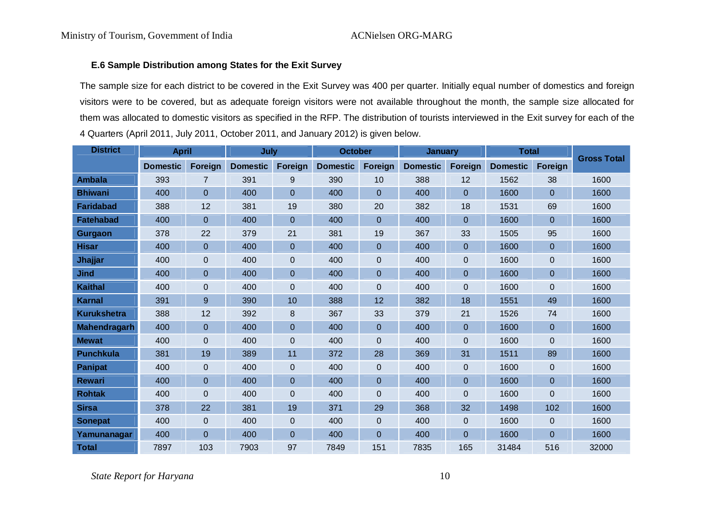#### **E.6 Sample Distribution among States for the Exit Survey**

The sample size for each district to be covered in the Exit Survey was 400 per quarter. Initially equal number of domestics and foreign visitors were to be covered, but as adequate foreign visitors were not available throughout the month, the sample size allocated for them was allocated to domestic visitors as specified in the RFP. The distribution of tourists interviewed in the Exit survey for each of the 4 Quarters (April 2011, July 2011, October 2011, and January 2012) is given below.

| <b>District</b>     | <b>April</b>    |                | July            |                | <b>October</b>  |         | <b>January</b>  |                | <b>Total</b>    |                  | <b>Gross Total</b> |
|---------------------|-----------------|----------------|-----------------|----------------|-----------------|---------|-----------------|----------------|-----------------|------------------|--------------------|
|                     | <b>Domestic</b> | <b>Foreign</b> | <b>Domestic</b> | Foreign        | <b>Domestic</b> | Foreign | <b>Domestic</b> | Foreign        | <b>Domestic</b> | Foreign          |                    |
| <b>Ambala</b>       | 393             | 7              | 391             | 9              | 390             | 10      | 388             | 12             | 1562            | 38               | 1600               |
| <b>Bhiwani</b>      | 400             | $\Omega$       | 400             | $\Omega$       | 400             | 0       | 400             | $\Omega$       | 1600            | $\mathbf{0}$     | 1600               |
| <b>Faridabad</b>    | 388             | 12             | 381             | 19             | 380             | 20      | 382             | 18             | 1531            | 69               | 1600               |
| <b>Fatehabad</b>    | 400             | $\overline{0}$ | 400             | $\mathbf{0}$   | 400             | 0       | 400             | $\Omega$       | 1600            | $\mathbf{0}$     | 1600               |
| <b>Gurgaon</b>      | 378             | 22             | 379             | 21             | 381             | 19      | 367             | 33             | 1505            | 95               | 1600               |
| <b>Hisar</b>        | 400             | $\mathbf{0}$   | 400             | $\mathbf{0}$   | 400             | 0       | 400             | $\Omega$       | 1600            | $\overline{0}$   | 1600               |
| Jhajjar             | 400             | $\mathbf{0}$   | 400             | $\mathbf 0$    | 400             | 0       | 400             | $\mathbf 0$    | 1600            | $\mathbf 0$      | 1600               |
| <b>Jind</b>         | 400             | $\Omega$       | 400             | $\mathbf{0}$   | 400             | 0       | 400             | $\mathbf 0$    | 1600            | $\boldsymbol{0}$ | 1600               |
| <b>Kaithal</b>      | 400             | $\mathbf 0$    | 400             | $\mathbf 0$    | 400             | 0       | 400             | $\mathbf 0$    | 1600            | $\mathbf 0$      | 1600               |
| <b>Karnal</b>       | 391             | 9              | 390             | 10             | 388             | 12      | 382             | 18             | 1551            | 49               | 1600               |
| <b>Kurukshetra</b>  | 388             | 12             | 392             | 8              | 367             | 33      | 379             | 21             | 1526            | 74               | 1600               |
| <b>Mahendragarh</b> | 400             | $\overline{0}$ | 400             | $\mathbf{0}$   | 400             | 0       | 400             | $\Omega$       | 1600            | $\mathbf 0$      | 1600               |
| <b>Mewat</b>        | 400             | $\mathbf{0}$   | 400             | $\overline{0}$ | 400             | 0       | 400             | $\Omega$       | 1600            | $\mathbf 0$      | 1600               |
| <b>Punchkula</b>    | 381             | 19             | 389             | 11             | 372             | 28      | 369             | 31             | 1511            | 89               | 1600               |
| <b>Panipat</b>      | 400             | $\mathbf{0}$   | 400             | $\mathbf 0$    | 400             | 0       | 400             | $\overline{0}$ | 1600            | $\mathbf 0$      | 1600               |
| <b>Rewari</b>       | 400             | $\mathbf{0}$   | 400             | $\mathbf{0}$   | 400             | 0       | 400             | $\Omega$       | 1600            | $\overline{0}$   | 1600               |
| <b>Rohtak</b>       | 400             | $\mathbf 0$    | 400             | $\mathbf 0$    | 400             | 0       | 400             | $\mathbf 0$    | 1600            | $\mathbf 0$      | 1600               |
| <b>Sirsa</b>        | 378             | 22             | 381             | 19             | 371             | 29      | 368             | 32             | 1498            | 102              | 1600               |
| <b>Sonepat</b>      | 400             | $\mathbf{0}$   | 400             | $\mathbf 0$    | 400             | 0       | 400             | $\overline{0}$ | 1600            | $\mathbf 0$      | 1600               |
| Yamunanagar         | 400             | $\Omega$       | 400             | $\mathbf{0}$   | 400             | 0       | 400             | $\Omega$       | 1600            | $\mathbf{0}$     | 1600               |
| <b>Total</b>        | 7897            | 103            | 7903            | 97             | 7849            | 151     | 7835            | 165            | 31484           | 516              | 32000              |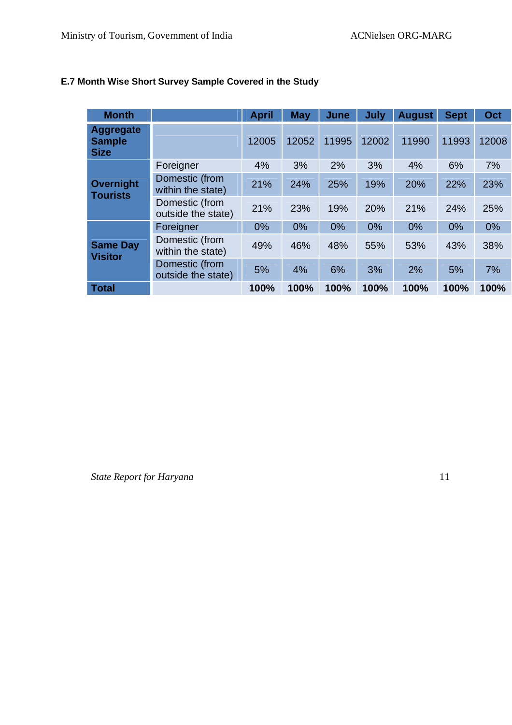| <b>Month</b>                                     |                                      | <b>April</b> | <b>May</b> | June  | <b>July</b> | <b>August</b> | <b>Sept</b> | Oct   |
|--------------------------------------------------|--------------------------------------|--------------|------------|-------|-------------|---------------|-------------|-------|
| <b>Aggregate</b><br><b>Sample</b><br><b>Size</b> |                                      | 12005        | 12052      | 11995 | 12002       | 11990         | 11993       | 12008 |
| <b>Overnight</b><br><b>Tourists</b>              | Foreigner                            | 4%           | 3%         | 2%    | 3%          | 4%            | 6%          | 7%    |
|                                                  | Domestic (from<br>within the state)  | 21%          | 24%        | 25%   | 19%         | 20%           | 22%         | 23%   |
|                                                  | Domestic (from<br>outside the state) | 21%          | 23%        | 19%   | 20%         | 21%           | 24%         | 25%   |
|                                                  | Foreigner                            | 0%           | 0%         | 0%    | 0%          | 0%            | 0%          | 0%    |
| <b>Same Day</b><br><b>Visitor</b>                | Domestic (from<br>within the state)  | 49%          | 46%        | 48%   | 55%         | 53%           | 43%         | 38%   |
|                                                  | Domestic (from<br>outside the state) | 5%           | 4%         | 6%    | 3%          | 2%            | 5%          | 7%    |
| <b>Total</b>                                     |                                      | 100%         | 100%       | 100%  | 100%        | 100%          | 100%        | 100%  |

#### **E.7 Month Wise Short Survey Sample Covered in the Study**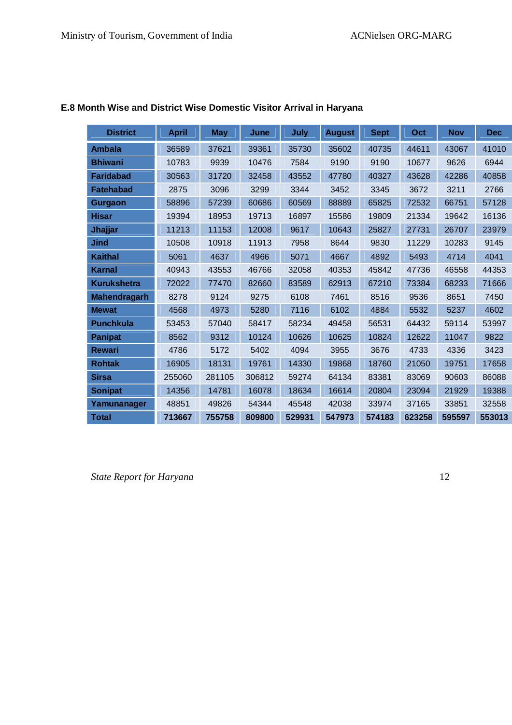| <b>District</b>     | <b>April</b> | <b>May</b> | June   | July   | <b>August</b> | <b>Sept</b> | Oct    | <b>Nov</b> | <b>Dec</b> |
|---------------------|--------------|------------|--------|--------|---------------|-------------|--------|------------|------------|
| <b>Ambala</b>       | 36589        | 37621      | 39361  | 35730  | 35602         | 40735       | 44611  | 43067      | 41010      |
| <b>Bhiwani</b>      | 10783        | 9939       | 10476  | 7584   | 9190          | 9190        | 10677  | 9626       | 6944       |
| <b>Faridabad</b>    | 30563        | 31720      | 32458  | 43552  | 47780         | 40327       | 43628  | 42286      | 40858      |
| <b>Fatehabad</b>    | 2875         | 3096       | 3299   | 3344   | 3452          | 3345        | 3672   | 3211       | 2766       |
| Gurgaon             | 58896        | 57239      | 60686  | 60569  | 88889         | 65825       | 72532  | 66751      | 57128      |
| <b>Hisar</b>        | 19394        | 18953      | 19713  | 16897  | 15586         | 19809       | 21334  | 19642      | 16136      |
| Jhajjar             | 11213        | 11153      | 12008  | 9617   | 10643         | 25827       | 27731  | 26707      | 23979      |
| <b>Jind</b>         | 10508        | 10918      | 11913  | 7958   | 8644          | 9830        | 11229  | 10283      | 9145       |
| <b>Kaithal</b>      | 5061         | 4637       | 4966   | 5071   | 4667          | 4892        | 5493   | 4714       | 4041       |
| <b>Karnal</b>       | 40943        | 43553      | 46766  | 32058  | 40353         | 45842       | 47736  | 46558      | 44353      |
| <b>Kurukshetra</b>  | 72022        | 77470      | 82660  | 83589  | 62913         | 67210       | 73384  | 68233      | 71666      |
| <b>Mahendragarh</b> | 8278         | 9124       | 9275   | 6108   | 7461          | 8516        | 9536   | 8651       | 7450       |
| <b>Mewat</b>        | 4568         | 4973       | 5280   | 7116   | 6102          | 4884        | 5532   | 5237       | 4602       |
| <b>Punchkula</b>    | 53453        | 57040      | 58417  | 58234  | 49458         | 56531       | 64432  | 59114      | 53997      |
| <b>Panipat</b>      | 8562         | 9312       | 10124  | 10626  | 10625         | 10824       | 12622  | 11047      | 9822       |
| <b>Rewari</b>       | 4786         | 5172       | 5402   | 4094   | 3955          | 3676        | 4733   | 4336       | 3423       |
| <b>Rohtak</b>       | 16905        | 18131      | 19761  | 14330  | 19868         | 18760       | 21050  | 19751      | 17658      |
| <b>Sirsa</b>        | 255060       | 281105     | 306812 | 59274  | 64134         | 83381       | 83069  | 90603      | 86088      |
| <b>Sonipat</b>      | 14356        | 14781      | 16078  | 18634  | 16614         | 20804       | 23094  | 21929      | 19388      |
| Yamunanager         | 48851        | 49826      | 54344  | 45548  | 42038         | 33974       | 37165  | 33851      | 32558      |
| <b>Total</b>        | 713667       | 755758     | 809800 | 529931 | 547973        | 574183      | 623258 | 595597     | 553013     |

#### **E.8 Month Wise and District Wise Domestic Visitor Arrival in Haryana**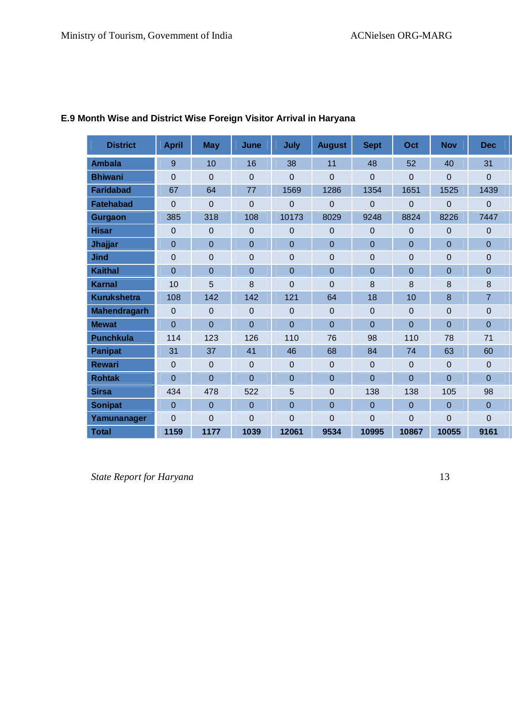| <b>District</b>     | <b>April</b>   | <b>May</b>     | <b>June</b>    | July           | <b>August</b>  | <b>Sept</b>    | Oct   | <b>Nov</b>     | <b>Dec</b>     |
|---------------------|----------------|----------------|----------------|----------------|----------------|----------------|-------|----------------|----------------|
| <b>Ambala</b>       | 9              | 10             | 16             | 38             | 11             | 48             | 52    | 40             | 31             |
| <b>Bhiwani</b>      | $\overline{0}$ | $\Omega$       | $\overline{0}$ | $\overline{0}$ | 0              | $\overline{0}$ | 0     | $\overline{0}$ | $\Omega$       |
| <b>Faridabad</b>    | 67             | 64             | 77             | 1569           | 1286           | 1354           | 1651  | 1525           | 1439           |
| <b>Fatehabad</b>    | $\Omega$       | $\Omega$       | $\Omega$       | 0              | 0              | $\Omega$       | 0     | $\Omega$       | $\Omega$       |
| Gurgaon             | 385            | 318            | 108            | 10173          | 8029           | 9248           | 8824  | 8226           | 7447           |
| <b>Hisar</b>        | $\overline{0}$ | $\mathbf 0$    | 0              | 0              | 0              | $\overline{0}$ | 0     | 0              | $\mathbf 0$    |
| Jhajjar             | $\overline{0}$ | $\overline{0}$ | $\overline{0}$ | 0              | $\overline{0}$ | $\mathbf 0$    | 0     | $\overline{0}$ | $\overline{0}$ |
| <b>Jind</b>         | $\overline{0}$ | $\overline{0}$ | 0              | 0              | 0              | $\mathbf 0$    | 0     | 0              | $\overline{0}$ |
| <b>Kaithal</b>      | $\overline{0}$ | $\overline{0}$ | $\overline{0}$ | $\overline{0}$ | $\overline{0}$ | $\overline{0}$ | 0     | $\overline{0}$ | $\overline{0}$ |
| <b>Karnal</b>       | 10             | 5              | 8              | 0              | 0              | 8              | 8     | 8              | 8              |
| <b>Kurukshetra</b>  | 108            | 142            | 142            | 121            | 64             | 18             | 10    | 8              | $\overline{7}$ |
| <b>Mahendragarh</b> | $\Omega$       | $\Omega$       | $\Omega$       | $\overline{0}$ | $\overline{0}$ | $\Omega$       | 0     | $\overline{0}$ | $\Omega$       |
| <b>Mewat</b>        | $\overline{0}$ | $\overline{0}$ | $\overline{0}$ | $\overline{0}$ | $\overline{0}$ | $\overline{0}$ | 0     | $\overline{0}$ | $\overline{0}$ |
| <b>Punchkula</b>    | 114            | 123            | 126            | 110            | 76             | 98             | 110   | 78             | 71             |
| <b>Panipat</b>      | 31             | 37             | 41             | 46             | 68             | 84             | 74    | 63             | 60             |
| <b>Rewari</b>       | $\Omega$       | $\Omega$       | $\overline{0}$ | 0              | $\overline{0}$ | $\mathbf 0$    | 0     | $\overline{0}$ | $\overline{0}$ |
| <b>Rohtak</b>       | $\overline{0}$ | $\overline{0}$ | $\overline{0}$ | 0              | 0              | $\overline{0}$ | 0     | $\Omega$       | $\overline{0}$ |
| <b>Sirsa</b>        | 434            | 478            | 522            | 5              | $\overline{0}$ | 138            | 138   | 105            | 98             |
| <b>Sonipat</b>      | $\overline{0}$ | $\Omega$       | $\overline{0}$ | 0              | 0              | $\overline{0}$ | 0     | $\Omega$       | $\Omega$       |
| Yamunanager         | $\Omega$       | $\Omega$       | $\overline{0}$ | 0              | 0              | $\Omega$       | 0     | $\overline{0}$ | $\Omega$       |
| <b>Total</b>        | 1159           | 1177           | 1039           | 12061          | 9534           | 10995          | 10867 | 10055          | 9161           |

#### **E.9 Month Wise and District Wise Foreign Visitor Arrival in Haryana**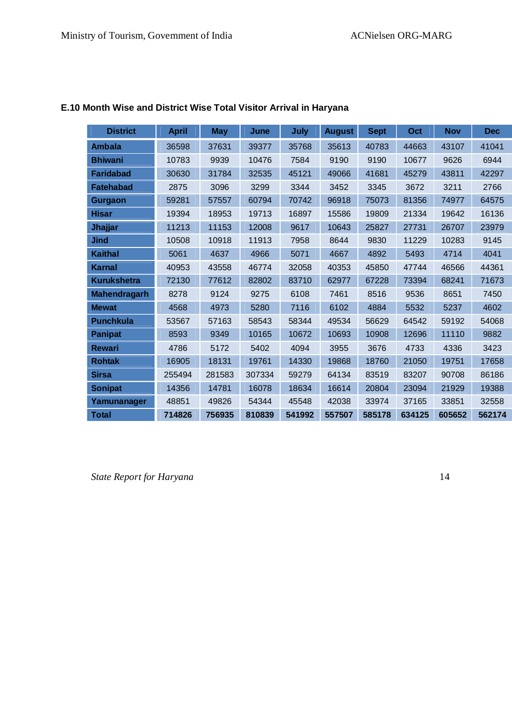| <b>District</b>     | <b>April</b> | <b>May</b> | June   | <b>July</b> | <b>August</b> | <b>Sept</b> | Oct    | <b>Nov</b> | <b>Dec</b> |
|---------------------|--------------|------------|--------|-------------|---------------|-------------|--------|------------|------------|
| <b>Ambala</b>       | 36598        | 37631      | 39377  | 35768       | 35613         | 40783       | 44663  | 43107      | 41041      |
| <b>Bhiwani</b>      | 10783        | 9939       | 10476  | 7584        | 9190          | 9190        | 10677  | 9626       | 6944       |
| <b>Faridabad</b>    | 30630        | 31784      | 32535  | 45121       | 49066         | 41681       | 45279  | 43811      | 42297      |
| <b>Fatehabad</b>    | 2875         | 3096       | 3299   | 3344        | 3452          | 3345        | 3672   | 3211       | 2766       |
| <b>Gurgaon</b>      | 59281        | 57557      | 60794  | 70742       | 96918         | 75073       | 81356  | 74977      | 64575      |
| <b>Hisar</b>        | 19394        | 18953      | 19713  | 16897       | 15586         | 19809       | 21334  | 19642      | 16136      |
| Jhajjar             | 11213        | 11153      | 12008  | 9617        | 10643         | 25827       | 27731  | 26707      | 23979      |
| Jind                | 10508        | 10918      | 11913  | 7958        | 8644          | 9830        | 11229  | 10283      | 9145       |
| <b>Kaithal</b>      | 5061         | 4637       | 4966   | 5071        | 4667          | 4892        | 5493   | 4714       | 4041       |
| <b>Karnal</b>       | 40953        | 43558      | 46774  | 32058       | 40353         | 45850       | 47744  | 46566      | 44361      |
| <b>Kurukshetra</b>  | 72130        | 77612      | 82802  | 83710       | 62977         | 67228       | 73394  | 68241      | 71673      |
| <b>Mahendragarh</b> | 8278         | 9124       | 9275   | 6108        | 7461          | 8516        | 9536   | 8651       | 7450       |
| <b>Mewat</b>        | 4568         | 4973       | 5280   | 7116        | 6102          | 4884        | 5532   | 5237       | 4602       |
| <b>Punchkula</b>    | 53567        | 57163      | 58543  | 58344       | 49534         | 56629       | 64542  | 59192      | 54068      |
| <b>Panipat</b>      | 8593         | 9349       | 10165  | 10672       | 10693         | 10908       | 12696  | 11110      | 9882       |
| <b>Rewari</b>       | 4786         | 5172       | 5402   | 4094        | 3955          | 3676        | 4733   | 4336       | 3423       |
| <b>Rohtak</b>       | 16905        | 18131      | 19761  | 14330       | 19868         | 18760       | 21050  | 19751      | 17658      |
| <b>Sirsa</b>        | 255494       | 281583     | 307334 | 59279       | 64134         | 83519       | 83207  | 90708      | 86186      |
| <b>Sonipat</b>      | 14356        | 14781      | 16078  | 18634       | 16614         | 20804       | 23094  | 21929      | 19388      |
| Yamunanager         | 48851        | 49826      | 54344  | 45548       | 42038         | 33974       | 37165  | 33851      | 32558      |
| <b>Total</b>        | 714826       | 756935     | 810839 | 541992      | 557507        | 585178      | 634125 | 605652     | 562174     |

#### **E.10 Month Wise and District Wise Total Visitor Arrival in Haryana**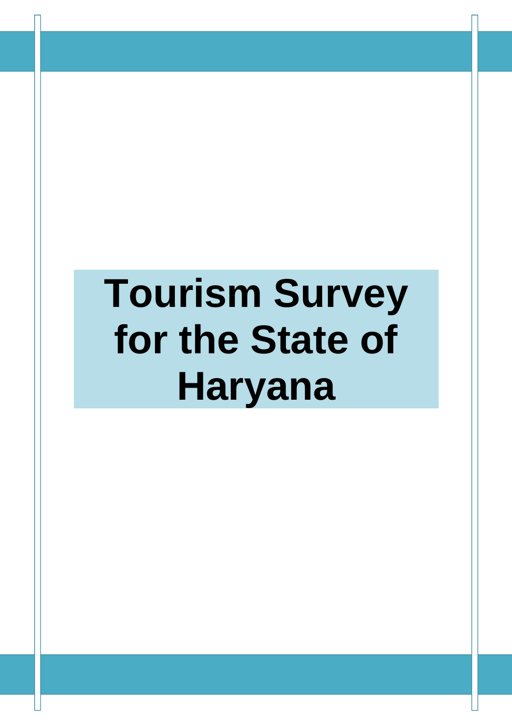# **Tourism Survey for the State of Haryana**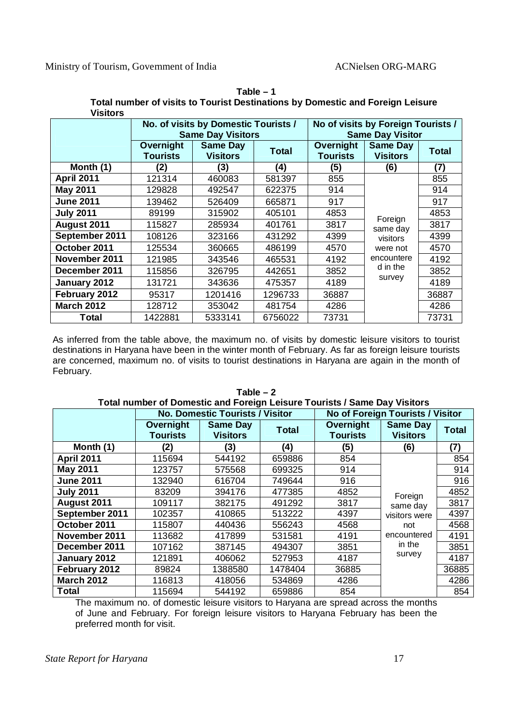| VISITORS          |                              |                                                                  |              |                                                               |                                    |              |  |  |
|-------------------|------------------------------|------------------------------------------------------------------|--------------|---------------------------------------------------------------|------------------------------------|--------------|--|--|
|                   |                              | No. of visits by Domestic Tourists /<br><b>Same Day Visitors</b> |              | No of visits by Foreign Tourists /<br><b>Same Day Visitor</b> |                                    |              |  |  |
|                   | Overnight<br><b>Tourists</b> | <b>Same Day</b><br><b>Visitors</b>                               | <b>Total</b> | Overnight<br><b>Tourists</b>                                  | <b>Same Day</b><br><b>Visitors</b> | <b>Total</b> |  |  |
| Month (1)         | (2)                          | (3)                                                              | (4)          | (5)                                                           | (6)                                | (7)          |  |  |
| <b>April 2011</b> | 121314                       | 460083                                                           | 581397       | 855                                                           |                                    | 855          |  |  |
| <b>May 2011</b>   | 129828                       | 492547                                                           | 622375       | 914                                                           |                                    | 914          |  |  |
| <b>June 2011</b>  | 139462                       | 526409                                                           | 665871       | 917                                                           |                                    | 917          |  |  |
| <b>July 2011</b>  | 89199                        | 315902                                                           | 405101       | 4853                                                          |                                    | 4853         |  |  |
| August 2011       | 115827                       | 285934                                                           | 401761       | 3817                                                          | Foreign<br>same day                | 3817         |  |  |
| September 2011    | 108126                       | 323166                                                           | 431292       | 4399                                                          | visitors                           | 4399         |  |  |
| October 2011      | 125534                       | 360665                                                           | 486199       | 4570                                                          | were not                           | 4570         |  |  |
| November 2011     | 121985                       | 343546                                                           | 465531       | 4192                                                          | encountere                         | 4192         |  |  |
| December 2011     | 115856                       | 326795                                                           | 442651       | 3852                                                          | d in the                           | 3852         |  |  |
| January 2012      | 131721                       | 343636                                                           | 475357       | 4189                                                          | survey                             | 4189         |  |  |
| February 2012     | 95317                        | 1201416                                                          | 1296733      | 36887                                                         |                                    | 36887        |  |  |
| <b>March 2012</b> | 128712                       | 353042                                                           | 481754       | 4286                                                          |                                    | 4286         |  |  |
| Total             | 1422881                      | 5333141                                                          | 6756022      | 73731                                                         |                                    | 73731        |  |  |

**Table – 1 Total number of visits to Tourist Destinations by Domestic and Foreign Leisure Visitors**

As inferred from the table above, the maximum no. of visits by domestic leisure visitors to tourist destinations in Haryana have been in the winter month of February. As far as foreign leisure tourists are concerned, maximum no. of visits to tourist destinations in Haryana are again in the month of February.

|                   | TUM HUIHDEL OF DUIHESIIC AND FUIEIGH LEISULE TUUHSIS / SAME DAY VISIIUI S |                                        |              |                              |                                    |              |  |  |  |  |  |
|-------------------|---------------------------------------------------------------------------|----------------------------------------|--------------|------------------------------|------------------------------------|--------------|--|--|--|--|--|
|                   |                                                                           | <b>No. Domestic Tourists / Visitor</b> |              |                              | No of Foreign Tourists / Visitor   |              |  |  |  |  |  |
|                   | Overnight<br><b>Tourists</b>                                              | <b>Same Day</b><br><b>Visitors</b>     | <b>Total</b> | Overnight<br><b>Tourists</b> | <b>Same Day</b><br><b>Visitors</b> | <b>Total</b> |  |  |  |  |  |
| Month (1)         | (2)                                                                       | (3)                                    | (4)          | (5)                          | (6)                                | (7)          |  |  |  |  |  |
| <b>April 2011</b> | 115694                                                                    | 544192                                 | 659886       | 854                          | Foreign                            | 854          |  |  |  |  |  |
| May 2011          | 123757                                                                    | 575568                                 | 699325       | 914                          |                                    | 914          |  |  |  |  |  |
| <b>June 2011</b>  | 132940                                                                    | 616704                                 | 749644       | 916                          |                                    | 916          |  |  |  |  |  |
| <b>July 2011</b>  | 83209                                                                     | 394176                                 | 477385       | 4852                         |                                    | 4852         |  |  |  |  |  |
| August 2011       | 109117                                                                    | 382175                                 | 491292       | 3817                         | same day                           | 3817         |  |  |  |  |  |
| September 2011    | 102357                                                                    | 410865                                 | 513222       | 4397                         | visitors were                      | 4397         |  |  |  |  |  |
| October 2011      | 115807                                                                    | 440436                                 | 556243       | 4568                         | not                                | 4568         |  |  |  |  |  |
| November 2011     | 113682                                                                    | 417899                                 | 531581       | 4191                         | encountered                        | 4191         |  |  |  |  |  |
| December 2011     | 107162                                                                    | 387145                                 | 494307       | 3851                         | in the                             | 3851         |  |  |  |  |  |
| January 2012      | 121891                                                                    | 406062                                 | 527953       | 4187                         | survey                             | 4187         |  |  |  |  |  |
| February 2012     | 89824                                                                     | 1388580                                | 1478404      | 36885                        |                                    | 36885        |  |  |  |  |  |
| <b>March 2012</b> | 116813                                                                    | 418056                                 | 534869       | 4286                         |                                    | 4286         |  |  |  |  |  |
| <b>Total</b>      | 115694                                                                    | 544192                                 | 659886       | 854                          |                                    | 854          |  |  |  |  |  |

**Table – 2 Total number of Domestic and Foreign Leisure Tourists / Same Day Visitors**

The maximum no. of domestic leisure visitors to Haryana are spread across the months of June and February. For foreign leisure visitors to Haryana February has been the preferred month for visit.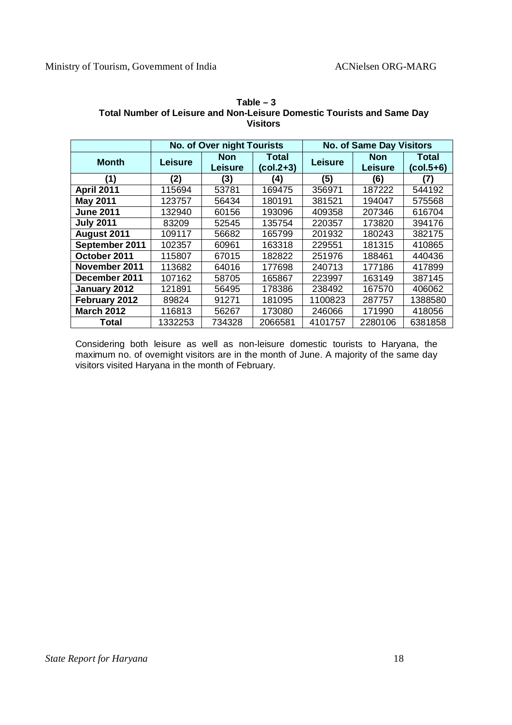|                   |                | <b>No. of Over night Tourists</b> |                      |                | <b>No. of Same Day Visitors</b> |                    |
|-------------------|----------------|-----------------------------------|----------------------|----------------|---------------------------------|--------------------|
| <b>Month</b>      | <b>Leisure</b> | <b>Non</b><br><b>Leisure</b>      | Total<br>$(col.2+3)$ | <b>Leisure</b> | <b>Non</b><br><b>Leisure</b>    | Total<br>(col.5+6) |
| (1)               | (2)            | (3)                               | (4)                  | (5)            | (6)                             | (7)                |
| <b>April 2011</b> | 115694         | 53781                             | 169475               | 356971         | 187222                          | 544192             |
| <b>May 2011</b>   | 123757         | 56434                             | 180191               | 381521         | 194047                          | 575568             |
| <b>June 2011</b>  | 132940         | 60156                             | 193096               | 409358         | 207346                          | 616704             |
| <b>July 2011</b>  | 83209          | 52545                             | 135754               | 220357         | 173820                          | 394176             |
| August 2011       | 109117         | 56682                             | 165799               | 201932         | 180243                          | 382175             |
| September 2011    | 102357         | 60961                             | 163318               | 229551         | 181315                          | 410865             |
| October 2011      | 115807         | 67015                             | 182822               | 251976         | 188461                          | 440436             |
| November 2011     | 113682         | 64016                             | 177698               | 240713         | 177186                          | 417899             |
| December 2011     | 107162         | 58705                             | 165867               | 223997         | 163149                          | 387145             |
| January 2012      | 121891         | 56495                             | 178386               | 238492         | 167570                          | 406062             |
| February 2012     | 89824          | 91271                             | 181095               | 1100823        | 287757                          | 1388580            |
| <b>March 2012</b> | 116813         | 56267                             | 173080               | 246066         | 171990                          | 418056             |
| Total             | 1332253        | 734328                            | 2066581              | 4101757        | 2280106                         | 6381858            |

**Table – 3 Total Number of Leisure and Non-Leisure Domestic Tourists and Same Day Visitors**

Considering both leisure as well as non-leisure domestic tourists to Haryana, the maximum no. of overnight visitors are in the month of June. A majority of the same day visitors visited Haryana in the month of February.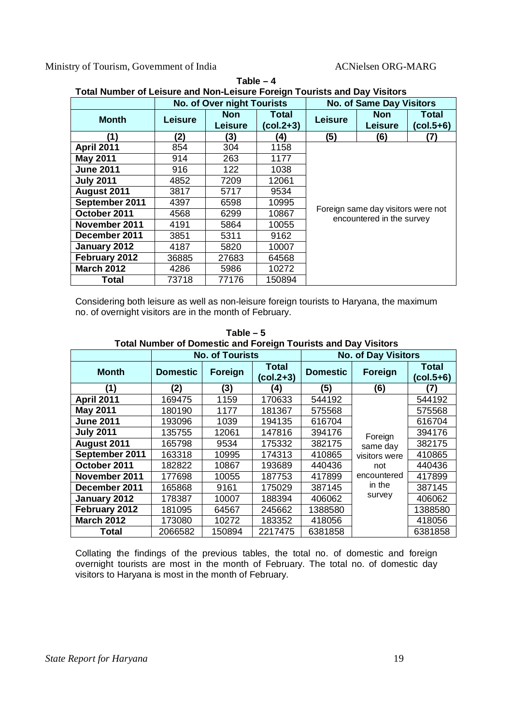Ministry of Tourism, Government of India ACNielsen ORG-MARG

| <b>Total Number of Leisure and Non-Leisure Foreign Tourists and Day Visitors</b> |                |                              |                      |                                 |                                                                 |                    |  |  |  |
|----------------------------------------------------------------------------------|----------------|------------------------------|----------------------|---------------------------------|-----------------------------------------------------------------|--------------------|--|--|--|
|                                                                                  |                | No. of Over night Tourists   |                      | <b>No. of Same Day Visitors</b> |                                                                 |                    |  |  |  |
| <b>Month</b>                                                                     | <b>Leisure</b> | <b>Non</b><br><b>Leisure</b> | Total<br>$(col.2+3)$ | <b>Leisure</b>                  | <b>Non</b><br><b>Leisure</b>                                    | Total<br>(col.5+6) |  |  |  |
| (1)                                                                              | (2)            | (3)                          | (4)                  | (5)                             | (6)                                                             | (7)                |  |  |  |
| <b>April 2011</b>                                                                | 854            | 304                          | 1158                 |                                 |                                                                 |                    |  |  |  |
| <b>May 2011</b>                                                                  | 914            | 263                          | 1177                 |                                 |                                                                 |                    |  |  |  |
| <b>June 2011</b>                                                                 | 916            | 122                          | 1038                 |                                 |                                                                 |                    |  |  |  |
| <b>July 2011</b>                                                                 | 4852           | 7209                         | 12061                |                                 |                                                                 |                    |  |  |  |
| August 2011                                                                      | 3817           | 5717                         | 9534                 |                                 |                                                                 |                    |  |  |  |
| September 2011                                                                   | 4397           | 6598                         | 10995                |                                 |                                                                 |                    |  |  |  |
| October 2011                                                                     | 4568           | 6299                         | 10867                |                                 | Foreign same day visitors were not<br>encountered in the survey |                    |  |  |  |
| November 2011                                                                    | 4191           | 5864                         | 10055                |                                 |                                                                 |                    |  |  |  |
| December 2011                                                                    | 3851           | 5311                         | 9162                 |                                 |                                                                 |                    |  |  |  |
| January 2012                                                                     | 4187           | 5820                         | 10007                |                                 |                                                                 |                    |  |  |  |
| February 2012                                                                    | 36885          | 27683                        | 64568                |                                 |                                                                 |                    |  |  |  |
| <b>March 2012</b>                                                                | 4286           | 5986                         | 10272                |                                 |                                                                 |                    |  |  |  |
| Total                                                                            | 73718          | 77176                        | 150894               |                                 |                                                                 |                    |  |  |  |

| Table – 4                                                                 |
|---------------------------------------------------------------------------|
| Total Number of Leisure and Non-Leisure Foreign Tourists and Day Visitors |

Considering both leisure as well as non-leisure foreign tourists to Haryana, the maximum no. of overnight visitors are in the month of February.

|  |  | Table $-5$                                                            |  |   |  |
|--|--|-----------------------------------------------------------------------|--|---|--|
|  |  | <b>Total Number of Domestic and Foreign Tourists and Day Visitors</b> |  |   |  |
|  |  |                                                                       |  | . |  |

|                   |                 | <b>No. of Tourists</b> |                             |                 | <b>No. of Day Visitors</b> |                             |  |  |
|-------------------|-----------------|------------------------|-----------------------------|-----------------|----------------------------|-----------------------------|--|--|
| <b>Month</b>      | <b>Domestic</b> | Foreign                | <b>Total</b><br>$(col.2+3)$ | <b>Domestic</b> | Foreign                    | <b>Total</b><br>$(col.5+6)$ |  |  |
| (1)               | (2)             | (3)                    | (4)                         | (5)             | (6)                        | (7)                         |  |  |
| <b>April 2011</b> | 169475          | 1159                   | 170633                      | 544192          |                            | 544192                      |  |  |
| <b>May 2011</b>   | 180190          | 1177                   | 181367                      | 575568          |                            | 575568                      |  |  |
| <b>June 2011</b>  | 193096          | 1039                   | 194135                      | 616704          |                            | 616704                      |  |  |
| <b>July 2011</b>  | 135755          | 12061                  | 147816                      | 394176          | Foreign                    | 394176                      |  |  |
| August 2011       | 165798          | 9534                   | 175332                      | 382175          | same day                   | 382175                      |  |  |
| September 2011    | 163318          | 10995                  | 174313                      | 410865          | visitors were              | 410865                      |  |  |
| October 2011      | 182822          | 10867                  | 193689                      | 440436          | not                        | 440436                      |  |  |
| November 2011     | 177698          | 10055                  | 187753                      | 417899          | encountered                | 417899                      |  |  |
| December 2011     | 165868          | 9161                   | 175029                      | 387145          | in the                     | 387145                      |  |  |
| January 2012      | 178387          | 10007                  | 188394                      | 406062          | survey                     | 406062                      |  |  |
| February 2012     | 181095          | 64567                  | 245662                      | 1388580         |                            | 1388580                     |  |  |
| <b>March 2012</b> | 173080          | 10272                  | 183352                      | 418056          |                            | 418056                      |  |  |
| Total             | 2066582         | 150894                 | 2217475                     | 6381858         |                            | 6381858                     |  |  |

Collating the findings of the previous tables, the total no. of domestic and foreign overnight tourists are most in the month of February. The total no. of domestic day visitors to Haryana is most in the month of February.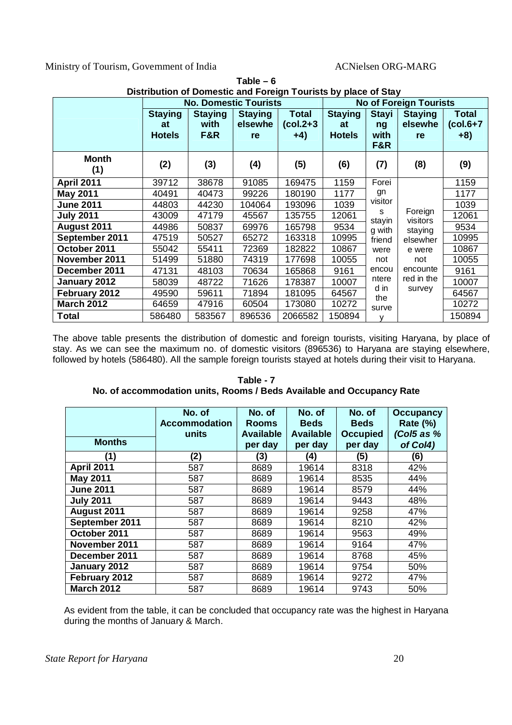Ministry of Tourism, Government of India ACNielsen ORG-MARG

|                     |                                       |                               | Distribution of Domestic and Foreign Tourists by place of Stay<br><b>No of Foreign Tourists</b> |                                      |                                       |                                                       |                                 |                                      |
|---------------------|---------------------------------------|-------------------------------|-------------------------------------------------------------------------------------------------|--------------------------------------|---------------------------------------|-------------------------------------------------------|---------------------------------|--------------------------------------|
|                     | <b>Staying</b><br>at<br><b>Hotels</b> | <b>Staying</b><br>with<br>F&R | <b>No. Domestic Tourists</b><br><b>Staying</b><br>elsewhe<br>re                                 | <b>Total</b><br>$(col.2+3)$<br>$+4)$ | <b>Staying</b><br>at<br><b>Hotels</b> | <b>Stayi</b><br>ng<br>with<br>F&R                     | <b>Staying</b><br>elsewhe<br>re | <b>Total</b><br>$(col.6+7)$<br>$+8)$ |
| <b>Month</b><br>(1) | (2)                                   | (3)                           | (4)                                                                                             | (5)                                  | (6)                                   | (7)                                                   | (8)                             | (9)                                  |
| <b>April 2011</b>   | 39712                                 | 38678                         | 91085                                                                                           | 169475                               | 1159                                  | Forei                                                 |                                 | 1159                                 |
| <b>May 2011</b>     | 40491                                 | 40473                         | 99226                                                                                           | 180190                               | 1177                                  | gn                                                    |                                 | 1177                                 |
| <b>June 2011</b>    | 44803                                 | 44230                         | 104064                                                                                          | 193096                               | 1039                                  | visitor                                               |                                 | 1039                                 |
| <b>July 2011</b>    | 43009                                 | 47179                         | 45567                                                                                           | 135755                               | 12061                                 | S<br>stayin                                           | Foreign<br>visitors             | 12061                                |
| August 2011         | 44986                                 | 50837                         | 69976                                                                                           | 165798                               | 9534                                  | g with                                                | staying                         | 9534                                 |
| September 2011      | 47519                                 | 50527                         | 65272                                                                                           | 163318                               | 10995                                 | friend                                                | elsewher                        | 10995                                |
| October 2011        | 55042                                 | 55411                         | 72369                                                                                           | 182822                               | 10867                                 | were                                                  | e were                          | 10867                                |
| November 2011       | 51499                                 | 51880                         | 74319                                                                                           | 177698                               | 10055                                 | not                                                   | not                             | 10055                                |
| December 2011       | 47131                                 | 48103                         | 70634                                                                                           | 165868                               | 9161                                  | encou<br>red in the<br>ntere<br>d in<br>survey<br>the | encounte                        | 9161                                 |
| January 2012        | 58039                                 | 48722                         | 71626                                                                                           | 178387                               | 10007                                 |                                                       |                                 | 10007                                |
| February 2012       | 49590                                 | 59611                         | 71894                                                                                           | 181095                               | 64567                                 |                                                       |                                 | 64567                                |
| <b>March 2012</b>   | 64659                                 | 47916                         | 60504                                                                                           | 173080                               | 10272                                 | surve                                                 |                                 | 10272                                |
| Total               | 586480                                | 583567                        | 896536                                                                                          | 2066582                              | 150894                                | v                                                     |                                 | 150894                               |

 $Table - 6$ 

The above table presents the distribution of domestic and foreign tourists, visiting Haryana, by place of stay. As we can see the maximum no. of domestic visitors (896536) to Haryana are staying elsewhere, followed by hotels (586480). All the sample foreign tourists stayed at hotels during their visit to Haryana.

| Table - 7                                                             |  |  |  |  |  |  |  |
|-----------------------------------------------------------------------|--|--|--|--|--|--|--|
| No. of accommodation units, Rooms / Beds Available and Occupancy Rate |  |  |  |  |  |  |  |

|                   | No. of<br><b>Accommodation</b><br>units | No. of<br><b>Rooms</b><br><b>Available</b> | No. of<br><b>Beds</b><br><b>Available</b> | No. of<br><b>Beds</b><br><b>Occupied</b> | <b>Occupancy</b><br>Rate $(\%)$<br>(Col5 as % |
|-------------------|-----------------------------------------|--------------------------------------------|-------------------------------------------|------------------------------------------|-----------------------------------------------|
| <b>Months</b>     |                                         | per day                                    | per day                                   | per day                                  | of Col4)                                      |
| (1)               | (2)                                     | (3)                                        | (4)                                       | (5)                                      | (6)                                           |
| <b>April 2011</b> | 587                                     | 8689                                       | 19614                                     | 8318                                     | 42%                                           |
| <b>May 2011</b>   | 587                                     | 8689                                       | 19614                                     | 8535                                     | 44%                                           |
| <b>June 2011</b>  | 587                                     | 8689                                       | 19614                                     | 8579                                     | 44%                                           |
| <b>July 2011</b>  | 587                                     | 8689                                       | 19614                                     | 9443                                     | 48%                                           |
| August 2011       | 587                                     | 8689                                       | 19614                                     | 9258                                     | 47%                                           |
| September 2011    | 587                                     | 8689                                       | 19614                                     | 8210                                     | 42%                                           |
| October 2011      | 587                                     | 8689                                       | 19614                                     | 9563                                     | 49%                                           |
| November 2011     | 587                                     | 8689                                       | 19614                                     | 9164                                     | 47%                                           |
| December 2011     | 587                                     | 8689                                       | 19614                                     | 8768                                     | 45%                                           |
| January 2012      | 587                                     | 8689                                       | 19614                                     | 9754                                     | 50%                                           |
| February 2012     | 587                                     | 8689                                       | 19614                                     | 9272                                     | 47%                                           |
| <b>March 2012</b> | 587                                     | 8689                                       | 19614                                     | 9743                                     | 50%                                           |

As evident from the table, it can be concluded that occupancy rate was the highest in Haryana during the months of January & March.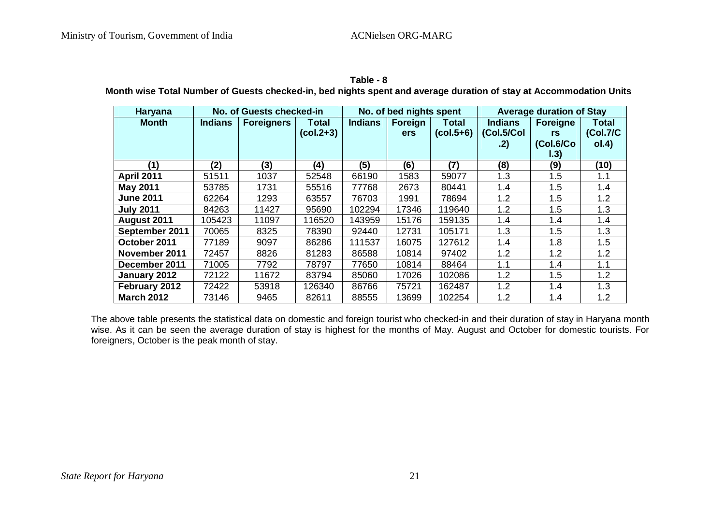#### **Table - 8**

**Month wise Total Number of Guests checked-in, bed nights spent and average duration of stay at Accommodation Units**

| Haryana           | No. of Guests checked-in |                   |              | No. of bed nights spent |            |             | <b>Average duration of Stay</b> |                 |              |
|-------------------|--------------------------|-------------------|--------------|-------------------------|------------|-------------|---------------------------------|-----------------|--------------|
| <b>Month</b>      | <b>Indians</b>           | <b>Foreigners</b> | <b>Total</b> | <b>Indians</b>          | Foreign    | Total       | <b>Indians</b>                  | <b>Foreigne</b> | <b>Total</b> |
|                   |                          |                   | $(col.2+3)$  |                         | <b>ers</b> | $(col.5+6)$ | (Col.5/Col                      | rs              | (Col.7/C     |
|                   |                          |                   |              |                         |            |             | .2)                             | (Col.6/Co       | ol.4)        |
|                   |                          |                   |              |                         |            |             |                                 | 1.3)            |              |
| (1)               | (2)                      | (3)               | (4)          | (5)                     | (6)        | (7)         | (8)                             | (9)             | (10)         |
| <b>April 2011</b> | 51511                    | 1037              | 52548        | 66190                   | 1583       | 59077       | 1.3                             | 1.5             | 1.1          |
| <b>May 2011</b>   | 53785                    | 1731              | 55516        | 77768                   | 2673       | 80441       | 1.4                             | 1.5             | 1.4          |
| <b>June 2011</b>  | 62264                    | 1293              | 63557        | 76703                   | 1991       | 78694       | 1.2                             | 1.5             | 1.2          |
| <b>July 2011</b>  | 84263                    | 11427             | 95690        | 102294                  | 17346      | 119640      | 1.2                             | 1.5             | 1.3          |
| August 2011       | 105423                   | 11097             | 116520       | 143959                  | 15176      | 159135      | 1.4                             | 1.4             | 1.4          |
| September 2011    | 70065                    | 8325              | 78390        | 92440                   | 12731      | 105171      | 1.3                             | 1.5             | 1.3          |
| October 2011      | 77189                    | 9097              | 86286        | 111537                  | 16075      | 127612      | 1.4                             | 1.8             | 1.5          |
| November 2011     | 72457                    | 8826              | 81283        | 86588                   | 10814      | 97402       | 1.2                             | 1.2             | 1.2          |
| December 2011     | 71005                    | 7792              | 78797        | 77650                   | 10814      | 88464       | 1.1                             | 1.4             | 1.1          |
| January 2012      | 72122                    | 11672             | 83794        | 85060                   | 17026      | 102086      | 1.2                             | 1.5             | 1.2          |
| February 2012     | 72422                    | 53918             | 126340       | 86766                   | 75721      | 162487      | 1.2                             | 1.4             | 1.3          |
| <b>March 2012</b> | 73146                    | 9465              | 82611        | 88555                   | 13699      | 102254      | 1.2                             | 1.4             | 1.2          |

The above table presents the statistical data on domestic and foreign tourist who checked-in and their duration of stay in Haryana month wise. As it can be seen the average duration of stay is highest for the months of May. August and October for domestic tourists. For foreigners, October is the peak month of stay.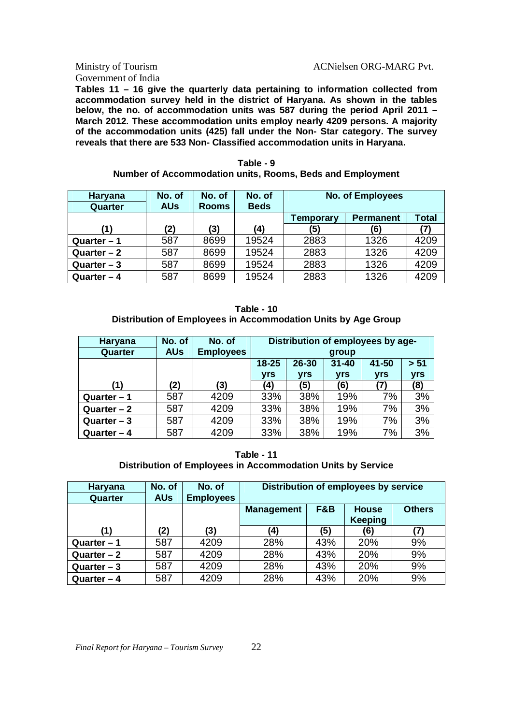### Government of India

#### Ministry of Tourism ACNielsen ORG-MARG Pvt.

**Tables 11 – 16 give the quarterly data pertaining to information collected from accommodation survey held in the district of Haryana. As shown in the tables below, the no. of accommodation units was 587 during the period April 2011 – March 2012. These accommodation units employ nearly 4209 persons. A majority of the accommodation units (425) fall under the Non- Star category. The survey reveals that there are 533 Non- Classified accommodation units in Haryana.**

| Haryana<br>Quarter | No. of<br><b>AUs</b> | No. of<br><b>Rooms</b> | No. of<br><b>Beds</b> | <b>No. of Employees</b> |                  |              |  |
|--------------------|----------------------|------------------------|-----------------------|-------------------------|------------------|--------------|--|
|                    |                      |                        |                       | Temporary               | <b>Permanent</b> | <b>Total</b> |  |
| (1)                | (2)                  | (3)                    | (4)                   | (5)                     | (6)              | (7)          |  |
| Quarter $-1$       | 587                  | 8699                   | 19524                 | 2883                    | 1326             | 4209         |  |
| Quarter $-2$       | 587                  | 8699                   | 19524                 | 2883                    | 1326             | 4209         |  |
| Quarter $-3$       | 587                  | 8699                   | 19524                 | 2883                    | 1326             | 4209         |  |
| Quarter $-4$       | 587                  | 8699                   | 19524                 | 2883                    | 1326             | 4209         |  |

| Table - 9                                                 |  |  |  |  |  |  |  |  |
|-----------------------------------------------------------|--|--|--|--|--|--|--|--|
| Number of Accommodation units, Rooms, Beds and Employment |  |  |  |  |  |  |  |  |

**Table - 10 Distribution of Employees in Accommodation Units by Age Group**

| Haryana      | No. of     | No. of           | Distribution of employees by age-                  |            |            |            |            |  |
|--------------|------------|------------------|----------------------------------------------------|------------|------------|------------|------------|--|
| Quarter      | <b>AUs</b> | <b>Employees</b> |                                                    |            | group      |            |            |  |
|              |            |                  | $> 51$<br>$18 - 25$<br>26-30<br>41-50<br>$31 - 40$ |            |            |            |            |  |
|              |            |                  | <b>vrs</b>                                         | <b>vrs</b> | <b>vrs</b> | <b>yrs</b> | <b>yrs</b> |  |
| (1)          | (2)        | (3)              | (4)                                                | (5)        | (6)        | 7)         | (8)        |  |
| Quarter $-1$ | 587        | 4209             | 33%                                                | 38%        | 19%        | 7%         | 3%         |  |
| Quarter $-2$ | 587        | 4209             | 33%                                                | 38%        | 19%        | 7%         | 3%         |  |
| Quarter $-3$ | 587        | 4209             | 33%                                                | 38%        | 19%        | 7%         | 3%         |  |
| Quarter $-4$ | 587        | 4209             | 33%                                                | 38%        | 19%        | 7%         | 3%         |  |

**Table - 11 Distribution of Employees in Accommodation Units by Service**

| Haryana<br>Quarter | No. of<br><b>AUs</b> | No. of<br><b>Employees</b> | Distribution of employees by service |     |                                |               |  |  |  |
|--------------------|----------------------|----------------------------|--------------------------------------|-----|--------------------------------|---------------|--|--|--|
|                    |                      |                            | <b>Management</b>                    | F&B | <b>House</b><br><b>Keeping</b> | <b>Others</b> |  |  |  |
| (1)                | (2)                  | (3)                        | (4)                                  | (5) | (6)                            | '7)           |  |  |  |
| Quarter $-1$       | 587                  | 4209                       | 28%                                  | 43% | 20%                            | 9%            |  |  |  |
| Quarter $-2$       | 587                  | 4209                       | 28%                                  | 43% | 20%                            | 9%            |  |  |  |
| Quarter $-3$       | 587                  | 4209                       | 28%                                  | 43% | 20%                            | 9%            |  |  |  |
| Quarter $-4$       | 587                  | 4209                       | 28%                                  | 43% | 20%                            | 9%            |  |  |  |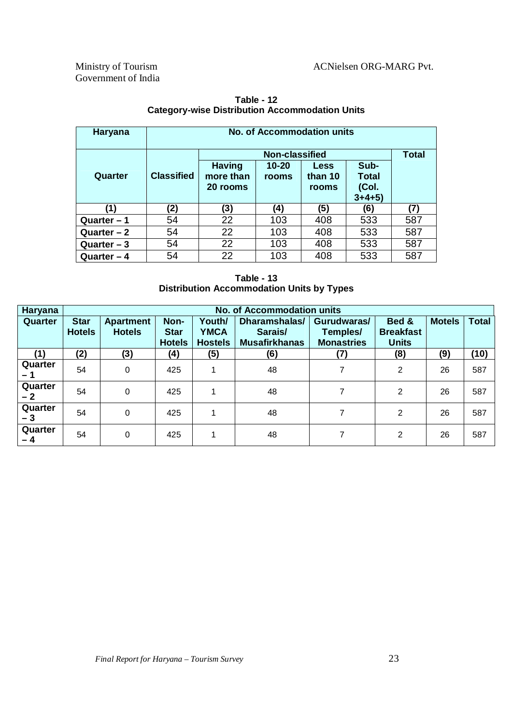| Haryana      | <b>No. of Accommodation units</b> |                                        |                       |                                 |                                    |     |
|--------------|-----------------------------------|----------------------------------------|-----------------------|---------------------------------|------------------------------------|-----|
|              |                                   |                                        | <b>Non-classified</b> |                                 |                                    |     |
| Quarter      | <b>Classified</b>                 | <b>Having</b><br>more than<br>20 rooms | $10 - 20$<br>rooms    | <b>Less</b><br>than 10<br>rooms | Sub-<br>Total<br>(Col.<br>$3+4+5)$ |     |
| (1)          | (2)                               | (3)                                    | (4)                   | (5)                             | (6)                                | (7) |
| Quarter $-1$ | 54                                | 22                                     | 103                   | 408                             | 533                                | 587 |
| Quarter $-2$ | 54                                | 22                                     | 103                   | 408                             | 533                                | 587 |
| Quarter $-3$ | 54                                | 22                                     | 103                   | 408                             | 533                                | 587 |
| Quarter $-4$ | 54                                | 22                                     | 103                   | 408                             | 533                                | 587 |

**Table - 12 Category-wise Distribution Accommodation Units**

| Table - 13                                       |
|--------------------------------------------------|
| <b>Distribution Accommodation Units by Types</b> |

| Haryana         |                              | <b>No. of Accommodation units</b> |                                      |                                         |                                                  |                                              |                                           |               |              |
|-----------------|------------------------------|-----------------------------------|--------------------------------------|-----------------------------------------|--------------------------------------------------|----------------------------------------------|-------------------------------------------|---------------|--------------|
| Quarter         | <b>Star</b><br><b>Hotels</b> | <b>Apartment</b><br><b>Hotels</b> | Non-<br><b>Star</b><br><b>Hotels</b> | Youth/<br><b>YMCA</b><br><b>Hostels</b> | Dharamshalas/<br>Sarais/<br><b>Musafirkhanas</b> | Gurudwaras/<br>Temples/<br><b>Monastries</b> | Bed &<br><b>Breakfast</b><br><b>Units</b> | <b>Motels</b> | <b>Total</b> |
| (1)             | (2)                          | (3)                               | (4)                                  | (5)                                     | (6)                                              | (7)                                          | (8)                                       | (9)           | (10)         |
| Quarter<br>– 1  | 54                           | 0                                 | 425                                  | 4                                       | 48                                               | 7                                            | 2                                         | 26            | 587          |
| Quarter<br>- 2  | 54                           | $\Omega$                          | 425                                  | 4                                       | 48                                               | 7                                            | $\overline{2}$                            | 26            | 587          |
| Quarter<br>- 3  | 54                           | 0                                 | 425                                  | 4                                       | 48                                               | 7                                            | 2                                         | 26            | 587          |
| Quarter<br>$-4$ | 54                           | $\Omega$                          | 425                                  |                                         | 48                                               |                                              | 2                                         | 26            | 587          |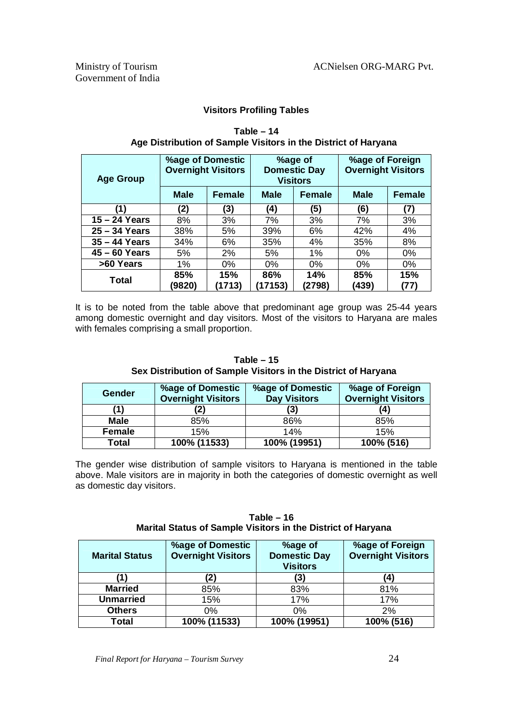#### **Visitors Profiling Tables**

| <b>Age Group</b> | %age of Domestic<br><b>Overnight Visitors</b> |               |                | %age of<br><b>Domestic Day</b><br><b>Visitors</b> | %age of Foreign<br><b>Overnight Visitors</b> |               |
|------------------|-----------------------------------------------|---------------|----------------|---------------------------------------------------|----------------------------------------------|---------------|
|                  | <b>Male</b>                                   | <b>Female</b> | <b>Male</b>    | <b>Female</b>                                     | <b>Male</b>                                  | <b>Female</b> |
| (1)              | (2)                                           | (3)           | (4)            | (5)                                               | (6)                                          | (7)           |
| $15 - 24$ Years  | 8%                                            | 3%            | 7%             | 3%                                                | 7%                                           | 3%            |
| $25 - 34$ Years  | 38%                                           | 5%            | 39%            | 6%                                                | 42%                                          | 4%            |
| $35 - 44$ Years  | 34%                                           | 6%            | 35%            | 4%                                                | 35%                                          | 8%            |
| $45 - 60$ Years  | 5%                                            | 2%            | 5%             | 1%                                                | 0%                                           | 0%            |
| >60 Years        | 1%                                            | 0%            | 0%             | 0%                                                | 0%                                           | 0%            |
| <b>Total</b>     | 85%<br>(9820)                                 | 15%<br>(1713) | 86%<br>(17153) | 14%<br>(2798)                                     | 85%<br>(439)                                 | 15%<br>(77)   |

#### **Table – 14 Age Distribution of Sample Visitors in the District of Haryana**

It is to be noted from the table above that predominant age group was 25-44 years among domestic overnight and day visitors. Most of the visitors to Haryana are males with females comprising a small proportion.

#### **Table – 15 Sex Distribution of Sample Visitors in the District of Haryana**

| Gender       | <b>%age of Domestic</b><br><b>Overnight Visitors</b> | %age of Domestic<br><b>Day Visitors</b> | %age of Foreign<br><b>Overnight Visitors</b> |
|--------------|------------------------------------------------------|-----------------------------------------|----------------------------------------------|
|              |                                                      | (3)                                     | (4)                                          |
| <b>Male</b>  | 85%                                                  | 86%                                     | 85%                                          |
| Female       | 15%                                                  | 14%                                     | 15%                                          |
| <b>Total</b> | 100% (11533)                                         | 100% (19951)                            | 100% (516)                                   |

The gender wise distribution of sample visitors to Haryana is mentioned in the table above. Male visitors are in majority in both the categories of domestic overnight as well as domestic day visitors.

#### **Table – 16 Marital Status of Sample Visitors in the District of Haryana**

| <b>Marital Status</b> | <b>%age of Domestic</b><br><b>Overnight Visitors</b> | %age of<br><b>Domestic Day</b><br><b>Visitors</b> | %age of Foreign<br><b>Overnight Visitors</b> |
|-----------------------|------------------------------------------------------|---------------------------------------------------|----------------------------------------------|
|                       | 2)                                                   | (3)                                               | 41                                           |
| <b>Married</b>        | 85%                                                  | 83%                                               | 81%                                          |
| <b>Unmarried</b>      | 15%                                                  | 17%                                               | 17%                                          |
| <b>Others</b>         | 0%                                                   | $0\%$                                             | 2%                                           |
| <b>Total</b>          | 100% (11533)                                         | 100% (19951)                                      | 100% (516)                                   |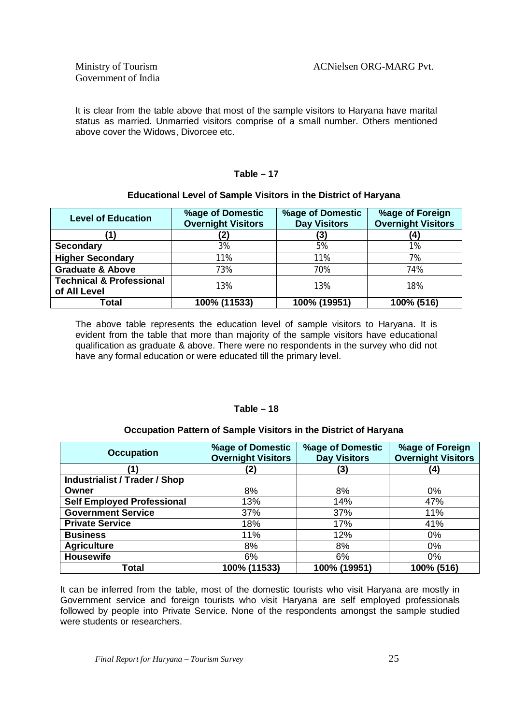It is clear from the table above that most of the sample visitors to Haryana have marital status as married. Unmarried visitors comprise of a small number. Others mentioned above cover the Widows, Divorcee etc.

#### **Table – 17**

#### **Educational Level of Sample Visitors in the District of Haryana**

| <b>Level of Education</b>                           | <b>%age of Domestic</b><br><b>Overnight Visitors</b> | %age of Domestic<br><b>Day Visitors</b> | %age of Foreign<br><b>Overnight Visitors</b> |
|-----------------------------------------------------|------------------------------------------------------|-----------------------------------------|----------------------------------------------|
|                                                     |                                                      | (3)                                     | (4)                                          |
| <b>Secondary</b>                                    | 3%                                                   | 5%                                      | 1%                                           |
| <b>Higher Secondary</b>                             | 11%                                                  | 11%                                     | 7%                                           |
| <b>Graduate &amp; Above</b>                         | 73%                                                  | 70%                                     | 74%                                          |
| <b>Technical &amp; Professional</b><br>of All Level | 13%                                                  | 13%                                     | 18%                                          |
| Total                                               | 100% (11533)                                         | 100% (19951)                            | 100% (516)                                   |

The above table represents the education level of sample visitors to Haryana. It is evident from the table that more than majority of the sample visitors have educational qualification as graduate & above. There were no respondents in the survey who did not have any formal education or were educated till the primary level.

#### **Table – 18**

#### **Occupation Pattern of Sample Visitors in the District of Haryana**

| <b>Occupation</b>                    | %age of Domestic<br><b>Overnight Visitors</b> | %age of Domestic<br><b>Day Visitors</b> | %age of Foreign<br><b>Overnight Visitors</b> |
|--------------------------------------|-----------------------------------------------|-----------------------------------------|----------------------------------------------|
|                                      | (2)                                           | (3)                                     | (4)                                          |
| <b>Industrialist / Trader / Shop</b> |                                               |                                         |                                              |
| Owner                                | 8%                                            | 8%                                      | $0\%$                                        |
| <b>Self Employed Professional</b>    | 13%                                           | 14%                                     | 47%                                          |
| <b>Government Service</b>            | 37%                                           | 37%                                     | 11%                                          |
| <b>Private Service</b>               | 18%                                           | 17%                                     | 41%                                          |
| <b>Business</b>                      | 11%                                           | 12%                                     | $0\%$                                        |
| <b>Agriculture</b>                   | 8%                                            | 8%                                      | $0\%$                                        |
| <b>Housewife</b>                     | 6%                                            | 6%                                      | $0\%$                                        |
| Total                                | 100% (11533)                                  | 100% (19951)                            | 100% (516)                                   |

It can be inferred from the table, most of the domestic tourists who visit Haryana are mostly in Government service and foreign tourists who visit Haryana are self employed professionals followed by people into Private Service. None of the respondents amongst the sample studied were students or researchers.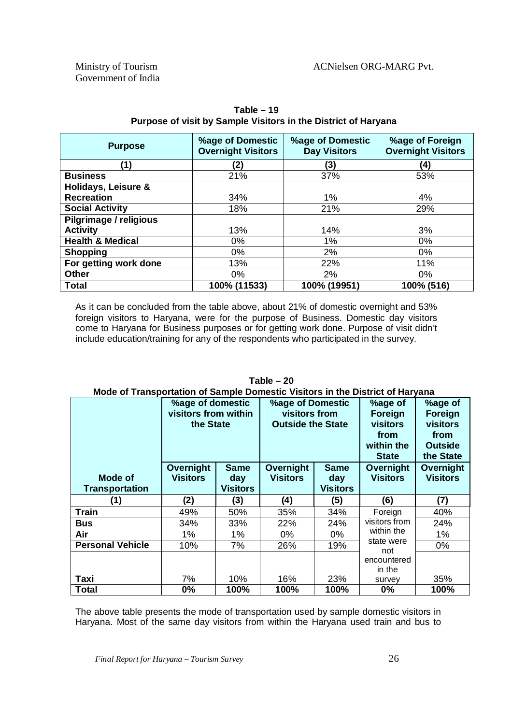| <b>Purpose</b>              | %age of Domestic<br><b>Overnight Visitors</b> | %age of Domestic<br><b>Day Visitors</b> | %age of Foreign<br><b>Overnight Visitors</b> |
|-----------------------------|-----------------------------------------------|-----------------------------------------|----------------------------------------------|
| '1)                         | (2)                                           | (3)                                     | (4)                                          |
| <b>Business</b>             | 21%                                           | 37%                                     | 53%                                          |
| Holidays, Leisure &         |                                               |                                         |                                              |
| <b>Recreation</b>           | 34%                                           | 1%                                      | 4%                                           |
| <b>Social Activity</b>      | 18%                                           | 21%                                     | 29%                                          |
| Pilgrimage / religious      |                                               |                                         |                                              |
| <b>Activity</b>             | 13%                                           | 14%                                     | 3%                                           |
| <b>Health &amp; Medical</b> | $0\%$                                         | 1%                                      | $0\%$                                        |
| <b>Shopping</b>             | 0%                                            | 2%                                      | 0%                                           |
| For getting work done       | 13%                                           | 22%                                     | 11%                                          |
| <b>Other</b>                | $0\%$                                         | 2%                                      | $0\%$                                        |
| <b>Total</b>                | 100% (11533)                                  | 100% (19951)                            | 100% (516)                                   |

**Table – 19 Purpose of visit by Sample Visitors in the District of Haryana**

As it can be concluded from the table above, about 21% of domestic overnight and 53% foreign visitors to Haryana, were for the purpose of Business. Domestic day visitors come to Haryana for Business purposes or for getting work done. Purpose of visit didn't include education/training for any of the respondents who participated in the survey.

|                                         | %age of domestic<br>visitors from within<br>the State |                                       | <b>%age of Domestic</b><br>visitors from<br><b>Outside the State</b> |                                       | %age of<br>Foreign<br><b>visitors</b><br>from<br>within the<br><b>State</b> | %age of<br>Foreign<br>visitors<br>from<br><b>Outside</b><br>the State |
|-----------------------------------------|-------------------------------------------------------|---------------------------------------|----------------------------------------------------------------------|---------------------------------------|-----------------------------------------------------------------------------|-----------------------------------------------------------------------|
| <b>Mode of</b><br><b>Transportation</b> | Overnight<br><b>Visitors</b>                          | <b>Same</b><br>day<br><b>Visitors</b> | Overnight<br><b>Visitors</b>                                         | <b>Same</b><br>day<br><b>Visitors</b> | Overnight<br><b>Visitors</b>                                                | Overnight<br><b>Visitors</b>                                          |
| (1)                                     | (2)                                                   | (3)                                   | (4)                                                                  | (5)                                   | (6)                                                                         | (7)                                                                   |
| Train                                   | 49%                                                   | 50%                                   | 35%                                                                  | 34%                                   | Foreign                                                                     | 40%                                                                   |
| <b>Bus</b>                              | 34%                                                   | 33%                                   | 22%                                                                  | 24%                                   | visitors from                                                               | 24%                                                                   |
| Air                                     | $1\%$                                                 | $1\%$                                 | 0%                                                                   | 0%                                    | within the                                                                  | $1\%$                                                                 |
|                                         |                                                       |                                       |                                                                      |                                       |                                                                             |                                                                       |
| <b>Personal Vehicle</b>                 | 10%                                                   | 7%                                    | 26%                                                                  | 19%                                   | state were                                                                  | 0%                                                                    |
| Taxi                                    | 7%                                                    | 10%                                   | 16%                                                                  | 23%                                   | not<br>encountered<br>in the<br>survey                                      | 35%                                                                   |

**Table – 20 Mode of Transportation of Sample Domestic Visitors in the District of Haryana**

The above table presents the mode of transportation used by sample domestic visitors in Haryana. Most of the same day visitors from within the Haryana used train and bus to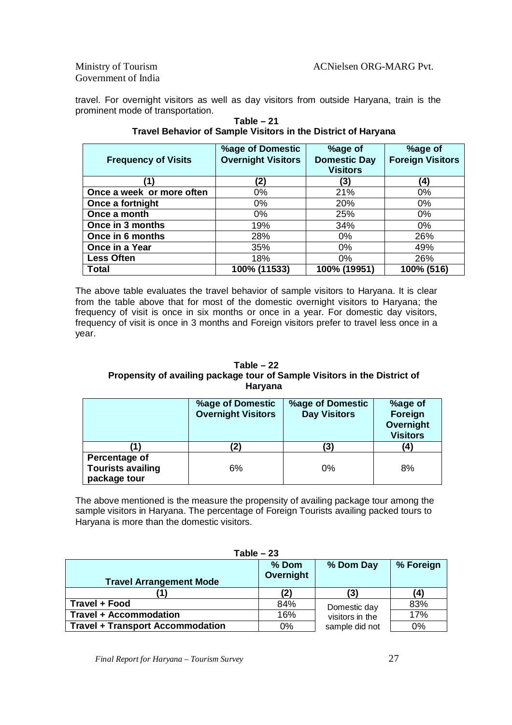Government of India

travel. For overnight visitors as well as day visitors from outside Haryana, train is the prominent mode of transportation.

| <b>Frequency of Visits</b> | %age of Domestic<br><b>Overnight Visitors</b> | %age of<br><b>Domestic Day</b><br><b>Visitors</b> | %age of<br><b>Foreign Visitors</b> |
|----------------------------|-----------------------------------------------|---------------------------------------------------|------------------------------------|
|                            | (2)                                           | (3)                                               | (4)                                |
| Once a week or more often  | 0%                                            | 21%                                               | 0%                                 |
| Once a fortnight           | $0\%$                                         | 20%                                               | $0\%$                              |
| Once a month               | 0%                                            | 25%                                               | 0%                                 |
| Once in 3 months           | 19%                                           | 34%                                               | $0\%$                              |
| Once in 6 months           | 28%                                           | $0\%$                                             | 26%                                |
| Once in a Year             | 35%                                           | $0\%$                                             | 49%                                |
| <b>Less Often</b>          | 18%                                           | 0%                                                | 26%                                |
| <b>Total</b>               | 100% (11533)                                  | 100% (19951)                                      | 100% (516)                         |

**Table – 21 Travel Behavior of Sample Visitors in the District of Haryana**

The above table evaluates the travel behavior of sample visitors to Haryana. It is clear from the table above that for most of the domestic overnight visitors to Haryana; the frequency of visit is once in six months or once in a year. For domestic day visitors, frequency of visit is once in 3 months and Foreign visitors prefer to travel less once in a year.

#### **Table – 22 Propensity of availing package tour of Sample Visitors in the District of Haryana**

|                                                           | %age of Domestic<br><b>Overnight Visitors</b> | <b>%age of Domestic</b><br><b>Day Visitors</b> | %age of<br>Foreign<br>Overnight<br><b>Visitors</b> |
|-----------------------------------------------------------|-----------------------------------------------|------------------------------------------------|----------------------------------------------------|
|                                                           | '2)                                           | (3)                                            | (4)                                                |
| Percentage of<br><b>Tourists availing</b><br>package tour | 6%                                            | $0\%$                                          | 8%                                                 |

The above mentioned is the measure the propensity of availing package tour among the sample visitors in Haryana. The percentage of Foreign Tourists availing packed tours to Haryana is more than the domestic visitors.

|                                         | Table – 23           |                 |           |
|-----------------------------------------|----------------------|-----------------|-----------|
| <b>Travel Arrangement Mode</b>          | $%$ Dom<br>Overnight | % Dom Day       | % Foreign |
|                                         |                      | (3)             | 4         |
| Travel + Food                           | 84%                  | Domestic day    | 83%       |
| <b>Travel + Accommodation</b>           | 16%                  | visitors in the | 17%       |
| <b>Travel + Transport Accommodation</b> | 0%                   | sample did not  | 0%        |

**Table – 23**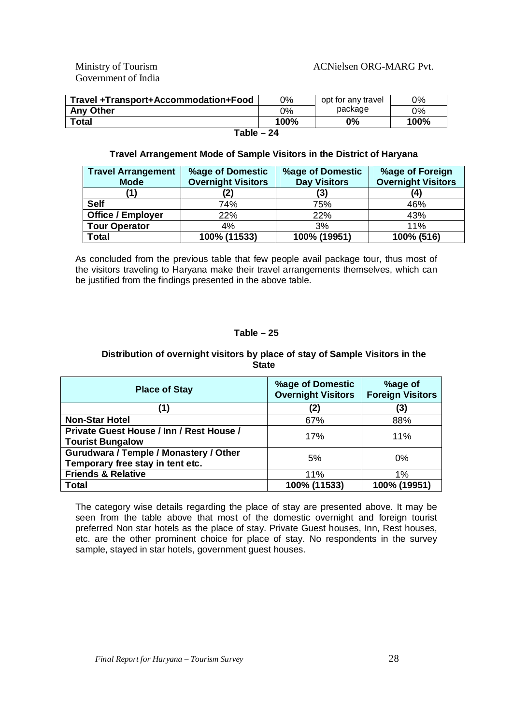Government of India

#### Ministry of Tourism ACNielsen ORG-MARG Pvt.

| Travel +Transport+Accommodation+Food | 0%   | opt for any travel | 0%    |  |
|--------------------------------------|------|--------------------|-------|--|
| <b>Any Other</b>                     | ገ%   | package            | $0\%$ |  |
| <b>Total</b>                         | 100% | 0%                 | 100%  |  |
| Table – 24                           |      |                    |       |  |

#### **Travel Arrangement Mode of Sample Visitors in the District of Haryana**

| <b>Travel Arrangement</b><br><b>Mode</b> | <b>%age of Domestic</b><br><b>Overnight Visitors</b> | <b>%age of Domestic</b><br><b>Day Visitors</b> | %age of Foreign<br><b>Overnight Visitors</b> |
|------------------------------------------|------------------------------------------------------|------------------------------------------------|----------------------------------------------|
| '1)                                      | (2)                                                  | (3)                                            | $\bf{4}$                                     |
| <b>Self</b>                              | 74%                                                  | 75%                                            | 46%                                          |
| <b>Office / Employer</b>                 | 22%                                                  | 22%                                            | 43%                                          |
| <b>Tour Operator</b>                     | 4%                                                   | 3%                                             | 11%                                          |
| <b>Total</b>                             | 100% (11533)                                         | 100% (19951)                                   | 100% (516)                                   |

As concluded from the previous table that few people avail package tour, thus most of the visitors traveling to Haryana make their travel arrangements themselves, which can be justified from the findings presented in the above table.

#### **Table – 25**

#### **Distribution of overnight visitors by place of stay of Sample Visitors in the State**

| <b>Place of Stay</b>                     | <b>%age of Domestic</b><br><b>Overnight Visitors</b> | %age of<br><b>Foreign Visitors</b> |
|------------------------------------------|------------------------------------------------------|------------------------------------|
| (1)                                      | (2)                                                  | (3)                                |
| <b>Non-Star Hotel</b>                    | 67%                                                  | 88%                                |
| Private Guest House / Inn / Rest House / | 17%                                                  | 11%                                |
| <b>Tourist Bungalow</b>                  |                                                      |                                    |
| Gurudwara / Temple / Monastery / Other   | 5%                                                   | $0\%$                              |
| Temporary free stay in tent etc.         |                                                      |                                    |
| <b>Friends &amp; Relative</b>            | 11%                                                  | $1\%$                              |
| Total                                    | 100% (11533)                                         | 100% (19951)                       |

The category wise details regarding the place of stay are presented above. It may be seen from the table above that most of the domestic overnight and foreign tourist preferred Non star hotels as the place of stay. Private Guest houses, Inn, Rest houses, etc. are the other prominent choice for place of stay. No respondents in the survey sample, stayed in star hotels, government guest houses.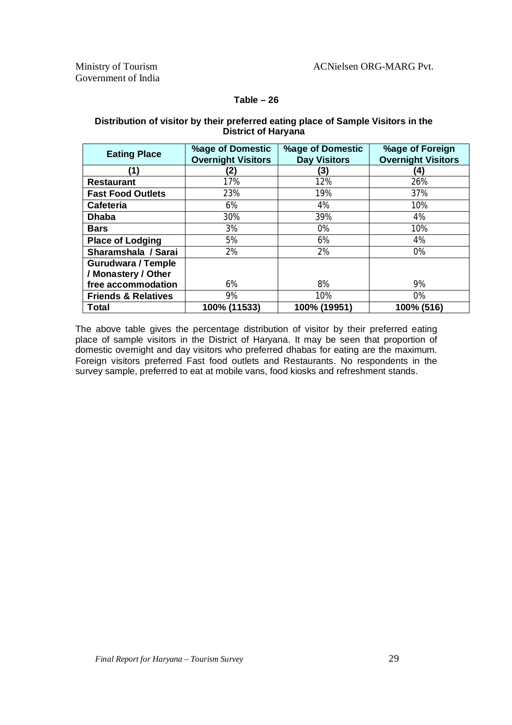#### **Table – 26**

#### **Distribution of visitor by their preferred eating place of Sample Visitors in the District of Haryana**

| <b>Eating Place</b>            | %age of Domestic<br><b>Overnight Visitors</b> | %age of Domestic<br><b>Day Visitors</b> | %age of Foreign<br><b>Overnight Visitors</b> |
|--------------------------------|-----------------------------------------------|-----------------------------------------|----------------------------------------------|
| (1)                            | (2)                                           | (3)                                     | (4)                                          |
| <b>Restaurant</b>              | 17%                                           | 12%                                     | 26%                                          |
| <b>Fast Food Outlets</b>       | 23%                                           | 19%                                     | 37%                                          |
| Cafeteria                      | 6%                                            | 4%                                      | 10%                                          |
| <b>Dhaba</b>                   | 30%                                           | 39%                                     | 4%                                           |
| <b>Bars</b>                    | 3%                                            | 0%                                      | 10%                                          |
| <b>Place of Lodging</b>        | 5%                                            | 6%                                      | 4%                                           |
| Sharamshala / Sarai            | 2%                                            | 2%                                      | 0%                                           |
| <b>Gurudwara / Temple</b>      |                                               |                                         |                                              |
| / Monastery / Other            |                                               |                                         |                                              |
| free accommodation             | 6%                                            | 8%                                      | 9%                                           |
| <b>Friends &amp; Relatives</b> | 9%                                            | 10%                                     | 0%                                           |
| Total                          | 100% (11533)                                  | 100% (19951)                            | 100% (516)                                   |

The above table gives the percentage distribution of visitor by their preferred eating place of sample visitors in the District of Haryana. It may be seen that proportion of domestic overnight and day visitors who preferred dhabas for eating are the maximum. Foreign visitors preferred Fast food outlets and Restaurants. No respondents in the survey sample, preferred to eat at mobile vans, food kiosks and refreshment stands.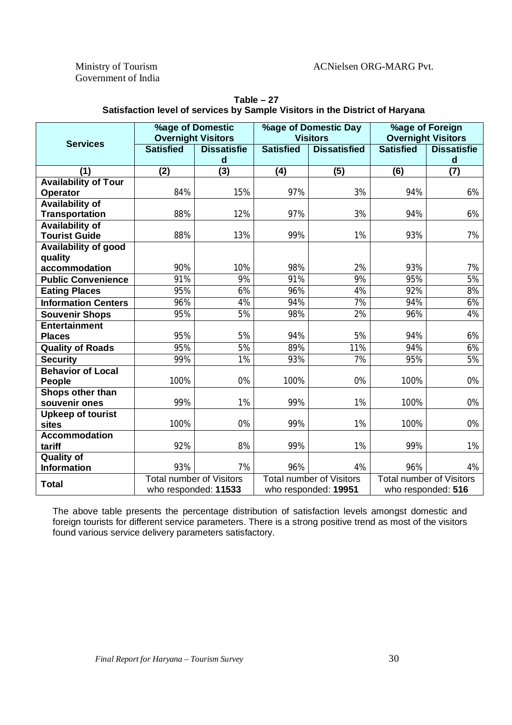Government of India

|                             | %age of Domestic<br><b>Overnight Visitors</b> |                    | %age of Domestic Day<br><b>Visitors</b> |                                 | %age of Foreign<br><b>Overnight Visitors</b> |                    |  |
|-----------------------------|-----------------------------------------------|--------------------|-----------------------------------------|---------------------------------|----------------------------------------------|--------------------|--|
| <b>Services</b>             | <b>Satisfied</b>                              | <b>Dissatisfie</b> | <b>Satisfied</b>                        | <b>Dissatisfied</b>             | <b>Satisfied</b>                             | <b>Dissatisfie</b> |  |
|                             |                                               | $\mathsf{d}$       |                                         |                                 |                                              | d                  |  |
| (1)                         | $\overline{(2)}$                              | $\overline{(3)}$   | $\overline{(4)}$                        | $\overline{(5)}$                | (6)                                          | $\overline{(7)}$   |  |
| <b>Availability of Tour</b> |                                               |                    |                                         |                                 |                                              |                    |  |
| Operator                    | 84%                                           | 15%                | 97%                                     | 3%                              | 94%                                          | 6%                 |  |
| <b>Availability of</b>      |                                               |                    |                                         |                                 |                                              |                    |  |
| <b>Transportation</b>       | 88%                                           | 12%                | 97%                                     | 3%                              | 94%                                          | 6%                 |  |
| <b>Availability of</b>      |                                               |                    |                                         |                                 |                                              |                    |  |
| <b>Tourist Guide</b>        | 88%                                           | 13%                | 99%                                     | 1%                              | 93%                                          | 7%                 |  |
| <b>Availability of good</b> |                                               |                    |                                         |                                 |                                              |                    |  |
| quality                     |                                               |                    |                                         |                                 |                                              |                    |  |
| accommodation               | 90%                                           | 10%                | 98%                                     | 2%                              | 93%                                          | 7%                 |  |
| <b>Public Convenience</b>   | 91%                                           | 9%                 | 91%                                     | 9%                              | 95%                                          | 5%                 |  |
| <b>Eating Places</b>        | 95%                                           | 6%                 | 96%                                     | 4%                              | 92%                                          | 8%                 |  |
| <b>Information Centers</b>  | 96%                                           | 4%                 | 94%                                     | 7%                              | 94%                                          | 6%                 |  |
| <b>Souvenir Shops</b>       | 95%                                           | 5%                 | 98%                                     | $\overline{2\%}$                | 96%                                          | 4%                 |  |
| <b>Entertainment</b>        |                                               |                    |                                         |                                 |                                              |                    |  |
| <b>Places</b>               | 95%                                           | 5%                 | 94%                                     | 5%                              | 94%                                          | 6%                 |  |
| <b>Quality of Roads</b>     | 95%                                           | 5%                 | 89%                                     | 11%                             | 94%                                          | 6%                 |  |
| <b>Security</b>             | 99%                                           | 1%                 | 93%                                     | $\overline{7\%}$                | 95%                                          | 5%                 |  |
| <b>Behavior of Local</b>    |                                               |                    |                                         |                                 |                                              |                    |  |
| People                      | 100%                                          | 0%                 | 100%                                    | 0%                              | 100%                                         | 0%                 |  |
| Shops other than            |                                               |                    |                                         |                                 |                                              |                    |  |
| souvenir ones               | 99%                                           | 1%                 | 99%                                     | 1%                              | 100%                                         | 0%                 |  |
| <b>Upkeep of tourist</b>    |                                               |                    |                                         |                                 |                                              |                    |  |
| sites                       | 100%                                          | 0%                 | 99%                                     | 1%                              | 100%                                         | 0%                 |  |
| Accommodation               |                                               |                    |                                         |                                 |                                              |                    |  |
| tariff                      | 92%                                           | 8%                 | 99%                                     | 1%                              | 99%                                          | 1%                 |  |
| <b>Quality of</b>           |                                               |                    |                                         |                                 |                                              |                    |  |
| <b>Information</b>          | 93%                                           | 7%                 | 96%                                     | 4%                              | 96%                                          | 4%                 |  |
| <b>Total</b>                | <b>Total number of Visitors</b>               |                    |                                         | <b>Total number of Visitors</b> | <b>Total number of Visitors</b>              |                    |  |
|                             | who responded: 11533                          |                    |                                         | who responded: 19951            |                                              | who responded: 516 |  |

**Table – 27 Satisfaction level of services by Sample Visitors in the District of Haryana**

The above table presents the percentage distribution of satisfaction levels amongst domestic and foreign tourists for different service parameters. There is a strong positive trend as most of the visitors found various service delivery parameters satisfactory.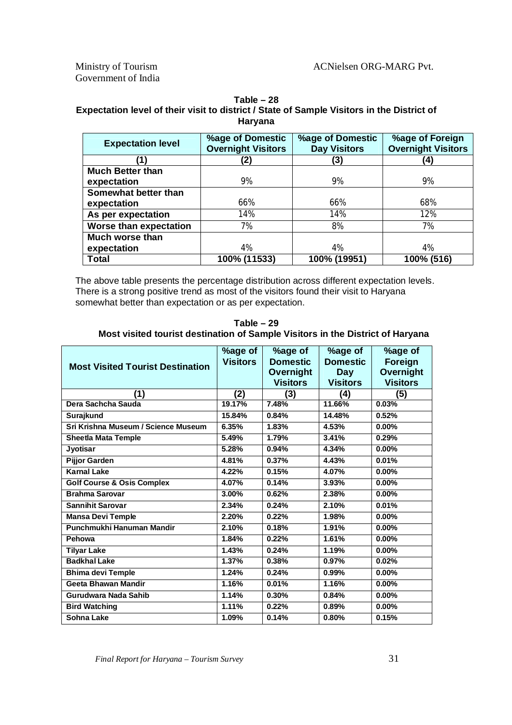Government of India

| Table – 28                                                                                 |
|--------------------------------------------------------------------------------------------|
| Expectation level of their visit to district / State of Sample Visitors in the District of |
| Haryana                                                                                    |

| <b>Expectation level</b>      | %age of Domestic<br><b>Overnight Visitors</b> | <b>%age of Domestic</b><br><b>Day Visitors</b> | %age of Foreign<br><b>Overnight Visitors</b> |
|-------------------------------|-----------------------------------------------|------------------------------------------------|----------------------------------------------|
|                               | '2)                                           | (3)                                            | $\left( 4\right)$                            |
| <b>Much Better than</b>       |                                               |                                                |                                              |
| expectation                   | 9%                                            | 9%                                             | 9%                                           |
| Somewhat better than          |                                               |                                                |                                              |
| expectation                   | 66%                                           | 66%                                            | 68%                                          |
| As per expectation            | 14%                                           | 14%                                            | 12%                                          |
| <b>Worse than expectation</b> | 7%                                            | 8%                                             | 7%                                           |
| Much worse than               |                                               |                                                |                                              |
| expectation                   | 4%                                            | 4%                                             | 4%                                           |
| <b>Total</b>                  | 100% (11533)                                  | 100% (19951)                                   | 100% (516)                                   |

The above table presents the percentage distribution across different expectation levels. There is a strong positive trend as most of the visitors found their visit to Haryana somewhat better than expectation or as per expectation.

**Table – 29 Most visited tourist destination of Sample Visitors in the District of Haryana**

|                                         | %age of             | %age of         | %age of         | %age of         |
|-----------------------------------------|---------------------|-----------------|-----------------|-----------------|
| <b>Most Visited Tourist Destination</b> | <b>Visitors</b>     | <b>Domestic</b> | <b>Domestic</b> | Foreign         |
|                                         |                     | Overnight       | Day             | Overnight       |
|                                         |                     | <b>Visitors</b> | <b>Visitors</b> | <b>Visitors</b> |
| (1)                                     | (2)                 | (3)             | (4)             | (5)             |
| Dera Sachcha Sauda                      | 19.17%              | 7.48%           | 11.66%          | 0.03%           |
| Surajkund                               | 15.84%              | 0.84%           | 14.48%          | 0.52%           |
| Sri Krishna Museum / Science Museum     | 6.35%               | 1.83%           | 4.53%           | $0.00\%$        |
| <b>Sheetla Mata Temple</b>              | 5.49%               | 1.79%           | 3.41%           | 0.29%           |
| Jyotisar                                | 5.28%               | 0.94%           | 4.34%           | $0.00\%$        |
| <b>Pijjor Garden</b>                    | 4.81%               | 0.37%           | 4.43%           | 0.01%           |
| <b>Karnal Lake</b>                      | 4.22%               | 0.15%           | 4.07%           | $0.00\%$        |
| <b>Golf Course &amp; Osis Complex</b>   | 4.07%               | 0.14%           | 3.93%           | $0.00\%$        |
| <b>Brahma Sarovar</b>                   | 3.00%               | 0.62%           | 2.38%           | $0.00\%$        |
| <b>Sannihit Sarovar</b>                 | 2.34%               | 0.24%           | 2.10%           | 0.01%           |
| <b>Mansa Devi Temple</b>                | 2.20%               | 0.22%           | 1.98%           | $0.00\%$        |
| Punchmukhi Hanuman Mandir               | 2.10%               | 0.18%           | 1.91%           | $0.00\%$        |
| Pehowa                                  | 1,84%               | 0.22%           | 1.61%           | $0.00\%$        |
| <b>Tilyar Lake</b>                      | $\overline{1.43\%}$ | 0.24%           | 1.19%           | $0.00\%$        |
| <b>Badkhal Lake</b>                     | 1.37%               | 0.38%           | 0.97%           | 0.02%           |
| <b>Bhima devi Temple</b>                | 1.24%               | 0.24%           | 0.99%           | $0.00\%$        |
| Geeta Bhawan Mandir                     | 1.16%               | 0.01%           | 1.16%           | $0.00\%$        |
| Gurudwara Nada Sahib                    | 1.14%               | 0.30%           | 0.84%           | 0.00%           |
| <b>Bird Watching</b>                    | 1.11%               | 0.22%           | 0.89%           | $0.00\%$        |
| Sohna Lake                              | 1.09%               | 0.14%           | 0.80%           | 0.15%           |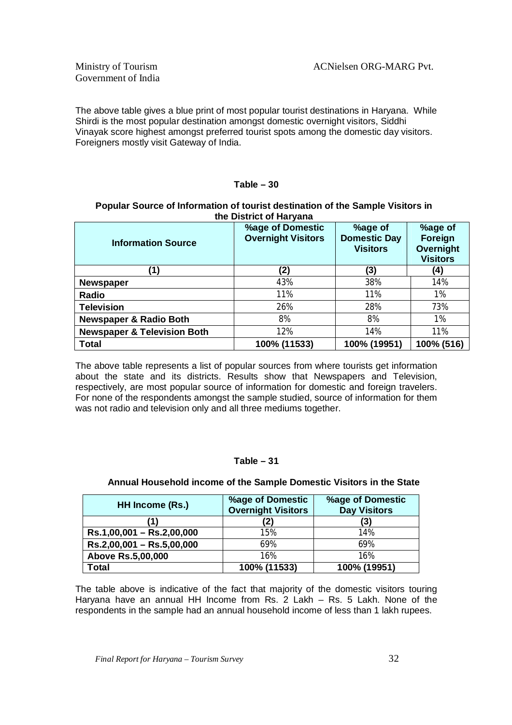The above table gives a blue print of most popular tourist destinations in Haryana. While Shirdi is the most popular destination amongst domestic overnight visitors, Siddhi Vinayak score highest amongst preferred tourist spots among the domestic day visitors. Foreigners mostly visit Gateway of India.

#### **Table – 30**

#### **Popular Source of Information of tourist destination of the Sample Visitors in the District of Haryana**

| <b>Information Source</b>              | %age of Domestic<br><b>Overnight Visitors</b> | %age of<br><b>Domestic Day</b><br><b>Visitors</b> | %age of<br><b>Foreign</b><br><b>Overnight</b><br><b>Visitors</b> |
|----------------------------------------|-----------------------------------------------|---------------------------------------------------|------------------------------------------------------------------|
| (1)                                    | (2)                                           | (3)                                               | (4)                                                              |
| <b>Newspaper</b>                       | 43%                                           | 38%                                               | 14%                                                              |
| Radio                                  | 11%                                           | 11%                                               | 1%                                                               |
| <b>Television</b>                      | 26%                                           | 28%                                               | 73%                                                              |
| <b>Newspaper &amp; Radio Both</b>      | 8%                                            | 8%                                                | 1%                                                               |
| <b>Newspaper &amp; Television Both</b> | 12%                                           | 14%                                               | 11%                                                              |
| <b>Total</b>                           | 100% (11533)                                  | 100% (19951)                                      | 100% (516)                                                       |

The above table represents a list of popular sources from where tourists get information about the state and its districts. Results show that Newspapers and Television, respectively, are most popular source of information for domestic and foreign travelers. For none of the respondents amongst the sample studied, source of information for them was not radio and television only and all three mediums together.

#### **Table – 31**

| HH Income (Rs.)             | <b>%age of Domestic</b><br><b>Overnight Visitors</b> | <b>%age of Domestic</b><br><b>Day Visitors</b> |
|-----------------------------|------------------------------------------------------|------------------------------------------------|
|                             | (2)                                                  | (3)                                            |
| Rs.1,00,001 - Rs.2,00,000   | 15%                                                  | 14%                                            |
| $Rs.2,00,001 - Rs.5,00,000$ | 69%                                                  | 69%                                            |
| <b>Above Rs.5,00,000</b>    | 16%                                                  | 16%                                            |
| Total                       | 100% (11533)                                         | 100% (19951)                                   |

#### **Annual Household income of the Sample Domestic Visitors in the State**

The table above is indicative of the fact that majority of the domestic visitors touring Haryana have an annual HH Income from Rs. 2 Lakh – Rs. 5 Lakh. None of the respondents in the sample had an annual household income of less than 1 lakh rupees.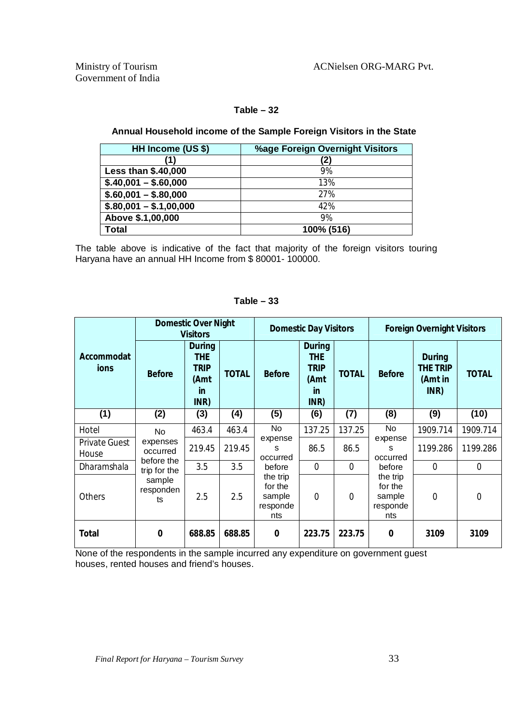#### **Table – 32**

#### **Annual Household income of the Sample Foreign Visitors in the State**

| HH Income (US \$)       | %age Foreign Overnight Visitors |
|-------------------------|---------------------------------|
| (1)                     | (2)                             |
| Less than \$.40,000     | 9%                              |
| $$.40,001 - $.60,000$   | 13%                             |
| $$.60,001 - $.80,000$   | 27%                             |
| $$.80,001 - $.1,00,000$ | 42%                             |
| Above \$.1,00,000       | 9%                              |
| <b>Total</b>            | 100% (516)                      |

The table above is indicative of the fact that majority of the foreign visitors touring Haryana have an annual HH Income from \$ 80001- 100000.

|                               | <b>Domestic Over Night</b><br><b>Visitors</b> |                                                                         |              | <b>Domestic Day Visitors</b>                     |                                                                         |                |                                                  | <b>Foreign Overnight Visitors</b>                   |                |
|-------------------------------|-----------------------------------------------|-------------------------------------------------------------------------|--------------|--------------------------------------------------|-------------------------------------------------------------------------|----------------|--------------------------------------------------|-----------------------------------------------------|----------------|
| Accommodat<br>ions            | <b>Before</b>                                 | <b>During</b><br><b>THE</b><br><b>TRIP</b><br>(Amt<br><b>in</b><br>INR) | <b>TOTAL</b> | <b>Before</b>                                    | <b>During</b><br><b>THE</b><br><b>TRIP</b><br>(Amt<br><u>in</u><br>INR) | <b>TOTAL</b>   | <b>Before</b>                                    | <b>During</b><br><b>THE TRIP</b><br>(Amt in<br>INR) | <b>TOTAL</b>   |
| (1)                           | (2)                                           | (3)                                                                     | (4)          | (5)                                              | (6)                                                                     | (7)            | (8)                                              | (9)                                                 | (10)           |
| Hotel                         | No                                            | 463.4                                                                   | 463.4        | <b>No</b>                                        | 137.25                                                                  | 137.25         | No                                               | 1909.714                                            | 1909.714       |
| <b>Private Guest</b><br>House | expenses<br>occurred<br>before the            | 219.45                                                                  | 219.45       | expense<br>S<br>occurred                         | 86.5                                                                    | 86.5           | expense<br>s<br>occurred                         | 1199.286                                            | 1199.286       |
| Dharamshala                   | trip for the                                  | 3.5                                                                     | 3.5          | before                                           | $\overline{0}$                                                          | $\overline{0}$ | before                                           | $\overline{0}$                                      | $\overline{0}$ |
| <b>Others</b>                 | sample<br>responden<br>ts                     | 2.5                                                                     | 2.5          | the trip<br>for the<br>sample<br>responde<br>nts | $\overline{0}$                                                          | $\overline{0}$ | the trip<br>for the<br>sample<br>responde<br>nts | $\overline{0}$                                      | 0              |
| <b>Total</b>                  | 0                                             | 688.85                                                                  | 688.85       | $\bf{0}$                                         | 223.75                                                                  | 223.75         | $\bf{0}$                                         | 3109                                                | 3109           |

#### **Table – 33**

None of the respondents in the sample incurred any expenditure on government guest houses, rented houses and friend's houses.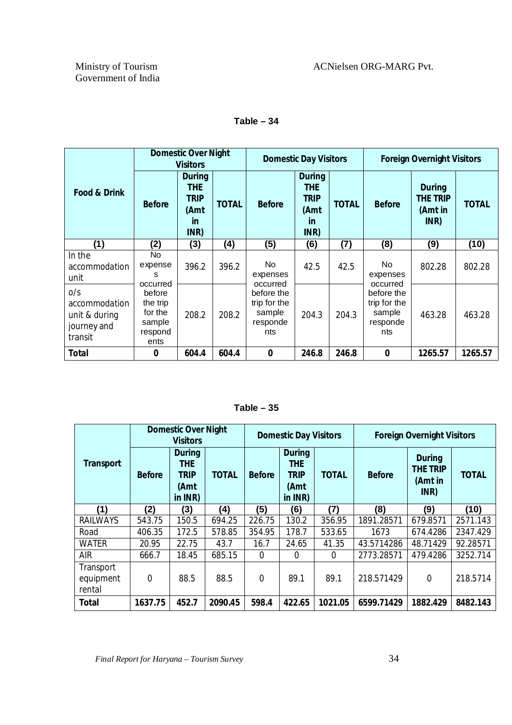|                                                                 |                                                                        | <b>Domestic Over Night</b><br><b>Visitors</b>                           |              |                                                                     | <b>Domestic Day Visitors</b>                                            |              | <b>Foreign Overnight Visitors</b>                                   |                                                     |              |
|-----------------------------------------------------------------|------------------------------------------------------------------------|-------------------------------------------------------------------------|--------------|---------------------------------------------------------------------|-------------------------------------------------------------------------|--------------|---------------------------------------------------------------------|-----------------------------------------------------|--------------|
| <b>Food &amp; Drink</b>                                         | <b>Before</b>                                                          | <b>During</b><br><b>THE</b><br><b>TRIP</b><br>(Amt<br><b>in</b><br>INR) | <b>TOTAL</b> | <b>Before</b>                                                       | <b>During</b><br><b>THE</b><br><b>TRIP</b><br>(Amt<br><b>in</b><br>INR) | <b>TOTAL</b> | <b>Before</b>                                                       | <b>During</b><br><b>THE TRIP</b><br>(Amt in<br>INR) | <b>TOTAL</b> |
| (1)                                                             | (2)                                                                    | (3)                                                                     | (4)          | (5)                                                                 | (6)                                                                     | (7)          | (8)                                                                 | (9)                                                 | (10)         |
| In the<br>accommodation<br>unit                                 | No<br>expense<br>s                                                     | 396.2                                                                   | 396.2        | No.<br>expenses                                                     | 42.5                                                                    | 42.5         | No.<br>expenses                                                     | 802.28                                              | 802.28       |
| 0/s<br>accommodation<br>unit & during<br>journey and<br>transit | occurred<br>before<br>the trip<br>for the<br>sample<br>respond<br>ents | 208.2                                                                   | 208.2        | occurred<br>before the<br>trip for the<br>sample<br>responde<br>nts | 204.3                                                                   | 204.3        | occurred<br>before the<br>trip for the<br>sample<br>responde<br>nts | 463.28                                              | 463.28       |
| Total                                                           | $\bf{0}$                                                               | 604.4                                                                   | 604.4        | $\bf{0}$                                                            | 246.8                                                                   | 246.8        | $\bf{0}$                                                            | 1265.57                                             | 1265.57      |

**Table – 34**

**Table – 35**

|                                  | <b>Domestic Over Night</b><br><b>Visitors</b> |                                                                  |              | <b>Domestic Day Visitors</b> |                                                                  |              | <b>Foreign Overnight Visitors</b> |                                                     |              |
|----------------------------------|-----------------------------------------------|------------------------------------------------------------------|--------------|------------------------------|------------------------------------------------------------------|--------------|-----------------------------------|-----------------------------------------------------|--------------|
| <b>Transport</b>                 | <b>Before</b>                                 | <b>During</b><br><b>THE</b><br><b>TRIP</b><br>(Amt<br>in $INR$ ) | <b>TOTAL</b> | <b>Before</b>                | <b>During</b><br><b>THE</b><br><b>TRIP</b><br>(Amt<br>in $INR$ ) | <b>TOTAL</b> | <b>Before</b>                     | <b>During</b><br><b>THE TRIP</b><br>(Amt in<br>INR) | <b>TOTAL</b> |
| (1)                              | (2)                                           | (3)                                                              | (4)          | (5)                          | (6)                                                              | (7)          | (8)                               | (9)                                                 | (10)         |
| <b>RAILWAYS</b>                  | 543.75                                        | 150.5                                                            | 694.25       | 226.75                       | 130.2                                                            | 356.95       | 1891.28571                        | 679.8571                                            | 2571.143     |
| Road                             | 406.35                                        | 172.5                                                            | 578.85       | 354.95                       | 178.7                                                            | 533.65       | 1673                              | 674.4286                                            | 2347.429     |
| <b>WATER</b>                     | 20.95                                         | 22.75                                                            | 43.7         | 16.7                         | 24.65                                                            | 41.35        | 43.5714286                        | 48.71429                                            | 92.28571     |
| <b>AIR</b>                       | 666.7                                         | 18.45                                                            | 685.15       | $\Omega$                     | 0                                                                | $\Omega$     | 2773.28571                        | 479.4286                                            | 3252.714     |
| Transport<br>equipment<br>rental | 0                                             | 88.5                                                             | 88.5         | $\mathbf 0$                  | 89.1                                                             | 89.1         | 218.571429                        | $\Omega$                                            | 218.5714     |
| <b>Total</b>                     | 1637.75                                       | 452.7                                                            | 2090.45      | 598.4                        | 422.65                                                           | 1021.05      | 6599.71429                        | 1882.429                                            | 8482.143     |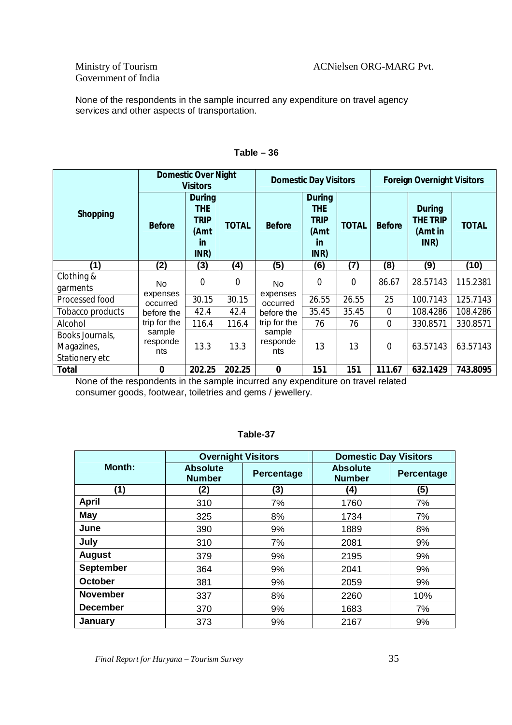### Government of India

None of the respondents in the sample incurred any expenditure on travel agency services and other aspects of transportation.

|                                                 | <b>Domestic Over Night</b><br><b>Visitors</b> |                                                                  | <b>Domestic Day Visitors</b> |                           |                                                                         | <b>Foreign Overnight Visitors</b> |                |                                                     |              |
|-------------------------------------------------|-----------------------------------------------|------------------------------------------------------------------|------------------------------|---------------------------|-------------------------------------------------------------------------|-----------------------------------|----------------|-----------------------------------------------------|--------------|
| <b>Shopping</b>                                 | <b>Before</b>                                 | <b>During</b><br><b>THE</b><br><b>TRIP</b><br>(Amt<br>in<br>INR) | <b>TOTAL</b>                 | <b>Before</b>             | <b>During</b><br><b>THE</b><br><b>TRIP</b><br>(Amt<br><b>in</b><br>INR) | <b>TOTAL</b>                      | <b>Before</b>  | <b>During</b><br><b>THE TRIP</b><br>(Amt in<br>INR) | <b>TOTAL</b> |
| (1)                                             | (2)                                           | (3)                                                              | (4)                          | (5)                       | (6)                                                                     | (7)                               | (8)            | (9)                                                 | (10)         |
| Clothing &<br>garments                          | No.                                           | $\Omega$                                                         | $\overline{0}$               | <b>No</b>                 | $\Omega$                                                                | 0                                 | 86.67          | 28.57143                                            | 115.2381     |
| Processed food                                  | expenses<br>occurred                          | 30.15                                                            | 30.15                        | expenses<br>occurred      | 26.55                                                                   | 26.55                             | 25             | 100.7143                                            | 125.7143     |
| Tobacco products                                | before the                                    | 42.4                                                             | 42.4                         | before the                | 35.45                                                                   | 35.45                             | $\overline{0}$ | 108.4286                                            | 108.4286     |
| Alcohol                                         | trip for the                                  | 116.4                                                            | 116.4                        | trip for the              | 76                                                                      | 76                                | $\Omega$       | 330.8571                                            | 330.8571     |
| Books Journals,<br>Magazines,<br>Stationery etc | sample<br>responde<br>nts                     | 13.3                                                             | 13.3                         | sample<br>responde<br>nts | 13                                                                      | 13                                | $\Omega$       | 63.57143                                            | 63.57143     |
| <b>Total</b>                                    | $\bf{0}$                                      | 202.25                                                           | 202.25                       | $\bf{0}$                  | 151                                                                     | 151                               | 111.67         | 632.1429                                            | 743.8095     |

#### **Table – 36**

None of the respondents in the sample incurred any expenditure on travel related consumer goods, footwear, toiletries and gems / jewellery.

|                  | <b>Overnight Visitors</b>        |            | <b>Domestic Day Visitors</b>     |                   |
|------------------|----------------------------------|------------|----------------------------------|-------------------|
| Month:           | <b>Absolute</b><br><b>Number</b> | Percentage | <b>Absolute</b><br><b>Number</b> | <b>Percentage</b> |
| (1)              | (2)                              | (3)        | (4)                              | (5)               |
| <b>April</b>     | 310                              | 7%         | 1760                             | 7%                |
| <b>May</b>       | 325                              | 8%         | 1734                             | 7%                |
| June             | 390                              | 9%         | 1889                             | 8%                |
| July             | 310                              | 7%         | 2081                             | 9%                |
| <b>August</b>    | 379                              | 9%         | 2195                             | 9%                |
| <b>September</b> | 364                              | 9%         | 2041                             | 9%                |
| <b>October</b>   | 381                              | 9%         | 2059                             | 9%                |
| <b>November</b>  | 337                              | 8%         | 2260                             | 10%               |
| <b>December</b>  | 370                              | 9%         | 1683                             | 7%                |
| January          | 373                              | 9%         | 2167                             | 9%                |

#### **Table-37**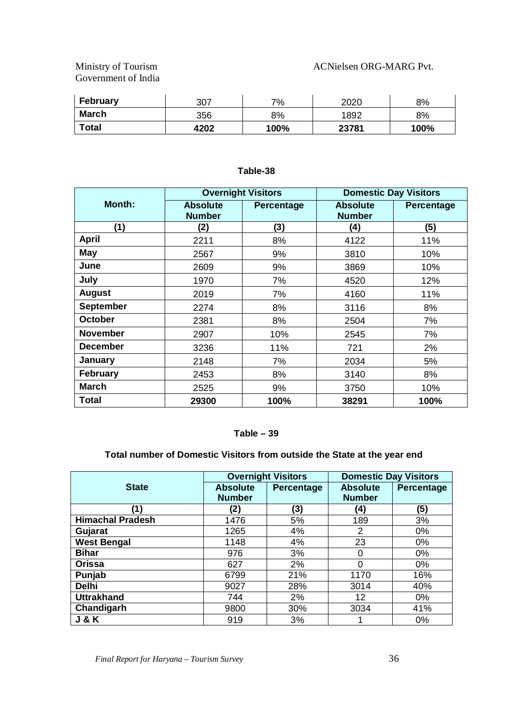Government of India

| <b>February</b> | 307  | 7%   | 2020  | 8%   |
|-----------------|------|------|-------|------|
| <b>March</b>    | 356  | 8%   | 1892  | 8%   |
| <b>Total</b>    | 4202 | 100% | 23781 | 100% |

|                  |                                  | <b>Overnight Visitors</b> |                                  | <b>Domestic Day Visitors</b> |
|------------------|----------------------------------|---------------------------|----------------------------------|------------------------------|
| Month:           | <b>Absolute</b><br><b>Number</b> | <b>Percentage</b>         | <b>Absolute</b><br><b>Number</b> | Percentage                   |
| (1)              | (2)                              | (3)                       | (4)                              | (5)                          |
| <b>April</b>     | 2211                             | 8%                        | 4122                             | 11%                          |
| <b>May</b>       | 2567                             | 9%                        | 3810                             | 10%                          |
| June             | 2609                             | 9%                        | 3869                             | 10%                          |
| July             | 1970                             | 7%                        | 4520                             | 12%                          |
| <b>August</b>    | 2019                             | 7%                        | 4160                             | 11%                          |
| <b>September</b> | 2274                             | 8%                        | 3116                             | 8%                           |
| <b>October</b>   | 2381                             | 8%                        | 2504                             | 7%                           |
| <b>November</b>  | 2907                             | 10%                       | 2545                             | 7%                           |
| <b>December</b>  | 3236                             | 11%                       | 721                              | 2%                           |
| <b>January</b>   | 2148                             | 7%                        | 2034                             | 5%                           |
| <b>February</b>  | 2453                             | 8%                        | 3140                             | 8%                           |
| <b>March</b>     | 2525                             | 9%                        | 3750                             | 10%                          |
| Total            | 29300                            | 100%                      | 38291                            | 100%                         |

#### **Table-38**

#### **Table – 39**

#### **Total number of Domestic Visitors from outside the State at the year end**

|                         |                                  | <b>Overnight Visitors</b> | <b>Domestic Day Visitors</b>     |            |
|-------------------------|----------------------------------|---------------------------|----------------------------------|------------|
| <b>State</b>            | <b>Absolute</b><br><b>Number</b> | Percentage                | <b>Absolute</b><br><b>Number</b> | Percentage |
| (1)                     |                                  |                           |                                  |            |
|                         | (2)                              | (3)                       | (4)                              | (5)        |
| <b>Himachal Pradesh</b> | 1476                             | 5%                        | 189                              | 3%         |
| Gujarat                 | 1265                             | 4%                        | 2                                | $0\%$      |
| <b>West Bengal</b>      | 1148                             | 4%                        | 23                               | 0%         |
| <b>Bihar</b>            | 976                              | 3%                        | 0                                | $0\%$      |
| Orissa                  | 627                              | 2%                        | 0                                | $0\%$      |
| Punjab                  | 6799                             | 21%                       | 1170                             | 16%        |
| <b>Delhi</b>            | 9027                             | 28%                       | 3014                             | 40%        |
| <b>Uttrakhand</b>       | 744                              | 2%                        | 12                               | $0\%$      |
| Chandigarh              | 9800                             | 30%                       | 3034                             | 41%        |
| <b>J &amp; K</b>        | 919                              | 3%                        |                                  | 0%         |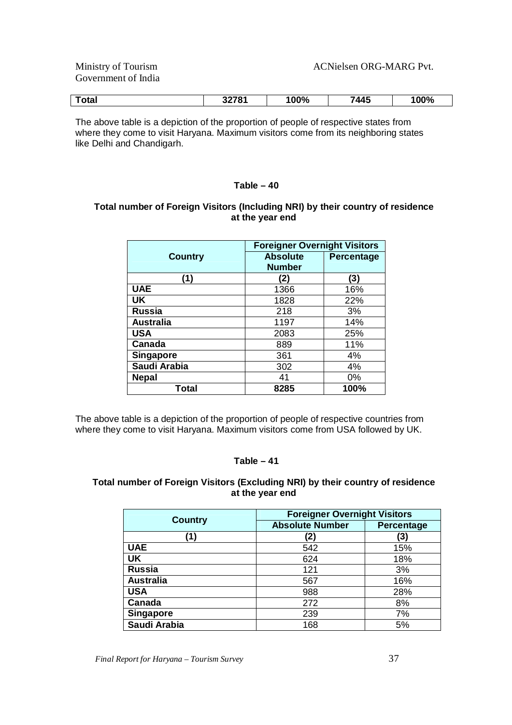Government of India

| ™otaı | 0.070<br>JLI U I | 100% | 1 A F | 100% |
|-------|------------------|------|-------|------|
|       |                  |      |       |      |

The above table is a depiction of the proportion of people of respective states from where they come to visit Haryana. Maximum visitors come from its neighboring states like Delhi and Chandigarh.

#### **Table – 40**

#### **Total number of Foreign Visitors (Including NRI) by their country of residence at the year end**

|                  | <b>Foreigner Overnight Visitors</b> |            |
|------------------|-------------------------------------|------------|
| <b>Country</b>   | <b>Absolute</b><br><b>Number</b>    | Percentage |
| (1)              | (2)                                 | (3)        |
| <b>UAE</b>       | 1366                                | 16%        |
| <b>UK</b>        | 1828                                | 22%        |
| <b>Russia</b>    | 218                                 | 3%         |
| <b>Australia</b> | 1197                                | 14%        |
| <b>USA</b>       | 2083                                | 25%        |
| Canada           | 889                                 | 11%        |
| <b>Singapore</b> | 361                                 | 4%         |
| Saudi Arabia     | 302                                 | 4%         |
| <b>Nepal</b>     | 41                                  | $0\%$      |
| Total            | 8285                                | 100%       |

The above table is a depiction of the proportion of people of respective countries from where they come to visit Haryana. Maximum visitors come from USA followed by UK.

#### **Table – 41**

#### **Total number of Foreign Visitors (Excluding NRI) by their country of residence at the year end**

| <b>Country</b>   | <b>Foreigner Overnight Visitors</b> |            |
|------------------|-------------------------------------|------------|
|                  | <b>Absolute Number</b>              | Percentage |
| (1)              | (2)                                 | (3)        |
| <b>UAE</b>       | 542                                 | 15%        |
| <b>UK</b>        | 624                                 | 18%        |
| <b>Russia</b>    | 121                                 | 3%         |
| <b>Australia</b> | 567                                 | 16%        |
| <b>USA</b>       | 988                                 | 28%        |
| Canada           | 272                                 | 8%         |
| <b>Singapore</b> | 239                                 | 7%         |
| Saudi Arabia     | 168                                 | 5%         |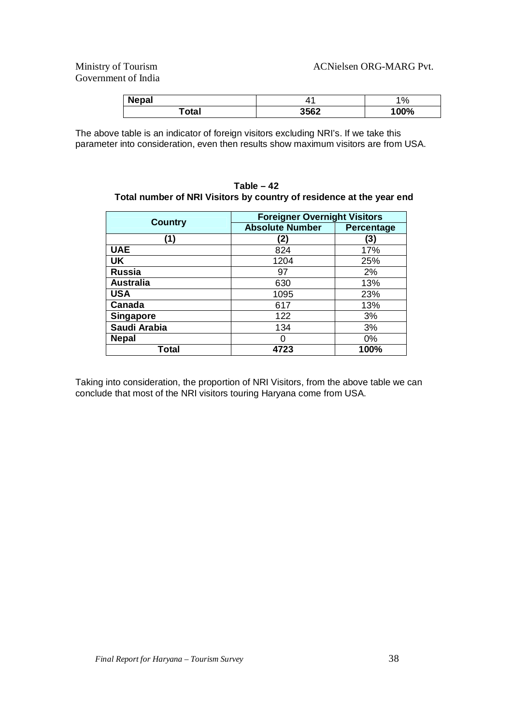### Government of India

| <b>Nepal</b> |      | $\%$ |
|--------------|------|------|
| `otal        | 3562 | 100% |

The above table is an indicator of foreign visitors excluding NRI's. If we take this parameter into consideration, even then results show maximum visitors are from USA.

|                  | <b>Foreigner Overnight Visitors</b> |                   |  |  |  |
|------------------|-------------------------------------|-------------------|--|--|--|
| <b>Country</b>   | <b>Absolute Number</b>              | <b>Percentage</b> |  |  |  |
| (1)              | (2)                                 | (3)               |  |  |  |
| <b>UAE</b>       | 824                                 | 17%               |  |  |  |
| <b>UK</b>        | 1204                                | 25%               |  |  |  |
| <b>Russia</b>    | 97                                  | 2%                |  |  |  |
| <b>Australia</b> | 630                                 | 13%               |  |  |  |
| <b>USA</b>       | 1095                                | 23%               |  |  |  |
| <b>Canada</b>    | 617                                 | 13%               |  |  |  |
| <b>Singapore</b> | 122                                 | 3%                |  |  |  |
| Saudi Arabia     | 134                                 | 3%                |  |  |  |
| <b>Nepal</b>     |                                     | $0\%$             |  |  |  |
| Total            | 4723                                | 100%              |  |  |  |

**Table – 42 Total number of NRI Visitors by country of residence at the year end** 

Taking into consideration, the proportion of NRI Visitors, from the above table we can conclude that most of the NRI visitors touring Haryana come from USA.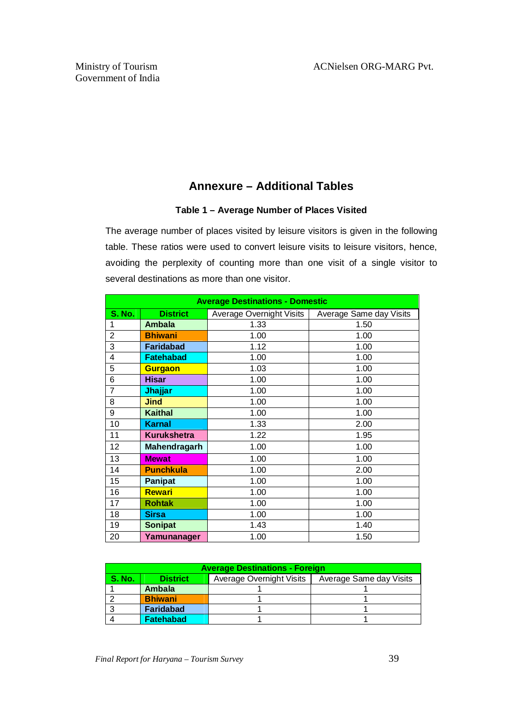#### **Annexure – Additional Tables**

#### **Table 1 – Average Number of Places Visited**

The average number of places visited by leisure visitors is given in the following table. These ratios were used to convert leisure visits to leisure visitors, hence, avoiding the perplexity of counting more than one visit of a single visitor to several destinations as more than one visitor.

| <b>Average Destinations - Domestic</b> |                    |                                 |                         |  |  |
|----------------------------------------|--------------------|---------------------------------|-------------------------|--|--|
| S. No.                                 | <b>District</b>    | <b>Average Overnight Visits</b> | Average Same day Visits |  |  |
| 1                                      | <b>Ambala</b>      | 1.33                            | 1.50                    |  |  |
| $\overline{2}$                         | <b>Bhiwani</b>     | 1.00                            | 1.00                    |  |  |
| 3                                      | <b>Faridabad</b>   | 1.12                            | 1.00                    |  |  |
| 4                                      | <b>Fatehabad</b>   | 1.00                            | 1.00                    |  |  |
| 5                                      | Gurgaon            | 1.03                            | 1.00                    |  |  |
| 6                                      | <b>Hisar</b>       | 1.00                            | 1.00                    |  |  |
| 7                                      | <b>Jhajjar</b>     | 1.00                            | 1.00                    |  |  |
| 8                                      | <b>Jind</b>        | 1.00                            | 1.00                    |  |  |
| 9                                      | <b>Kaithal</b>     | 1.00                            | 1.00                    |  |  |
| 10                                     | <b>Karnal</b>      | 1.33                            | 2.00                    |  |  |
| 11                                     | <b>Kurukshetra</b> | 1.22                            | 1.95                    |  |  |
| 12                                     | Mahendragarh       | 1.00                            | 1.00                    |  |  |
| 13                                     | <b>Mewat</b>       | 1.00                            | 1.00                    |  |  |
| 14                                     | <b>Punchkula</b>   | 1.00                            | 2.00                    |  |  |
| 15                                     | <b>Panipat</b>     | 1.00                            | 1.00                    |  |  |
| 16                                     | <b>Rewari</b>      | 1.00                            | 1.00                    |  |  |
| 17                                     | <b>Rohtak</b>      | 1.00                            | 1.00                    |  |  |
| 18                                     | <b>Sirsa</b>       | 1.00                            | 1.00                    |  |  |
| 19                                     | <b>Sonipat</b>     | 1.43                            | 1.40                    |  |  |
| 20                                     | Yamunanager        | 1.00                            | 1.50                    |  |  |

| <b>Average Destinations - Foreign</b>                                                   |                  |  |  |  |  |
|-----------------------------------------------------------------------------------------|------------------|--|--|--|--|
| <b>S. No.</b><br>Average Overnight Visits<br>Average Same day Visits<br><b>District</b> |                  |  |  |  |  |
|                                                                                         | Ambala           |  |  |  |  |
|                                                                                         | <b>Bhiwani</b>   |  |  |  |  |
|                                                                                         | <b>Faridabad</b> |  |  |  |  |
|                                                                                         | <b>Fatehabad</b> |  |  |  |  |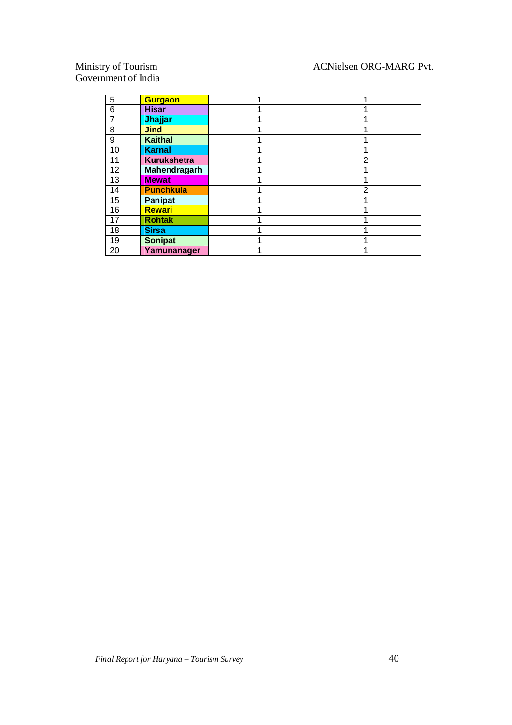#### ACNielsen ORG-MARG Pvt.

# Ministry of Tourism<br>Government of India

| 5  | <b>Gurgaon</b>      |   |
|----|---------------------|---|
| 6  | <b>Hisar</b>        |   |
| 7  | Jhajjar             |   |
| 8  | <b>Jind</b>         |   |
| 9  | <b>Kaithal</b>      |   |
| 10 | <b>Karnal</b>       |   |
| 11 | <b>Kurukshetra</b>  | 2 |
| 12 | <b>Mahendragarh</b> |   |
| 13 | <b>Mewat</b>        |   |
| 14 | <b>Punchkula</b>    | 2 |
| 15 | <b>Panipat</b>      |   |
| 16 | <b>Rewari</b>       |   |
| 17 | <b>Rohtak</b>       |   |
| 18 | <b>Sirsa</b>        |   |
| 19 | <b>Sonipat</b>      |   |
| 20 | Yamunanager         |   |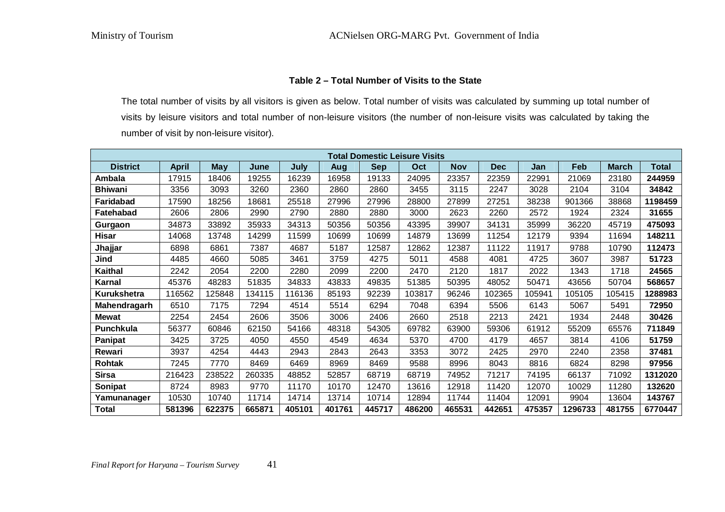#### **Table 2 – Total Number of Visits to the State**

The total number of visits by all visitors is given as below. Total number of visits was calculated by summing up total number of visits by leisure visitors and total number of non-leisure visitors (the number of non-leisure visits was calculated by taking the number of visit by non-leisure visitor).

|                    | <b>Total Domestic Leisure Visits</b> |            |        |        |        |            |        |            |            |        |         |              |         |
|--------------------|--------------------------------------|------------|--------|--------|--------|------------|--------|------------|------------|--------|---------|--------------|---------|
| <b>District</b>    | <b>April</b>                         | <b>May</b> | June   | July   | Aug    | <b>Sep</b> | Oct    | <b>Nov</b> | <b>Dec</b> | Jan    | Feb     | <b>March</b> | Total   |
| Ambala             | 17915                                | 18406      | 19255  | 16239  | 16958  | 19133      | 24095  | 23357      | 22359      | 22991  | 21069   | 23180        | 244959  |
| <b>Bhiwani</b>     | 3356                                 | 3093       | 3260   | 2360   | 2860   | 2860       | 3455   | 3115       | 2247       | 3028   | 2104    | 3104         | 34842   |
| <b>Faridabad</b>   | 17590                                | 18256      | 18681  | 25518  | 27996  | 27996      | 28800  | 27899      | 27251      | 38238  | 901366  | 38868        | 1198459 |
| <b>Fatehabad</b>   | 2606                                 | 2806       | 2990   | 2790   | 2880   | 2880       | 3000   | 2623       | 2260       | 2572   | 1924    | 2324         | 31655   |
| Gurgaon            | 34873                                | 33892      | 35933  | 34313  | 50356  | 50356      | 43395  | 39907      | 34131      | 35999  | 36220   | 45719        | 475093  |
| <b>Hisar</b>       | 14068                                | 13748      | 14299  | 11599  | 10699  | 10699      | 14879  | 13699      | 11254      | 12179  | 9394    | 11694        | 148211  |
| Jhajjar            | 6898                                 | 6861       | 7387   | 4687   | 5187   | 12587      | 12862  | 12387      | 11122      | 11917  | 9788    | 10790        | 112473  |
| Jind               | 4485                                 | 4660       | 5085   | 3461   | 3759   | 4275       | 5011   | 4588       | 4081       | 4725   | 3607    | 3987         | 51723   |
| Kaithal            | 2242                                 | 2054       | 2200   | 2280   | 2099   | 2200       | 2470   | 2120       | 1817       | 2022   | 1343    | 1718         | 24565   |
| Karnal             | 45376                                | 48283      | 51835  | 34833  | 43833  | 49835      | 51385  | 50395      | 48052      | 50471  | 43656   | 50704        | 568657  |
| <b>Kurukshetra</b> | 116562                               | 125848     | 134115 | 116136 | 85193  | 92239      | 103817 | 96246      | 102365     | 105941 | 105105  | 105415       | 1288983 |
| Mahendragarh       | 6510                                 | 7175       | 7294   | 4514   | 5514   | 6294       | 7048   | 6394       | 5506       | 6143   | 5067    | 5491         | 72950   |
| <b>Mewat</b>       | 2254                                 | 2454       | 2606   | 3506   | 3006   | 2406       | 2660   | 2518       | 2213       | 2421   | 1934    | 2448         | 30426   |
| Punchkula          | 56377                                | 60846      | 62150  | 54166  | 48318  | 54305      | 69782  | 63900      | 59306      | 61912  | 55209   | 65576        | 711849  |
| Panipat            | 3425                                 | 3725       | 4050   | 4550   | 4549   | 4634       | 5370   | 4700       | 4179       | 4657   | 3814    | 4106         | 51759   |
| Rewari             | 3937                                 | 4254       | 4443   | 2943   | 2843   | 2643       | 3353   | 3072       | 2425       | 2970   | 2240    | 2358         | 37481   |
| <b>Rohtak</b>      | 7245                                 | 7770       | 8469   | 6469   | 8969   | 8469       | 9588   | 8996       | 8043       | 8816   | 6824    | 8298         | 97956   |
| <b>Sirsa</b>       | 216423                               | 238522     | 260335 | 48852  | 52857  | 68719      | 68719  | 74952      | 71217      | 74195  | 66137   | 71092        | 1312020 |
| Sonipat            | 8724                                 | 8983       | 9770   | 11170  | 10170  | 12470      | 13616  | 12918      | 11420      | 12070  | 10029   | 11280        | 132620  |
| Yamunanager        | 10530                                | 10740      | 11714  | 14714  | 13714  | 10714      | 12894  | 11744      | 11404      | 12091  | 9904    | 13604        | 143767  |
| <b>Total</b>       | 581396                               | 622375     | 665871 | 405101 | 401761 | 445717     | 486200 | 465531     | 442651     | 475357 | 1296733 | 481755       | 6770447 |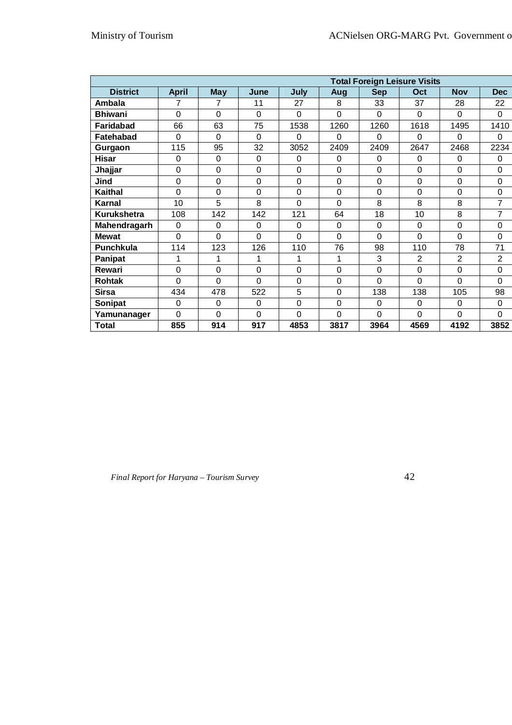|                    | <b>Total Foreign Leisure Visits</b> |             |             |             |      |             |                |                |                |
|--------------------|-------------------------------------|-------------|-------------|-------------|------|-------------|----------------|----------------|----------------|
| <b>District</b>    | <b>April</b>                        | <b>May</b>  | June        | July        | Aug  | <b>Sep</b>  | Oct            | <b>Nov</b>     | <b>Dec</b>     |
| <b>Ambala</b>      | 7                                   | 7           | 11          | 27          | 8    | 33          | 37             | 28             | 22             |
| <b>Bhiwani</b>     | $\Omega$                            | 0           | $\Omega$    | $\Omega$    | 0    | $\Omega$    | $\Omega$       | $\Omega$       | $\Omega$       |
| <b>Faridabad</b>   | 66                                  | 63          | 75          | 1538        | 1260 | 1260        | 1618           | 1495           | 1410           |
| Fatehabad          | 0                                   | 0           | $\mathbf 0$ | $\mathbf 0$ | 0    | $\mathbf 0$ | $\Omega$       | 0              | $\Omega$       |
| Gurgaon            | 115                                 | 95          | 32          | 3052        | 2409 | 2409        | 2647           | 2468           | 2234           |
| <b>Hisar</b>       | 0                                   | 0           | $\Omega$    | 0           | 0    | 0           | 0              | 0              | $\Omega$       |
| Jhajjar            | 0                                   | 0           | $\mathbf 0$ | $\mathbf 0$ | 0    | $\mathbf 0$ | 0              | $\mathbf 0$    | $\mathbf 0$    |
| Jind               | 0                                   | 0           | $\mathbf 0$ | $\mathbf 0$ | 0    | 0           | $\mathbf 0$    | $\mathbf 0$    | 0              |
| <b>Kaithal</b>     | 0                                   | 0           | $\mathbf 0$ | $\mathbf 0$ | 0    | $\mathbf 0$ | $\mathbf 0$    | $\mathbf 0$    | $\mathbf 0$    |
| Karnal             | 10                                  | 5           | 8           | $\Omega$    | 0    | 8           | 8              | 8              | 7              |
| <b>Kurukshetra</b> | 108                                 | 142         | 142         | 121         | 64   | 18          | 10             | 8              | $\overline{7}$ |
| Mahendragarh       | $\mathbf 0$                         | $\mathbf 0$ | $\Omega$    | $\mathbf 0$ | 0    | $\mathbf 0$ | $\mathbf 0$    | $\mathbf 0$    | $\mathbf 0$    |
| <b>Mewat</b>       | 0                                   | 0           | $\Omega$    | $\mathbf 0$ | 0    | $\mathbf 0$ | $\mathbf 0$    | $\mathbf 0$    | $\Omega$       |
| <b>Punchkula</b>   | 114                                 | 123         | 126         | 110         | 76   | 98          | 110            | 78             | 71             |
| Panipat            | 1                                   | 1           | 1           | 1           | 1    | 3           | $\overline{2}$ | $\overline{2}$ | $\overline{2}$ |
| Rewari             | 0                                   | 0           | $\mathbf 0$ | $\mathbf 0$ | 0    | $\mathbf 0$ | $\mathbf 0$    | 0              | $\mathbf 0$    |
| <b>Rohtak</b>      | $\Omega$                            | 0           | $\Omega$    | $\Omega$    | 0    | $\Omega$    | $\Omega$       | $\Omega$       | $\Omega$       |
| <b>Sirsa</b>       | 434                                 | 478         | 522         | 5           | 0    | 138         | 138            | 105            | 98             |
| Sonipat            | $\Omega$                            | $\Omega$    | $\Omega$    | $\mathbf 0$ | 0    | 0           | 0              | $\mathbf 0$    | $\Omega$       |
| Yamunanager        | 0                                   | 0           | $\mathbf 0$ | $\Omega$    | 0    | 0           | $\overline{0}$ | $\Omega$       | $\Omega$       |
| <b>Total</b>       | 855                                 | 914         | 917         | 4853        | 3817 | 3964        | 4569           | 4192           | 3852           |

 *Final Report for Haryana – Tourism Survey* 42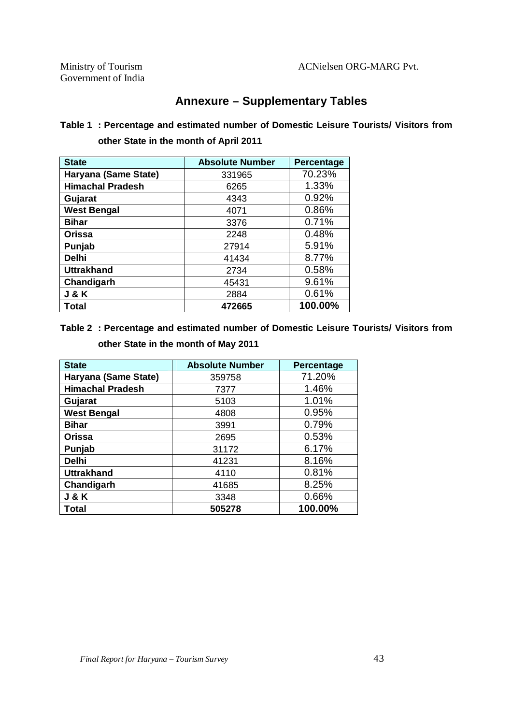### **Annexure – Supplementary Tables**

#### **Table 1 : Percentage and estimated number of Domestic Leisure Tourists/ Visitors from other State in the month of April 2011**

| <b>State</b>            | <b>Absolute Number</b> | Percentage |
|-------------------------|------------------------|------------|
| Haryana (Same State)    | 331965                 | 70.23%     |
| <b>Himachal Pradesh</b> | 6265                   | 1.33%      |
| Gujarat                 | 4343                   | 0.92%      |
| <b>West Bengal</b>      | 4071                   | 0.86%      |
| <b>Bihar</b>            | 3376                   | 0.71%      |
| <b>Orissa</b>           | 2248                   | 0.48%      |
| Punjab                  | 27914                  | 5.91%      |
| <b>Delhi</b>            | 41434                  | 8.77%      |
| <b>Uttrakhand</b>       | 2734                   | 0.58%      |
| Chandigarh              | 45431                  | 9.61%      |
| <b>J&amp;K</b>          | 2884                   | 0.61%      |
| Total                   | 472665                 | 100.00%    |

### **Table 2 : Percentage and estimated number of Domestic Leisure Tourists/ Visitors from other State in the month of May 2011**

| <b>State</b>            | <b>Absolute Number</b> | Percentage |
|-------------------------|------------------------|------------|
| Haryana (Same State)    | 359758                 | 71.20%     |
| <b>Himachal Pradesh</b> | 7377                   | 1.46%      |
| Gujarat                 | 5103                   | 1.01%      |
| <b>West Bengal</b>      | 4808                   | 0.95%      |
| <b>Bihar</b>            | 3991                   | 0.79%      |
| <b>Orissa</b>           | 2695                   | 0.53%      |
| Punjab                  | 31172                  | 6.17%      |
| <b>Delhi</b>            | 41231                  | 8.16%      |
| <b>Uttrakhand</b>       | 4110                   | 0.81%      |
| Chandigarh              | 41685                  | 8.25%      |
| <b>J &amp; K</b>        | 3348                   | 0.66%      |
| Total                   | 505278                 | 100.00%    |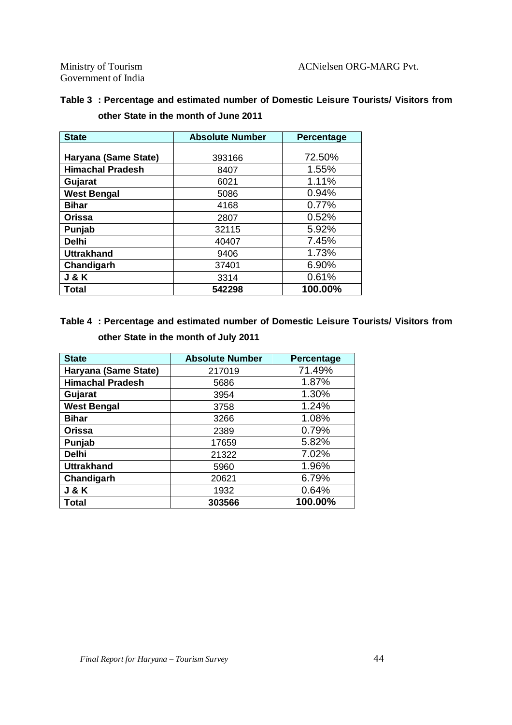Government of India

|  | Table 3 : Percentage and estimated number of Domestic Leisure Tourists/ Visitors from |  |  |  |
|--|---------------------------------------------------------------------------------------|--|--|--|
|  | other State in the month of June 2011                                                 |  |  |  |

| <b>State</b>            | <b>Absolute Number</b> | Percentage |
|-------------------------|------------------------|------------|
|                         |                        |            |
| Haryana (Same State)    | 393166                 | 72.50%     |
| <b>Himachal Pradesh</b> | 8407                   | 1.55%      |
| Gujarat                 | 6021                   | 1.11%      |
| <b>West Bengal</b>      | 5086                   | 0.94%      |
| <b>Bihar</b>            | 4168                   | 0.77%      |
| <b>Orissa</b>           | 2807                   | 0.52%      |
| Punjab                  | 32115                  | 5.92%      |
| <b>Delhi</b>            | 40407                  | 7.45%      |
| <b>Uttrakhand</b>       | 9406                   | 1.73%      |
| Chandigarh              | 37401                  | 6.90%      |
| <b>J&amp;K</b>          | 3314                   | 0.61%      |
| Total                   | 542298                 | 100.00%    |

### **Table 4 : Percentage and estimated number of Domestic Leisure Tourists/ Visitors from**

| <b>State</b>            | <b>Absolute Number</b> | Percentage |
|-------------------------|------------------------|------------|
| Haryana (Same State)    | 217019                 | 71.49%     |
| <b>Himachal Pradesh</b> | 5686                   | 1.87%      |
| Gujarat                 | 3954                   | 1.30%      |
| <b>West Bengal</b>      | 3758                   | 1.24%      |
| <b>Bihar</b>            | 3266                   | 1.08%      |
| <b>Orissa</b>           | 2389                   | 0.79%      |
| Punjab                  | 17659                  | 5.82%      |
| <b>Delhi</b>            | 21322                  | 7.02%      |
| <b>Uttrakhand</b>       | 5960                   | 1.96%      |
| Chandigarh              | 20621                  | 6.79%      |
| <b>J &amp; K</b>        | 1932                   | 0.64%      |
| Total                   | 303566                 | 100.00%    |

**other State in the month of July 2011**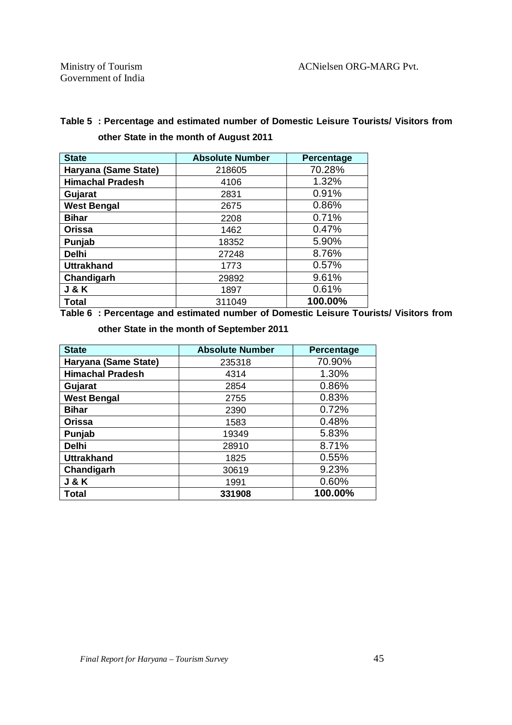### **Table 5 : Percentage and estimated number of Domestic Leisure Tourists/ Visitors from other State in the month of August 2011**

| <b>State</b>            | <b>Absolute Number</b> | Percentage |
|-------------------------|------------------------|------------|
| Haryana (Same State)    | 218605                 | 70.28%     |
| <b>Himachal Pradesh</b> | 4106                   | 1.32%      |
| Gujarat                 | 2831                   | 0.91%      |
| <b>West Bengal</b>      | 2675                   | 0.86%      |
| <b>Bihar</b>            | 2208                   | 0.71%      |
| <b>Orissa</b>           | 1462                   | 0.47%      |
| Punjab                  | 18352                  | 5.90%      |
| <b>Delhi</b>            | 27248                  | 8.76%      |
| <b>Uttrakhand</b>       | 1773                   | 0.57%      |
| Chandigarh              | 29892                  | 9.61%      |
| <b>J&amp;K</b>          | 1897                   | 0.61%      |
| <b>Total</b>            | 311049                 | 100.00%    |

**Table 6 : Percentage and estimated number of Domestic Leisure Tourists/ Visitors from** 

**other State in the month of September 2011**

| <b>State</b>            | <b>Absolute Number</b> | Percentage |
|-------------------------|------------------------|------------|
| Haryana (Same State)    | 235318                 | 70.90%     |
| <b>Himachal Pradesh</b> | 4314                   | 1.30%      |
| Gujarat                 | 2854                   | 0.86%      |
| <b>West Bengal</b>      | 2755                   | 0.83%      |
| <b>Bihar</b>            | 2390                   | 0.72%      |
| <b>Orissa</b>           | 1583                   | 0.48%      |
| Punjab                  | 19349                  | 5.83%      |
| <b>Delhi</b>            | 28910                  | 8.71%      |
| <b>Uttrakhand</b>       | 1825                   | 0.55%      |
| Chandigarh              | 30619                  | 9.23%      |
| <b>J&amp;K</b>          | 1991                   | 0.60%      |
| Total                   | 331908                 | 100.00%    |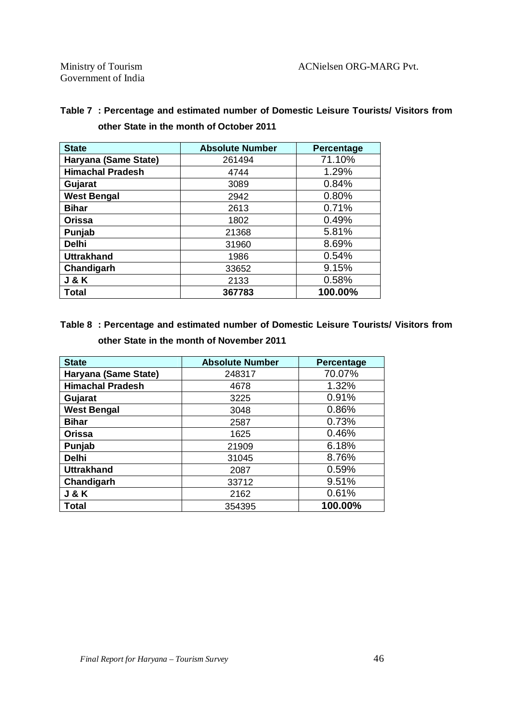| <b>State</b>            | <b>Absolute Number</b> | <b>Percentage</b> |
|-------------------------|------------------------|-------------------|
| Haryana (Same State)    | 261494                 | 71.10%            |
| <b>Himachal Pradesh</b> | 4744                   | 1.29%             |
| Gujarat                 | 3089                   | 0.84%             |
| <b>West Bengal</b>      | 2942                   | 0.80%             |
| <b>Bihar</b>            | 2613                   | 0.71%             |
| <b>Orissa</b>           | 1802                   | 0.49%             |
| Punjab                  | 21368                  | 5.81%             |
| <b>Delhi</b>            | 31960                  | 8.69%             |
| <b>Uttrakhand</b>       | 1986                   | 0.54%             |
| Chandigarh              | 33652                  | 9.15%             |
| <b>J&amp;K</b>          | 2133                   | 0.58%             |
| Total                   | 367783                 | 100.00%           |

#### **Table 7 : Percentage and estimated number of Domestic Leisure Tourists/ Visitors from other State in the month of October 2011**

#### **Table 8 : Percentage and estimated number of Domestic Leisure Tourists/ Visitors from other State in the month of November 2011**

| <b>State</b>            | <b>Absolute Number</b> | <b>Percentage</b> |
|-------------------------|------------------------|-------------------|
| Haryana (Same State)    | 248317                 | 70.07%            |
| <b>Himachal Pradesh</b> | 4678                   | 1.32%             |
| Gujarat                 | 3225                   | 0.91%             |
| <b>West Bengal</b>      | 3048                   | 0.86%             |
| <b>Bihar</b>            | 2587                   | 0.73%             |
| <b>Orissa</b>           | 1625                   | 0.46%             |
| Punjab                  | 21909                  | 6.18%             |
| <b>Delhi</b>            | 31045                  | 8.76%             |
| <b>Uttrakhand</b>       | 2087                   | 0.59%             |
| Chandigarh              | 33712                  | 9.51%             |
| <b>J &amp; K</b>        | 2162                   | 0.61%             |
| Total                   | 354395                 | 100.00%           |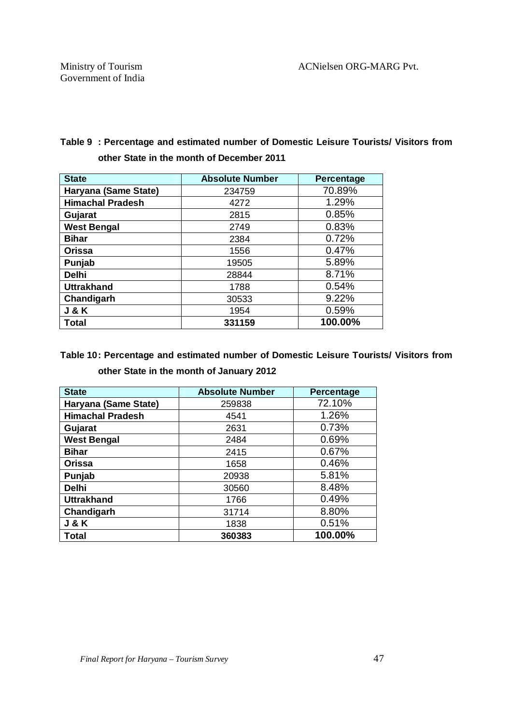#### **Table 9 : Percentage and estimated number of Domestic Leisure Tourists/ Visitors from other State in the month of December 2011**

| <b>State</b>            | <b>Absolute Number</b> | Percentage |
|-------------------------|------------------------|------------|
| Haryana (Same State)    | 234759                 | 70.89%     |
| <b>Himachal Pradesh</b> | 4272                   | 1.29%      |
| Gujarat                 | 2815                   | 0.85%      |
| <b>West Bengal</b>      | 2749                   | 0.83%      |
| <b>Bihar</b>            | 2384                   | 0.72%      |
| <b>Orissa</b>           | 1556                   | 0.47%      |
| Punjab                  | 19505                  | 5.89%      |
| <b>Delhi</b>            | 28844                  | 8.71%      |
| <b>Uttrakhand</b>       | 1788                   | 0.54%      |
| Chandigarh              | 30533                  | 9.22%      |
| <b>J&amp;K</b>          | 1954                   | 0.59%      |
| Total                   | 331159                 | 100.00%    |

#### **Table 10: Percentage and estimated number of Domestic Leisure Tourists/ Visitors from other State in the month of January 2012**

| <b>State</b>            | <b>Absolute Number</b> | Percentage |
|-------------------------|------------------------|------------|
| Haryana (Same State)    | 259838                 | 72.10%     |
| <b>Himachal Pradesh</b> | 4541                   | 1.26%      |
| Gujarat                 | 2631                   | 0.73%      |
| <b>West Bengal</b>      | 2484                   | 0.69%      |
| <b>Bihar</b>            | 2415                   | 0.67%      |
| <b>Orissa</b>           | 1658                   | 0.46%      |
| Punjab                  | 20938                  | 5.81%      |
| <b>Delhi</b>            | 30560                  | 8.48%      |
| <b>Uttrakhand</b>       | 1766                   | 0.49%      |
| Chandigarh              | 31714                  | 8.80%      |
| <b>J&amp;K</b>          | 1838                   | 0.51%      |
| <b>Total</b>            | 360383                 | 100.00%    |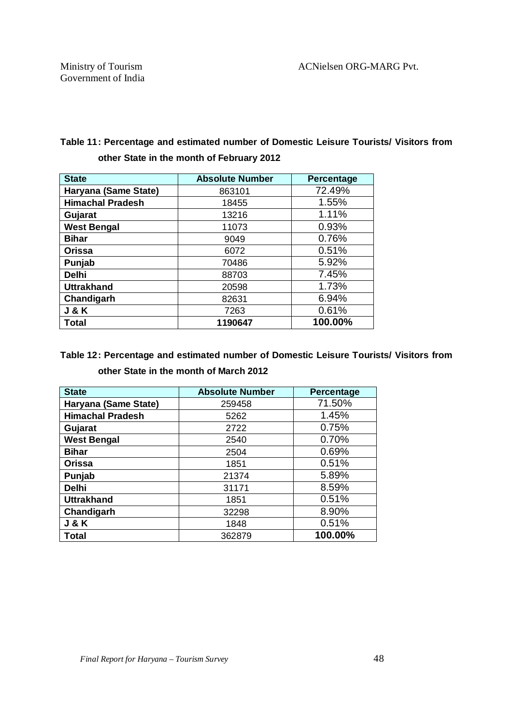#### **Table 11: Percentage and estimated number of Domestic Leisure Tourists/ Visitors from other State in the month of February 2012**

| <b>State</b>            | <b>Absolute Number</b> | Percentage |
|-------------------------|------------------------|------------|
| Haryana (Same State)    | 863101                 | 72.49%     |
| <b>Himachal Pradesh</b> | 18455                  | 1.55%      |
| Gujarat                 | 13216                  | 1.11%      |
| <b>West Bengal</b>      | 11073                  | 0.93%      |
| <b>Bihar</b>            | 9049                   | 0.76%      |
| <b>Orissa</b>           | 6072                   | 0.51%      |
| Punjab                  | 70486                  | 5.92%      |
| <b>Delhi</b>            | 88703                  | 7.45%      |
| <b>Uttrakhand</b>       | 20598                  | 1.73%      |
| Chandigarh              | 82631                  | 6.94%      |
| <b>J&amp;K</b>          | 7263                   | 0.61%      |
| Total                   | 1190647                | 100.00%    |

#### **Table 12: Percentage and estimated number of Domestic Leisure Tourists/ Visitors from other State in the month of March 2012**

| <b>State</b>            | <b>Absolute Number</b> | Percentage |
|-------------------------|------------------------|------------|
| Haryana (Same State)    | 259458                 | 71.50%     |
| <b>Himachal Pradesh</b> | 5262                   | 1.45%      |
| Gujarat                 | 2722                   | 0.75%      |
| <b>West Bengal</b>      | 2540                   | 0.70%      |
| <b>Bihar</b>            | 2504                   | 0.69%      |
| Orissa                  | 1851                   | 0.51%      |
| Punjab                  | 21374                  | 5.89%      |
| <b>Delhi</b>            | 31171                  | 8.59%      |
| <b>Uttrakhand</b>       | 1851                   | 0.51%      |
| Chandigarh              | 32298                  | 8.90%      |
| <b>J&amp;K</b>          | 1848                   | 0.51%      |
| Total                   | 362879                 | 100.00%    |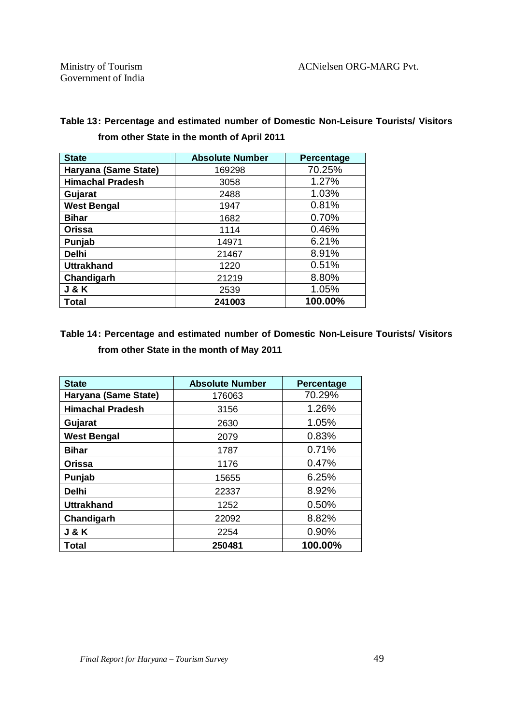| <b>State</b>            | <b>Absolute Number</b> | Percentage |
|-------------------------|------------------------|------------|
| Haryana (Same State)    | 169298                 | 70.25%     |
| <b>Himachal Pradesh</b> | 3058                   | 1.27%      |
| Gujarat                 | 2488                   | 1.03%      |
| <b>West Bengal</b>      | 1947                   | 0.81%      |
| <b>Bihar</b>            | 1682                   | 0.70%      |
| <b>Orissa</b>           | 1114                   | 0.46%      |
| Punjab                  | 14971                  | 6.21%      |
| <b>Delhi</b>            | 21467                  | 8.91%      |
| <b>Uttrakhand</b>       | 1220                   | 0.51%      |
| Chandigarh              | 21219                  | 8.80%      |
| <b>J&amp;K</b>          | 2539                   | 1.05%      |
| Total                   | 241003                 | 100.00%    |

#### **Table 13: Percentage and estimated number of Domestic Non-Leisure Tourists/ Visitors from other State in the month of April 2011**

#### **Table 14: Percentage and estimated number of Domestic Non-Leisure Tourists/ Visitors from other State in the month of May 2011**

| <b>State</b>            | <b>Absolute Number</b> | <b>Percentage</b> |
|-------------------------|------------------------|-------------------|
| Haryana (Same State)    | 176063                 | 70.29%            |
| <b>Himachal Pradesh</b> | 3156                   | 1.26%             |
| Gujarat                 | 2630                   | 1.05%             |
| <b>West Bengal</b>      | 2079                   | 0.83%             |
| <b>Bihar</b>            | 1787                   | 0.71%             |
| Orissa                  | 1176                   | 0.47%             |
| Punjab                  | 15655                  | 6.25%             |
| <b>Delhi</b>            | 22337                  | 8.92%             |
| <b>Uttrakhand</b>       | 1252                   | 0.50%             |
| Chandigarh              | 22092                  | 8.82%             |
| <b>J&amp;K</b>          | 2254                   | 0.90%             |
| Total                   | 250481                 | 100.00%           |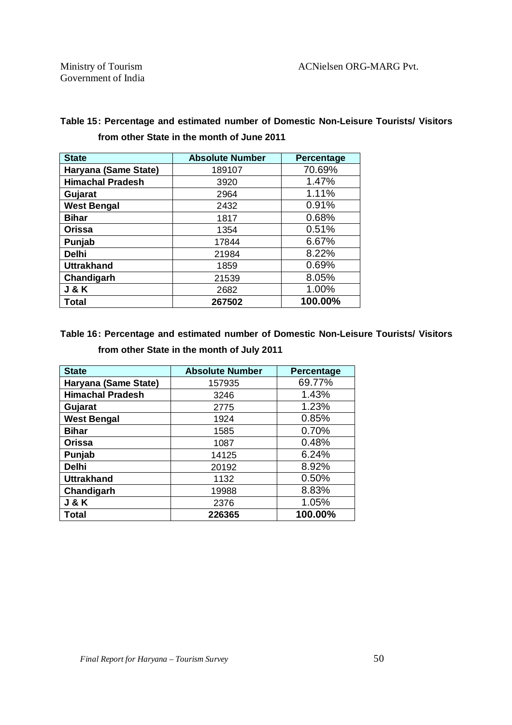| <b>State</b>            | <b>Absolute Number</b> | Percentage |
|-------------------------|------------------------|------------|
| Haryana (Same State)    | 189107                 | 70.69%     |
| <b>Himachal Pradesh</b> | 3920                   | 1.47%      |
| Gujarat                 | 2964                   | 1.11%      |
| <b>West Bengal</b>      | 2432                   | 0.91%      |
| <b>Bihar</b>            | 1817                   | 0.68%      |
| <b>Orissa</b>           | 1354                   | 0.51%      |
| Punjab                  | 17844                  | 6.67%      |
| <b>Delhi</b>            | 21984                  | 8.22%      |
| <b>Uttrakhand</b>       | 1859                   | 0.69%      |
| Chandigarh              | 21539                  | 8.05%      |
| <b>J&amp;K</b>          | 2682                   | 1.00%      |
| <b>Total</b>            | 267502                 | 100.00%    |

#### **Table 15: Percentage and estimated number of Domestic Non-Leisure Tourists/ Visitors from other State in the month of June 2011**

#### **Table 16: Percentage and estimated number of Domestic Non-Leisure Tourists/ Visitors from other State in the month of July 2011**

| <b>State</b>            | <b>Absolute Number</b> | Percentage |
|-------------------------|------------------------|------------|
| Haryana (Same State)    | 157935                 | 69.77%     |
| <b>Himachal Pradesh</b> | 3246                   | 1.43%      |
| Gujarat                 | 2775                   | 1.23%      |
| <b>West Bengal</b>      | 1924                   | 0.85%      |
| <b>Bihar</b>            | 1585                   | 0.70%      |
| <b>Orissa</b>           | 1087                   | 0.48%      |
| Punjab                  | 14125                  | 6.24%      |
| <b>Delhi</b>            | 20192                  | 8.92%      |
| <b>Uttrakhand</b>       | 1132                   | 0.50%      |
| Chandigarh              | 19988                  | 8.83%      |
| <b>J &amp; K</b>        | 2376                   | 1.05%      |
| <b>Total</b>            | 226365                 | 100.00%    |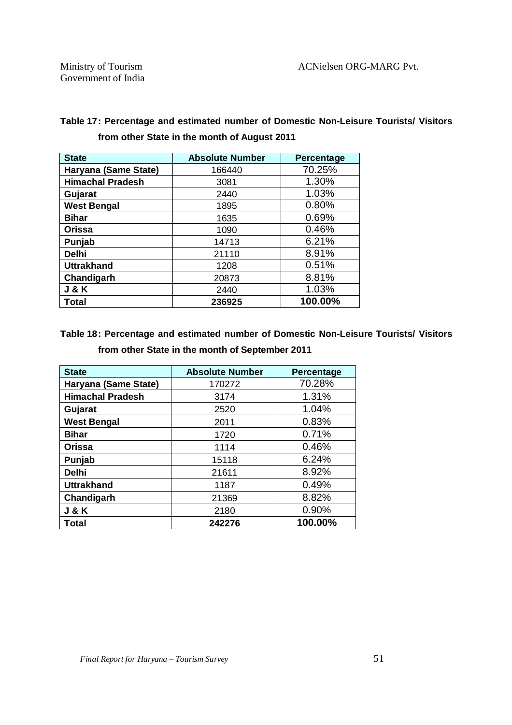| <b>State</b>            | <b>Absolute Number</b> | Percentage |
|-------------------------|------------------------|------------|
| Haryana (Same State)    | 166440                 | 70.25%     |
| <b>Himachal Pradesh</b> | 3081                   | 1.30%      |
| Gujarat                 | 2440                   | 1.03%      |
| <b>West Bengal</b>      | 1895                   | 0.80%      |
| <b>Bihar</b>            | 1635                   | 0.69%      |
| <b>Orissa</b>           | 1090                   | 0.46%      |
| Punjab                  | 14713                  | 6.21%      |
| <b>Delhi</b>            | 21110                  | 8.91%      |
| <b>Uttrakhand</b>       | 1208                   | 0.51%      |
| Chandigarh              | 20873                  | 8.81%      |
| <b>J &amp; K</b>        | 2440                   | 1.03%      |
| <b>Total</b>            | 236925                 | 100.00%    |

#### **Table 17: Percentage and estimated number of Domestic Non-Leisure Tourists/ Visitors from other State in the month of August 2011**

### **Table 18: Percentage and estimated number of Domestic Non-Leisure Tourists/ Visitors from other State in the month of September 2011**

| <b>State</b>            | <b>Absolute Number</b> | Percentage |
|-------------------------|------------------------|------------|
| Haryana (Same State)    | 170272                 | 70.28%     |
| <b>Himachal Pradesh</b> | 3174                   | 1.31%      |
| Gujarat                 | 2520                   | 1.04%      |
| <b>West Bengal</b>      | 2011                   | 0.83%      |
| <b>Bihar</b>            | 1720                   | 0.71%      |
| <b>Orissa</b>           | 1114                   | 0.46%      |
| Punjab                  | 15118                  | 6.24%      |
| <b>Delhi</b>            | 21611                  | 8.92%      |
| <b>Uttrakhand</b>       | 1187                   | 0.49%      |
| Chandigarh              | 21369                  | 8.82%      |
| <b>J&amp;K</b>          | 2180                   | 0.90%      |
| <b>Total</b>            | 242276                 | 100.00%    |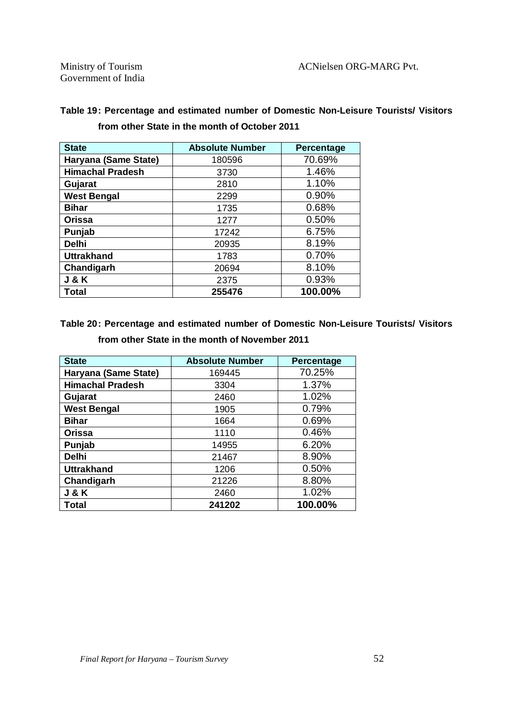| <b>State</b>            | <b>Absolute Number</b> | Percentage |
|-------------------------|------------------------|------------|
| Haryana (Same State)    | 180596                 | 70.69%     |
| <b>Himachal Pradesh</b> | 3730                   | 1.46%      |
| Gujarat                 | 2810                   | 1.10%      |
| <b>West Bengal</b>      | 2299                   | 0.90%      |
| <b>Bihar</b>            | 1735                   | 0.68%      |
| <b>Orissa</b>           | 1277                   | 0.50%      |
| Punjab                  | 17242                  | 6.75%      |
| <b>Delhi</b>            | 20935                  | 8.19%      |
| <b>Uttrakhand</b>       | 1783                   | 0.70%      |
| Chandigarh              | 20694                  | 8.10%      |
| <b>J &amp; K</b>        | 2375                   | 0.93%      |
| Total                   | 255476                 | 100.00%    |

#### **Table 19: Percentage and estimated number of Domestic Non-Leisure Tourists/ Visitors from other State in the month of October 2011**

#### **Table 20: Percentage and estimated number of Domestic Non-Leisure Tourists/ Visitors from other State in the month of November 2011**

| <b>State</b>            | <b>Absolute Number</b> | Percentage |
|-------------------------|------------------------|------------|
| Haryana (Same State)    | 169445                 | 70.25%     |
| <b>Himachal Pradesh</b> | 3304                   | 1.37%      |
| Gujarat                 | 2460                   | 1.02%      |
| <b>West Bengal</b>      | 1905                   | 0.79%      |
| <b>Bihar</b>            | 1664                   | 0.69%      |
| <b>Orissa</b>           | 1110                   | 0.46%      |
| Punjab                  | 14955                  | 6.20%      |
| <b>Delhi</b>            | 21467                  | 8.90%      |
| <b>Uttrakhand</b>       | 1206                   | 0.50%      |
| Chandigarh              | 21226                  | 8.80%      |
| <b>J&amp;K</b>          | 2460                   | 1.02%      |
| Total                   | 241202                 | 100.00%    |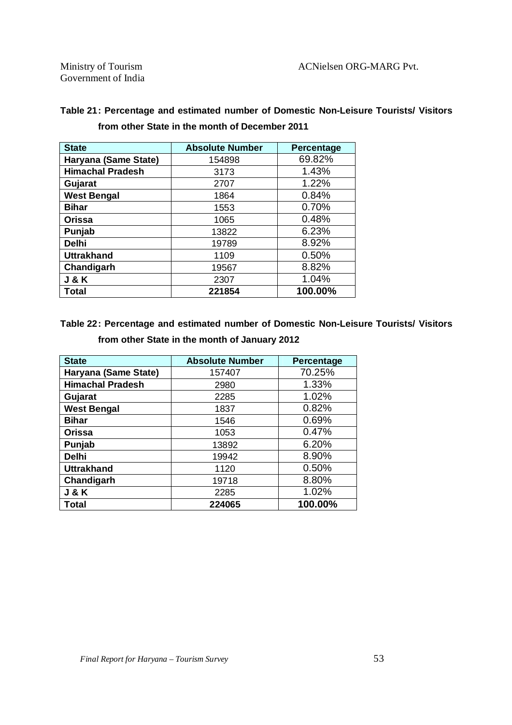| <b>State</b>            | <b>Absolute Number</b> | Percentage |
|-------------------------|------------------------|------------|
| Haryana (Same State)    | 154898                 | 69.82%     |
| <b>Himachal Pradesh</b> | 3173                   | 1.43%      |
| Gujarat                 | 2707                   | 1.22%      |
| <b>West Bengal</b>      | 1864                   | 0.84%      |
| <b>Bihar</b>            | 1553                   | 0.70%      |
| Orissa                  | 1065                   | 0.48%      |
| Punjab                  | 13822                  | 6.23%      |
| <b>Delhi</b>            | 19789                  | 8.92%      |
| <b>Uttrakhand</b>       | 1109                   | 0.50%      |
| Chandigarh              | 19567                  | 8.82%      |
| <b>J&amp;K</b>          | 2307                   | 1.04%      |
| Total                   | 221854                 | 100.00%    |

#### **Table 21: Percentage and estimated number of Domestic Non-Leisure Tourists/ Visitors from other State in the month of December 2011**

#### **Table 22: Percentage and estimated number of Domestic Non-Leisure Tourists/ Visitors**

| <b>State</b>            | <b>Absolute Number</b> | <b>Percentage</b> |
|-------------------------|------------------------|-------------------|
| Haryana (Same State)    | 157407                 | 70.25%            |
| <b>Himachal Pradesh</b> | 2980                   | 1.33%             |
| Gujarat                 | 2285                   | 1.02%             |
| <b>West Bengal</b>      | 1837                   | 0.82%             |
| <b>Bihar</b>            | 1546                   | 0.69%             |
| <b>Orissa</b>           | 1053                   | 0.47%             |
| Punjab                  | 13892                  | 6.20%             |
| <b>Delhi</b>            | 19942                  | 8.90%             |
| <b>Uttrakhand</b>       | 1120                   | 0.50%             |
| Chandigarh              | 19718                  | 8.80%             |
| <b>J&amp;K</b>          | 2285                   | 1.02%             |
| Total                   | 224065                 | 100.00%           |

**from other State in the month of January 2012**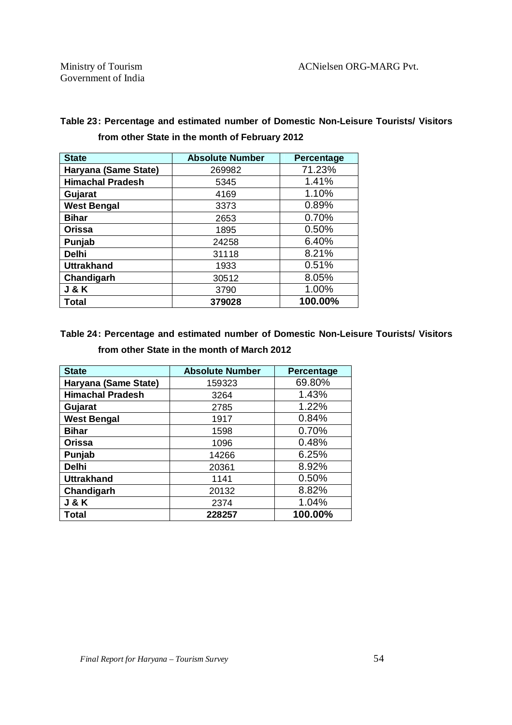| <b>State</b>            | <b>Absolute Number</b> | <b>Percentage</b> |
|-------------------------|------------------------|-------------------|
| Haryana (Same State)    | 269982                 | 71.23%            |
| <b>Himachal Pradesh</b> | 5345                   | 1.41%             |
| Gujarat                 | 4169                   | 1.10%             |
| <b>West Bengal</b>      | 3373                   | 0.89%             |
| <b>Bihar</b>            | 2653                   | 0.70%             |
| <b>Orissa</b>           | 1895                   | 0.50%             |
| Punjab                  | 24258                  | 6.40%             |
| <b>Delhi</b>            | 31118                  | 8.21%             |
| <b>Uttrakhand</b>       | 1933                   | 0.51%             |
| Chandigarh              | 30512                  | 8.05%             |
| <b>J &amp; K</b>        | 3790                   | 1.00%             |
| Total                   | 379028                 | 100.00%           |

#### **Table 23: Percentage and estimated number of Domestic Non-Leisure Tourists/ Visitors from other State in the month of February 2012**

#### **Table 24: Percentage and estimated number of Domestic Non-Leisure Tourists/ Visitors from other State in the month of March 2012**

| <b>State</b>            | <b>Absolute Number</b> | Percentage |
|-------------------------|------------------------|------------|
| Haryana (Same State)    | 159323                 | 69.80%     |
| <b>Himachal Pradesh</b> | 3264                   | 1.43%      |
| Gujarat                 | 2785                   | 1.22%      |
| <b>West Bengal</b>      | 1917                   | 0.84%      |
| <b>Bihar</b>            | 1598                   | 0.70%      |
| <b>Orissa</b>           | 1096                   | 0.48%      |
| Punjab                  | 14266                  | 6.25%      |
| <b>Delhi</b>            | 20361                  | 8.92%      |
| <b>Uttrakhand</b>       | 1141                   | 0.50%      |
| Chandigarh              | 20132                  | 8.82%      |
| <b>J&amp;K</b>          | 2374                   | 1.04%      |
| <b>Total</b>            | 228257                 | 100.00%    |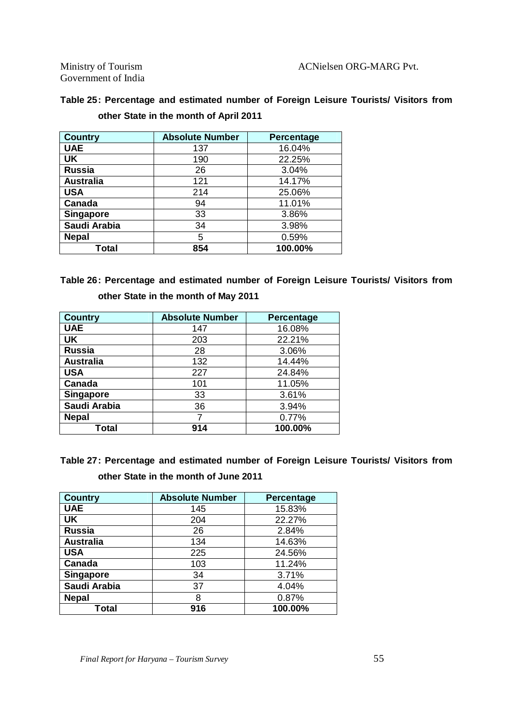Government of India

| Table 25: Percentage and estimated number of Foreign Leisure Tourists/ Visitors from |  |  |  |
|--------------------------------------------------------------------------------------|--|--|--|
| other State in the month of April 2011                                               |  |  |  |

| <b>Country</b>   | <b>Absolute Number</b> | Percentage |
|------------------|------------------------|------------|
| <b>UAE</b>       | 137                    | 16.04%     |
| UK               | 190                    | 22.25%     |
| <b>Russia</b>    | 26                     | 3.04%      |
| <b>Australia</b> | 121                    | 14.17%     |
| <b>USA</b>       | 214                    | 25.06%     |
| Canada           | 94                     | 11.01%     |
| <b>Singapore</b> | 33                     | 3.86%      |
| Saudi Arabia     | 34                     | 3.98%      |
| <b>Nepal</b>     | 5                      | 0.59%      |
| Total            | 854                    | 100.00%    |

**Table 26: Percentage and estimated number of Foreign Leisure Tourists/ Visitors from other State in the month of May 2011**

| <b>Country</b>   | <b>Absolute Number</b> | <b>Percentage</b> |
|------------------|------------------------|-------------------|
| <b>UAE</b>       | 147                    | 16.08%            |
| <b>UK</b>        | 203                    | 22.21%            |
| <b>Russia</b>    | 28                     | 3.06%             |
| <b>Australia</b> | 132                    | 14.44%            |
| <b>USA</b>       | 227                    | 24.84%            |
| Canada           | 101                    | 11.05%            |
| <b>Singapore</b> | 33                     | 3.61%             |
| Saudi Arabia     | 36                     | 3.94%             |
| <b>Nepal</b>     |                        | 0.77%             |
| Total            | 914                    | 100.00%           |

**Table 27: Percentage and estimated number of Foreign Leisure Tourists/ Visitors from other State in the month of June 2011**

| <b>Country</b>   | <b>Absolute Number</b> | Percentage |
|------------------|------------------------|------------|
| <b>UAE</b>       | 145                    | 15.83%     |
| UK               | 204                    | 22.27%     |
| <b>Russia</b>    | 26                     | 2.84%      |
| <b>Australia</b> | 134                    | 14.63%     |
| <b>USA</b>       | 225                    | 24.56%     |
| Canada           | 103                    | 11.24%     |
| <b>Singapore</b> | 34                     | 3.71%      |
| Saudi Arabia     | 37                     | 4.04%      |
| <b>Nepal</b>     | 8                      | 0.87%      |
| Total            | 916                    | 100.00%    |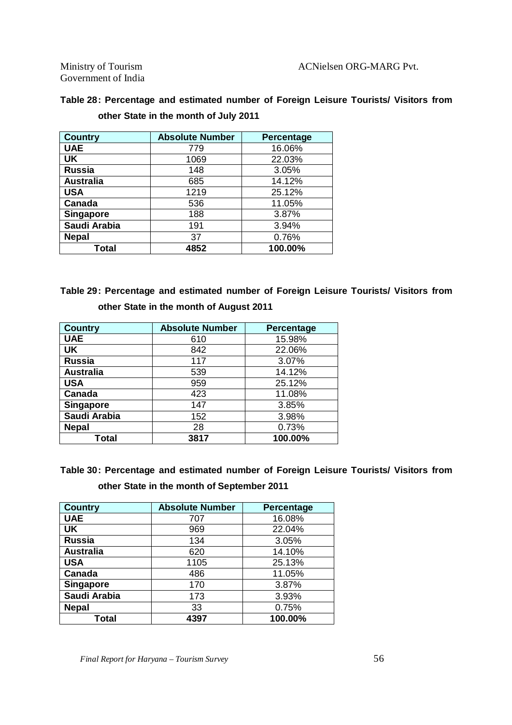Government of India

| Table 28: Percentage and estimated number of Foreign Leisure Tourists/ Visitors from |  |
|--------------------------------------------------------------------------------------|--|
| other State in the month of July 2011                                                |  |

| <b>Country</b>   | <b>Absolute Number</b> | <b>Percentage</b> |
|------------------|------------------------|-------------------|
| <b>UAE</b>       | 779                    | 16.06%            |
| UK               | 1069                   | 22.03%            |
| <b>Russia</b>    | 148                    | 3.05%             |
| <b>Australia</b> | 685                    | 14.12%            |
| <b>USA</b>       | 1219                   | 25.12%            |
| Canada           | 536                    | 11.05%            |
| <b>Singapore</b> | 188                    | 3.87%             |
| Saudi Arabia     | 191                    | 3.94%             |
| <b>Nepal</b>     | 37                     | 0.76%             |
| Total            | 4852                   | 100.00%           |

**Table 29: Percentage and estimated number of Foreign Leisure Tourists/ Visitors from other State in the month of August 2011**

| <b>Country</b>   | <b>Absolute Number</b> | Percentage |
|------------------|------------------------|------------|
| <b>UAE</b>       | 610                    | 15.98%     |
| <b>UK</b>        | 842                    | 22.06%     |
| <b>Russia</b>    | 117                    | 3.07%      |
| <b>Australia</b> | 539                    | 14.12%     |
| <b>USA</b>       | 959                    | 25.12%     |
| Canada           | 423                    | 11.08%     |
| <b>Singapore</b> | 147                    | 3.85%      |
| Saudi Arabia     | 152                    | 3.98%      |
| <b>Nepal</b>     | 28                     | 0.73%      |
| <b>Total</b>     | 3817                   | 100.00%    |

**Table 30: Percentage and estimated number of Foreign Leisure Tourists/ Visitors from other State in the month of September 2011**

| <b>Country</b>   | <b>Absolute Number</b> | Percentage |
|------------------|------------------------|------------|
| <b>UAE</b>       | 707                    | 16.08%     |
| <b>UK</b>        | 969                    | 22.04%     |
| <b>Russia</b>    | 134                    | 3.05%      |
| <b>Australia</b> | 620                    | 14.10%     |
| <b>USA</b>       | 1105                   | 25.13%     |
| Canada           | 486                    | 11.05%     |
| <b>Singapore</b> | 170                    | 3.87%      |
| Saudi Arabia     | 173                    | 3.93%      |
| <b>Nepal</b>     | 33                     | 0.75%      |
| Total            | 4397                   | 100.00%    |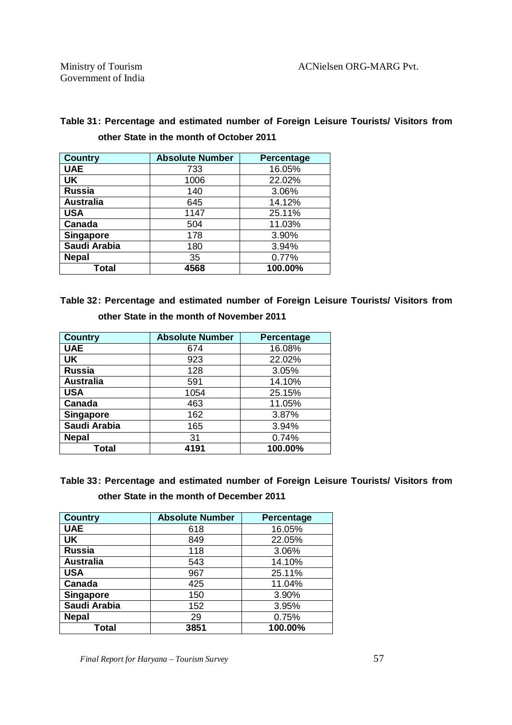| Table 31: Percentage and estimated number of Foreign Leisure Tourists/ Visitors from |  |  |
|--------------------------------------------------------------------------------------|--|--|
| other State in the month of October 2011                                             |  |  |

| <b>Country</b>   | <b>Absolute Number</b> | Percentage |
|------------------|------------------------|------------|
| <b>UAE</b>       | 733                    | 16.05%     |
| <b>UK</b>        | 1006                   | 22.02%     |
| <b>Russia</b>    | 140                    | 3.06%      |
| <b>Australia</b> | 645                    | 14.12%     |
| <b>USA</b>       | 1147                   | 25.11%     |
| Canada           | 504                    | 11.03%     |
| <b>Singapore</b> | 178                    | 3.90%      |
| Saudi Arabia     | 180                    | 3.94%      |
| <b>Nepal</b>     | 35                     | 0.77%      |
| Total            | 4568                   | 100.00%    |

**Table 32: Percentage and estimated number of Foreign Leisure Tourists/ Visitors from other State in the month of November 2011**

| <b>Country</b>   | <b>Absolute Number</b> | Percentage |
|------------------|------------------------|------------|
| <b>UAE</b>       | 674                    | 16.08%     |
| <b>UK</b>        | 923                    | 22.02%     |
| <b>Russia</b>    | 128                    | 3.05%      |
| <b>Australia</b> | 591                    | 14.10%     |
| <b>USA</b>       | 1054                   | 25.15%     |
| Canada           | 463                    | 11.05%     |
| <b>Singapore</b> | 162                    | 3.87%      |
| Saudi Arabia     | 165                    | 3.94%      |
| <b>Nepal</b>     | 31                     | 0.74%      |
| Total            | 4191                   | 100.00%    |

**Table 33: Percentage and estimated number of Foreign Leisure Tourists/ Visitors from** 

**other State in the month of December 2011**

| <b>Country</b>   | <b>Absolute Number</b> | Percentage |
|------------------|------------------------|------------|
| <b>UAE</b>       | 618                    | 16.05%     |
| UK               | 849                    | 22.05%     |
| <b>Russia</b>    | 118                    | 3.06%      |
| <b>Australia</b> | 543                    | 14.10%     |
| <b>USA</b>       | 967                    | 25.11%     |
| Canada           | 425                    | 11.04%     |
| <b>Singapore</b> | 150                    | 3.90%      |
| Saudi Arabia     | 152                    | 3.95%      |
| <b>Nepal</b>     | 29                     | 0.75%      |
| Total            | 3851                   | 100.00%    |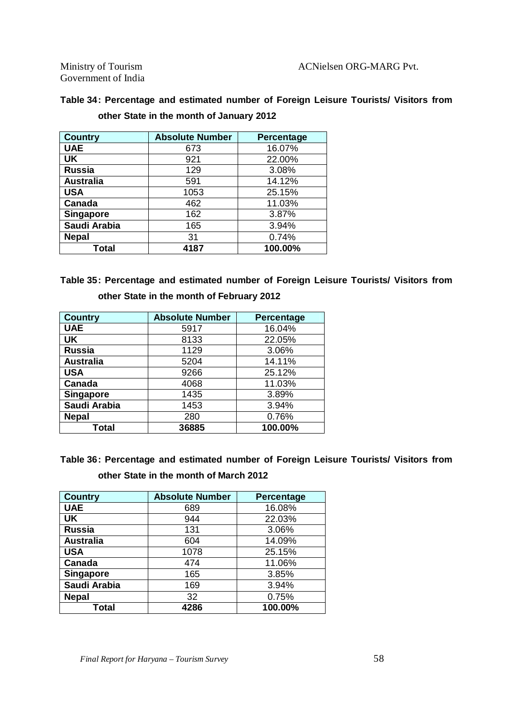Government of India

| Table 34: Percentage and estimated number of Foreign Leisure Tourists/ Visitors from |  |  |  |
|--------------------------------------------------------------------------------------|--|--|--|
| other State in the month of January 2012                                             |  |  |  |

| <b>Country</b>   | <b>Absolute Number</b> | Percentage |
|------------------|------------------------|------------|
| <b>UAE</b>       | 673                    | 16.07%     |
| <b>UK</b>        | 921                    | 22.00%     |
| <b>Russia</b>    | 129                    | 3.08%      |
| <b>Australia</b> | 591                    | 14.12%     |
| <b>USA</b>       | 1053                   | 25.15%     |
| Canada           | 462                    | 11.03%     |
| <b>Singapore</b> | 162                    | 3.87%      |
| Saudi Arabia     | 165                    | 3.94%      |
| <b>Nepal</b>     | 31                     | 0.74%      |
| Total            | 4187                   | 100.00%    |

**Table 35: Percentage and estimated number of Foreign Leisure Tourists/ Visitors from other State in the month of February 2012**

| <b>Country</b>   | <b>Absolute Number</b> | <b>Percentage</b> |
|------------------|------------------------|-------------------|
| <b>UAE</b>       | 5917                   | 16.04%            |
| UK               | 8133                   | 22.05%            |
| <b>Russia</b>    | 1129                   | 3.06%             |
| <b>Australia</b> | 5204                   | 14.11%            |
| <b>USA</b>       | 9266                   | 25.12%            |
| Canada           | 4068                   | 11.03%            |
| <b>Singapore</b> | 1435                   | 3.89%             |
| Saudi Arabia     | 1453                   | 3.94%             |
| <b>Nepal</b>     | 280                    | 0.76%             |
| Total            | 36885                  | 100.00%           |

**Table 36: Percentage and estimated number of Foreign Leisure Tourists/ Visitors from other State in the month of March 2012**

| <b>Country</b>   | <b>Absolute Number</b> | <b>Percentage</b> |
|------------------|------------------------|-------------------|
| <b>UAE</b>       | 689                    | 16.08%            |
| <b>UK</b>        | 944                    | 22.03%            |
| <b>Russia</b>    | 131                    | 3.06%             |
| <b>Australia</b> | 604                    | 14.09%            |
| <b>USA</b>       | 1078                   | 25.15%            |
| Canada           | 474                    | 11.06%            |
| <b>Singapore</b> | 165                    | 3.85%             |
| Saudi Arabia     | 169                    | 3.94%             |
| <b>Nepal</b>     | 32                     | 0.75%             |
| Total            | 4286                   | 100.00%           |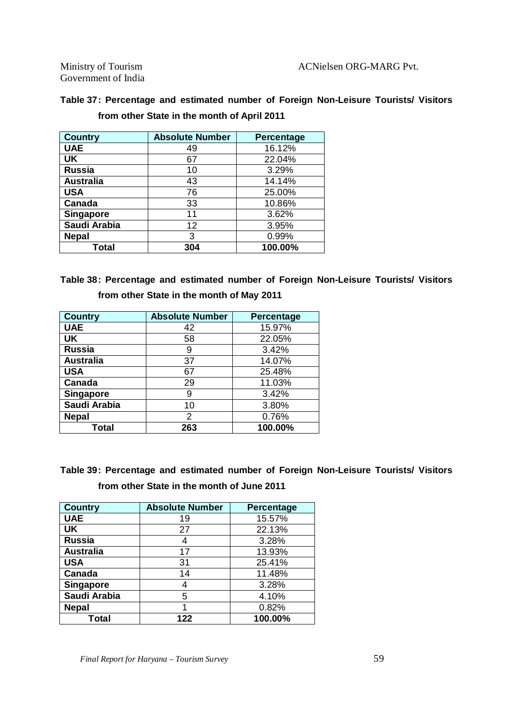Government of India

#### **Table 37: Percentage and estimated number of Foreign Non-Leisure Tourists/ Visitors from other State in the month of April 2011**

| <b>Country</b>   | <b>Absolute Number</b> | <b>Percentage</b> |
|------------------|------------------------|-------------------|
| <b>UAE</b>       | 49                     | 16.12%            |
| UK               | 67                     | 22.04%            |
| <b>Russia</b>    | 10                     | 3.29%             |
| <b>Australia</b> | 43                     | 14.14%            |
| <b>USA</b>       | 76                     | 25.00%            |
| Canada           | 33                     | 10.86%            |
| <b>Singapore</b> | 11                     | 3.62%             |
| Saudi Arabia     | 12                     | 3.95%             |
| <b>Nepal</b>     | 3                      | 0.99%             |
| Total            | 304                    | 100.00%           |

**Table 38: Percentage and estimated number of Foreign Non-Leisure Tourists/ Visitors from other State in the month of May 2011**

| <b>Country</b>   | <b>Absolute Number</b> | Percentage |
|------------------|------------------------|------------|
| <b>UAE</b>       | 42                     | 15.97%     |
| <b>UK</b>        | 58                     | 22.05%     |
| <b>Russia</b>    | 9                      | 3.42%      |
| <b>Australia</b> | 37                     | 14.07%     |
| <b>USA</b>       | 67                     | 25.48%     |
| Canada           | 29                     | 11.03%     |
| <b>Singapore</b> | 9                      | 3.42%      |
| Saudi Arabia     | 10                     | 3.80%      |
| <b>Nepal</b>     | 2                      | 0.76%      |
| Total            | 263                    | 100.00%    |

**Table 39: Percentage and estimated number of Foreign Non-Leisure Tourists/ Visitors from other State in the month of June 2011**

| <b>Country</b>   | <b>Absolute Number</b> | <b>Percentage</b> |
|------------------|------------------------|-------------------|
| <b>UAE</b>       | 19                     | 15.57%            |
| <b>UK</b>        | 27                     | 22.13%            |
| <b>Russia</b>    |                        | 3.28%             |
| <b>Australia</b> | 17                     | 13.93%            |
| <b>USA</b>       | 31                     | 25.41%            |
| Canada           | 14                     | 11.48%            |
| <b>Singapore</b> | 4                      | 3.28%             |
| Saudi Arabia     | 5                      | 4.10%             |
| <b>Nepal</b>     |                        | 0.82%             |
| Total            | 122                    | 100.00%           |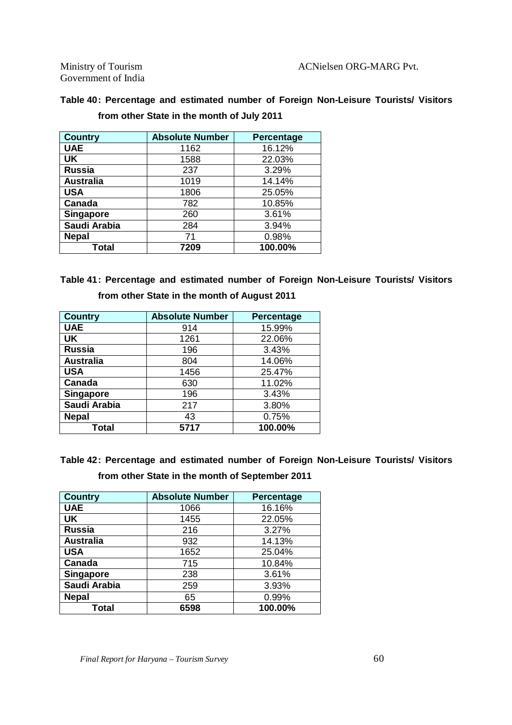Government of India

#### **Table 40: Percentage and estimated number of Foreign Non-Leisure Tourists/ Visitors from other State in the month of July 2011**

| <b>Country</b>   | <b>Absolute Number</b> | Percentage |
|------------------|------------------------|------------|
| <b>UAE</b>       | 1162                   | 16.12%     |
| <b>UK</b>        | 1588                   | 22.03%     |
| <b>Russia</b>    | 237                    | 3.29%      |
| <b>Australia</b> | 1019                   | 14.14%     |
| <b>USA</b>       | 1806                   | 25.05%     |
| Canada           | 782                    | 10.85%     |
| <b>Singapore</b> | 260                    | 3.61%      |
| Saudi Arabia     | 284                    | 3.94%      |
| <b>Nepal</b>     | 71                     | 0.98%      |
| Total            | 7209                   | 100.00%    |

**Table 41: Percentage and estimated number of Foreign Non-Leisure Tourists/ Visitors from other State in the month of August 2011**

| <b>Country</b>   | <b>Absolute Number</b> | Percentage |
|------------------|------------------------|------------|
| <b>UAE</b>       | 914                    | 15.99%     |
| <b>UK</b>        | 1261                   | 22.06%     |
| <b>Russia</b>    | 196                    | 3.43%      |
| <b>Australia</b> | 804                    | 14.06%     |
| <b>USA</b>       | 1456                   | 25.47%     |
| Canada           | 630                    | 11.02%     |
| <b>Singapore</b> | 196                    | 3.43%      |
| Saudi Arabia     | 217                    | 3.80%      |
| <b>Nepal</b>     | 43                     | 0.75%      |
| Total            | 5717                   | 100.00%    |

**Table 42: Percentage and estimated number of Foreign Non-Leisure Tourists/ Visitors from other State in the month of September 2011**

| <b>Country</b>   | <b>Absolute Number</b> | <b>Percentage</b> |
|------------------|------------------------|-------------------|
| <b>UAE</b>       | 1066                   | 16.16%            |
| UK               | 1455                   | 22.05%            |
| <b>Russia</b>    | 216                    | 3.27%             |
| <b>Australia</b> | 932                    | 14.13%            |
| <b>USA</b>       | 1652                   | 25.04%            |
| Canada           | 715                    | 10.84%            |
| <b>Singapore</b> | 238                    | 3.61%             |
| Saudi Arabia     | 259                    | 3.93%             |
| <b>Nepal</b>     | 65                     | 0.99%             |
| Total            | 6598                   | 100.00%           |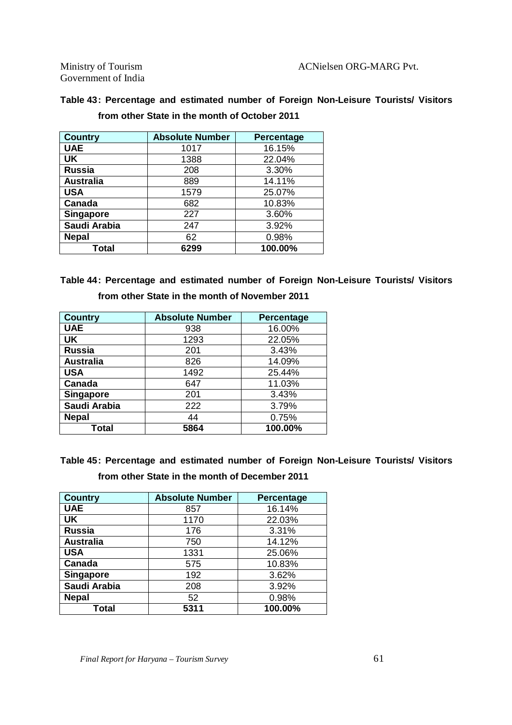Government of India

#### **Table 43: Percentage and estimated number of Foreign Non-Leisure Tourists/ Visitors from other State in the month of October 2011**

| <b>Country</b>   | <b>Absolute Number</b> | <b>Percentage</b> |
|------------------|------------------------|-------------------|
| <b>UAE</b>       | 1017                   | 16.15%            |
| <b>UK</b>        | 1388                   | 22.04%            |
| <b>Russia</b>    | 208                    | 3.30%             |
| <b>Australia</b> | 889                    | 14.11%            |
| <b>USA</b>       | 1579                   | 25.07%            |
| Canada           | 682                    | 10.83%            |
| <b>Singapore</b> | 227                    | 3.60%             |
| Saudi Arabia     | 247                    | 3.92%             |
| <b>Nepal</b>     | 62                     | 0.98%             |
| Total            | 6299                   | 100.00%           |

#### **Table 44: Percentage and estimated number of Foreign Non-Leisure Tourists/ Visitors from other State in the month of November 2011**

| <b>Country</b>   | <b>Absolute Number</b> | <b>Percentage</b> |
|------------------|------------------------|-------------------|
| <b>UAE</b>       | 938                    | 16.00%            |
| <b>UK</b>        | 1293                   | 22.05%            |
| <b>Russia</b>    | 201                    | 3.43%             |
| <b>Australia</b> | 826                    | 14.09%            |
| <b>USA</b>       | 1492                   | 25.44%            |
| Canada           | 647                    | 11.03%            |
| <b>Singapore</b> | 201                    | 3.43%             |
| Saudi Arabia     | 222                    | 3.79%             |
| <b>Nepal</b>     | 44                     | 0.75%             |
| Total            | 5864                   | 100.00%           |

**Table 45: Percentage and estimated number of Foreign Non-Leisure Tourists/ Visitors from other State in the month of December 2011**

| <b>Country</b>   | <b>Absolute Number</b> | Percentage |
|------------------|------------------------|------------|
| <b>UAE</b>       | 857                    | 16.14%     |
| <b>UK</b>        | 1170                   | 22.03%     |
| <b>Russia</b>    | 176                    | 3.31%      |
| <b>Australia</b> | 750                    | 14.12%     |
| <b>USA</b>       | 1331                   | 25.06%     |
| Canada           | 575                    | 10.83%     |
| Singapore        | 192                    | 3.62%      |
| Saudi Arabia     | 208                    | 3.92%      |
| <b>Nepal</b>     | 52                     | 0.98%      |
| Total            | 5311                   | 100.00%    |